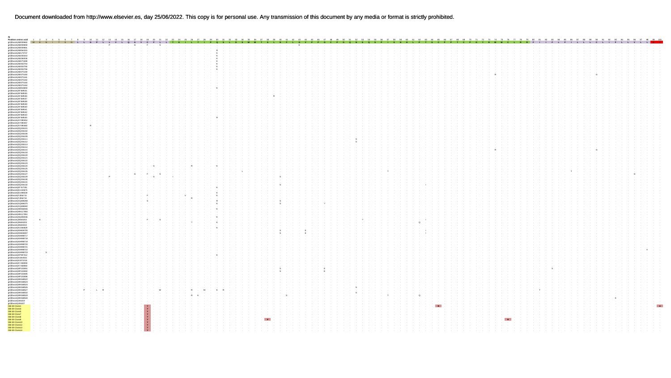| 6539 Clanet<br>6539 Clane5<br>6539 Clane7<br>6539 Clane8<br>6539 Clane8<br>6539 Clane10<br>6539 Clane10 |  |  |  |  |  |   |  |  |  |  |  |   |  |  |  |  |
|---------------------------------------------------------------------------------------------------------|--|--|--|--|--|---|--|--|--|--|--|---|--|--|--|--|
|                                                                                                         |  |  |  |  |  | P |  |  |  |  |  | R |  |  |  |  |
|                                                                                                         |  |  |  |  |  |   |  |  |  |  |  |   |  |  |  |  |
| BI-39 Clone13<br>BI-39 Clone14                                                                          |  |  |  |  |  |   |  |  |  |  |  |   |  |  |  |  |
|                                                                                                         |  |  |  |  |  |   |  |  |  |  |  |   |  |  |  |  |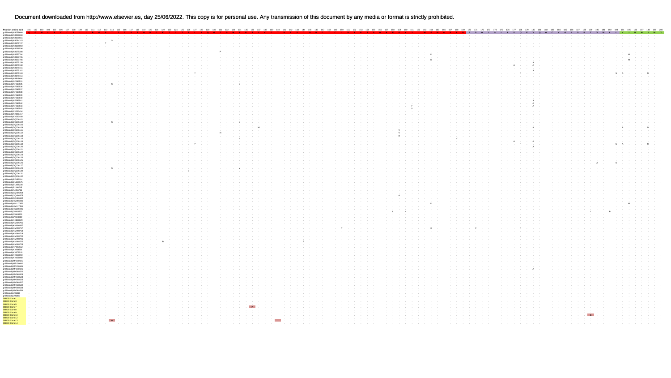| BI-39 Clone3<br>BI-39 Clone5<br>BI-39 Clone7    |  |  |  |   |  |  |  |  |          |        |  |  |  |  |  |  |  |  |        |  |  |  |
|-------------------------------------------------|--|--|--|---|--|--|--|--|----------|--------|--|--|--|--|--|--|--|--|--------|--|--|--|
|                                                 |  |  |  |   |  |  |  |  | <b>P</b> |        |  |  |  |  |  |  |  |  |        |  |  |  |
| BI-39 CloneS<br>BI-39 CloneS<br>BI-39 Clone10   |  |  |  |   |  |  |  |  |          |        |  |  |  |  |  |  |  |  |        |  |  |  |
|                                                 |  |  |  |   |  |  |  |  |          |        |  |  |  |  |  |  |  |  | $\sim$ |  |  |  |
|                                                 |  |  |  |   |  |  |  |  |          |        |  |  |  |  |  |  |  |  |        |  |  |  |
| BI-39 Clone12<br>BI-39 Clone13<br>BI-39 Clone14 |  |  |  | A |  |  |  |  |          | $\sim$ |  |  |  |  |  |  |  |  |        |  |  |  |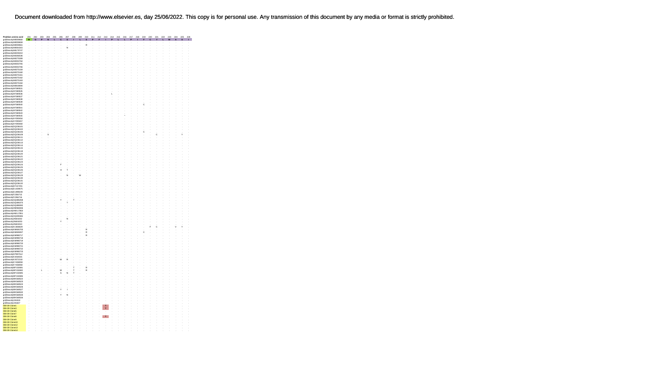| Position amino acid                               | 201 202 203 204 205 206 207 208 209<br>W G P N L C S I L |    |   |        |   |   |   |   |  |  |  |  |   |   |   |  |   |  |
|---------------------------------------------------|----------------------------------------------------------|----|---|--------|---|---|---|---|--|--|--|--|---|---|---|--|---|--|
| 0300308Ajdoxdfirg                                 |                                                          |    |   |        |   |   |   |   |  |  |  |  |   |   |   |  |   |  |
| prihtucas AB059559                                |                                                          |    |   |        |   |   |   |   |  |  |  |  |   |   |   |  |   |  |
| prihbyzds AB059551                                |                                                          |    |   |        |   |   |   | Ŕ |  |  |  |  |   |   |   |  |   |  |
| grilhbvcds(AB064315                               |                                                          |    |   |        | Ń |   |   |   |  |  |  |  |   |   |   |  |   |  |
| grijhbvcds (AB 179747                             |                                                          |    |   |        |   |   |   |   |  |  |  |  |   |   |   |  |   |  |
| grijhbvcds/AB205010                               |                                                          |    |   |        |   |   |   |   |  |  |  |  |   |   |   |  |   |  |
| grijhbvcds/AB20536                                |                                                          |    |   |        |   |   |   |   |  |  |  |  |   |   |   |  |   |  |
| grijhbvcds (AB275308                              |                                                          |    |   |        |   |   |   |   |  |  |  |  |   |   |   |  |   |  |
| prihbycol AB353764                                |                                                          |    |   |        |   |   |   |   |  |  |  |  |   |   |   |  |   |  |
| grijhbvcds (AB353765                              |                                                          |    |   |        |   |   |   |   |  |  |  |  |   |   |   |  |   |  |
| astE&CBA abaud fire                               |                                                          |    |   |        |   |   |   |   |  |  |  |  |   |   |   |  |   |  |
| prihbycal AB375159                                |                                                          |    |   |        |   |   |   |   |  |  |  |  |   |   |   |  |   |  |
| gnijhbvcds (AB 375160                             |                                                          |    |   |        |   |   |   |   |  |  |  |  |   |   |   |  |   |  |
| gnijhbvcds (AB 375161                             |                                                          |    |   |        |   |   |   |   |  |  |  |  |   |   |   |  |   |  |
| grijhbvoda (AB 375162                             |                                                          |    |   |        |   |   |   |   |  |  |  |  |   |   |   |  |   |  |
| gnijhbvcds (AB 375163                             |                                                          |    |   |        |   |   |   |   |  |  |  |  |   |   |   |  |   |  |
| gnijhbvcds (AB 375164                             |                                                          |    |   |        |   |   |   |   |  |  |  |  |   |   |   |  |   |  |
|                                                   |                                                          |    |   |        |   |   |   |   |  |  |  |  |   |   |   |  |   |  |
| .<br>grijtovaljAB818694<br>grijtovaljAF369531     |                                                          |    |   |        |   |   |   |   |  |  |  |  |   |   |   |  |   |  |
| pri/htw.ds/AF369535                               |                                                          |    |   |        |   |   |   |   |  |  |  |  |   |   |   |  |   |  |
| prihbycal/AF360536                                |                                                          |    |   |        |   |   |   |   |  |  |  |  |   |   |   |  |   |  |
|                                                   |                                                          |    |   |        |   |   |   |   |  |  |  |  |   |   |   |  |   |  |
| .<br>120321-Alaxditing<br>120321-Alaxditing       |                                                          |    |   |        |   |   |   |   |  |  |  |  |   |   |   |  |   |  |
| prihtucds (AF360539                               |                                                          |    |   |        |   |   |   |   |  |  |  |  |   |   |   |  |   |  |
| 04/03/2014 or defered                             |                                                          |    |   |        |   |   |   |   |  |  |  |  | ċ |   |   |  |   |  |
|                                                   |                                                          |    |   |        |   |   |   |   |  |  |  |  |   |   |   |  |   |  |
| prihbycos/AF360541                                |                                                          |    |   |        |   |   |   |   |  |  |  |  |   |   |   |  |   |  |
| prihbycos/AF360542                                |                                                          |    |   |        |   |   |   |   |  |  |  |  |   |   |   |  |   |  |
| prihbyzds/AF362643                                |                                                          |    |   |        |   |   |   |   |  |  |  |  |   |   |   |  |   |  |
| prihbyca (AF360545                                |                                                          |    |   |        |   |   |   |   |  |  |  |  |   |   |   |  |   |  |
| prihbycos/AY090454                                |                                                          |    |   |        |   |   |   |   |  |  |  |  |   |   |   |  |   |  |
| grijhbvcds (AY090457                              |                                                          |    |   |        |   |   |   |   |  |  |  |  |   |   |   |  |   |  |
| gnijhbvcds (AY 090460                             |                                                          |    |   |        |   |   |   |   |  |  |  |  |   |   |   |  |   |  |
| milhbycdsiDQ236101                                |                                                          |    |   |        |   |   |   |   |  |  |  |  |   |   |   |  |   |  |
| gnijhbvcds (DQ236102                              |                                                          |    |   |        |   |   |   |   |  |  |  |  |   |   |   |  |   |  |
| gnijhbvcds (DQ236106                              |                                                          |    |   |        |   |   |   |   |  |  |  |  | c |   |   |  |   |  |
| prihbycal DQ236109                                |                                                          |    | ś |        |   |   |   |   |  |  |  |  |   |   | ċ |  |   |  |
| prihbycal DQ236111                                |                                                          |    |   |        |   |   |   |   |  |  |  |  |   |   |   |  |   |  |
| grijhbvcds (DQ236112                              |                                                          |    |   |        |   |   |   |   |  |  |  |  |   |   |   |  |   |  |
| .<br>grijtov:ds DQ236113<br>grijtov:ds DQ236114   |                                                          |    |   |        |   |   |   |   |  |  |  |  |   |   |   |  |   |  |
|                                                   |                                                          |    |   |        |   |   |   |   |  |  |  |  |   |   |   |  |   |  |
| gnijhbvcds (DQ236115                              |                                                          |    |   |        |   |   |   |   |  |  |  |  |   |   |   |  |   |  |
| grijhbvcds (DQ236118                              |                                                          |    |   |        |   |   |   |   |  |  |  |  |   |   |   |  |   |  |
| grijhbvcds(DQ236120                               |                                                          |    |   |        |   |   |   |   |  |  |  |  |   |   |   |  |   |  |
| prihbycal DQ236121                                |                                                          |    |   |        |   |   |   |   |  |  |  |  |   |   |   |  |   |  |
| grijhbvcds (DQ236122                              |                                                          |    |   |        |   |   |   |   |  |  |  |  |   |   |   |  |   |  |
| prihtscal DO236123                                |                                                          |    |   |        |   |   |   |   |  |  |  |  |   |   |   |  |   |  |
| grijhbvcds (DQ236124                              |                                                          |    |   | Ë      |   |   |   |   |  |  |  |  |   |   |   |  |   |  |
|                                                   |                                                          |    |   |        |   |   |   |   |  |  |  |  |   |   |   |  |   |  |
| .<br>grijtevoda (DQ236125<br>grijtevoda (DQ236126 |                                                          |    |   | H      | Ŷ |   |   |   |  |  |  |  |   |   |   |  |   |  |
| grijhbvcds (DQ236127                              |                                                          |    |   |        |   |   |   |   |  |  |  |  |   |   |   |  |   |  |
| gnl) bucds (DQ236129                              |                                                          |    |   |        | N |   | W |   |  |  |  |  |   |   |   |  |   |  |
| grijhbvcds (DQ236130                              |                                                          |    |   |        |   |   |   |   |  |  |  |  |   |   |   |  |   |  |
| grijhbvcds (DQ236131                              |                                                          |    |   |        |   |   |   |   |  |  |  |  |   |   |   |  |   |  |
| gnijhbvcds (DQ236132                              |                                                          |    |   |        |   |   |   |   |  |  |  |  |   |   |   |  |   |  |
| gril) bucds (EF157291                             |                                                          |    |   |        |   |   |   |   |  |  |  |  |   |   |   |  |   |  |
|                                                   |                                                          |    |   |        |   |   |   |   |  |  |  |  |   |   |   |  |   |  |
| .<br>grijtovoljEU159675<br>grijtovoljEU498228     |                                                          |    |   |        |   |   |   |   |  |  |  |  |   |   |   |  |   |  |
|                                                   |                                                          |    |   |        |   |   |   |   |  |  |  |  |   |   |   |  |   |  |
| grijhbvcds (FJ356715                              |                                                          |    |   |        |   |   |   |   |  |  |  |  |   |   |   |  |   |  |
| prihbycds (FJ356716                               |                                                          |    |   |        |   |   |   |   |  |  |  |  |   |   |   |  |   |  |
| prihbyca (GQ486268                                |                                                          |    |   |        |   | Ŧ |   |   |  |  |  |  |   |   |   |  |   |  |
| prihtucds(GQ486375                                |                                                          |    |   |        | ż |   |   |   |  |  |  |  |   |   |   |  |   |  |
| prihtucal/GQ488592                                |                                                          |    |   |        |   |   |   |   |  |  |  |  |   |   |   |  |   |  |
| prihbycal/HM000946                                |                                                          |    |   |        |   |   |   |   |  |  |  |  |   |   |   |  |   |  |
| prihbycal HM117850                                |                                                          |    |   |        |   |   |   |   |  |  |  |  |   |   |   |  |   |  |
| gnijhbvcds (HM117851                              |                                                          |    |   |        |   |   |   |   |  |  |  |  |   |   |   |  |   |  |
| prihbycal HQ285946                                |                                                          |    |   |        |   |   |   |   |  |  |  |  |   |   |   |  |   |  |
| grilhbvcds J.N604202                              |                                                          |    |   |        | N |   |   |   |  |  |  |  |   |   |   |  |   |  |
| prihbycal A604203                                 |                                                          |    |   |        |   |   |   |   |  |  |  |  |   |   |   |  |   |  |
| prihoods(JN604310                                 |                                                          |    |   |        |   |   |   |   |  |  |  |  |   |   |   |  |   |  |
| grijhbvcds (KC836829                              |                                                          |    |   |        |   |   |   |   |  |  |  |  |   | ŕ | ċ |  | ý |  |
| gri) bucds (KM606705                              |                                                          |    |   |        |   |   |   | R |  |  |  |  |   |   |   |  |   |  |
| .<br>grijtevods (KM600237                         |                                                          |    |   |        |   |   |   | R |  |  |  |  | ¢ |   |   |  |   |  |
| grijhbvcds (KM998717                              |                                                          |    |   |        |   |   |   | R |  |  |  |  |   |   |   |  |   |  |
| prihbycal KM998718                                |                                                          |    |   |        |   |   |   |   |  |  |  |  |   |   |   |  |   |  |
| grijhbucds (KM998719                              |                                                          |    |   |        |   |   |   |   |  |  |  |  |   |   |   |  |   |  |
| grijhbvcds (KM998720                              |                                                          |    |   |        |   |   |   |   |  |  |  |  |   |   |   |  |   |  |
| gnl)hbvcds (KM998721                              |                                                          |    |   |        |   |   |   |   |  |  |  |  |   |   |   |  |   |  |
| grijhbvcds (KM998722                              |                                                          |    |   |        |   |   |   |   |  |  |  |  |   |   |   |  |   |  |
| grijhbucds (KM998723                              |                                                          |    |   |        |   |   |   |   |  |  |  |  |   |   |   |  |   |  |
| grijhbucds (KP 997512                             |                                                          |    |   |        |   |   |   |   |  |  |  |  |   |   |   |  |   |  |
| .<br>grijhbeds KX254501<br>grijhbeds KX372218     |                                                          |    |   |        |   |   |   |   |  |  |  |  |   |   |   |  |   |  |
|                                                   |                                                          |    |   | w      | R |   |   |   |  |  |  |  |   |   |   |  |   |  |
| grijhbucds (KY 458059                             |                                                          |    |   |        |   |   |   |   |  |  |  |  |   |   |   |  |   |  |
| grijhbvcds (KY 458060                             |                                                          |    |   |        |   |   |   |   |  |  |  |  |   |   |   |  |   |  |
| prihbyzds MF150691                                |                                                          |    |   |        |   | Ŧ |   | Ň |  |  |  |  |   |   |   |  |   |  |
| grijhbvods MF150692                               |                                                          | t. |   |        |   | ĭ |   | R |  |  |  |  |   |   |   |  |   |  |
| gni) bucds MF 150625                              |                                                          |    |   | w<br>s | N | Ŧ |   |   |  |  |  |  |   |   |   |  |   |  |
| gril) bucds MF150696                              |                                                          |    |   |        |   |   |   |   |  |  |  |  |   |   |   |  |   |  |
| grijhbvcds (MK568522                              |                                                          |    |   |        |   |   |   |   |  |  |  |  |   |   |   |  |   |  |
| prihbyzds MK568523                                |                                                          |    |   |        |   |   |   |   |  |  |  |  |   |   |   |  |   |  |
|                                                   |                                                          |    |   |        |   |   |   |   |  |  |  |  |   |   |   |  |   |  |
| grijhbvcds/MK588524<br>gri) bucds MK568526        |                                                          |    |   |        |   |   |   |   |  |  |  |  |   |   |   |  |   |  |
|                                                   |                                                          |    |   |        | ï |   |   |   |  |  |  |  |   |   |   |  |   |  |
| grilhbvcds MK568527                               |                                                          |    |   |        |   |   |   |   |  |  |  |  |   |   |   |  |   |  |
| prihtucds MK568532                                |                                                          |    |   |        |   |   |   |   |  |  |  |  |   |   |   |  |   |  |
| gri) bucda MK568533                               |                                                          |    |   |        | N |   |   |   |  |  |  |  |   |   |   |  |   |  |
| prihbycal MK568534                                |                                                          |    |   |        |   |   |   |   |  |  |  |  |   |   |   |  |   |  |
| prihbycal LI91819                                 |                                                          |    |   |        |   |   |   |   |  |  |  |  |   |   |   |  |   |  |
| .<br>OBI-39 Clone1                                |                                                          |    |   |        |   |   |   |   |  |  |  |  |   |   |   |  |   |  |
|                                                   |                                                          |    |   |        |   |   |   |   |  |  |  |  |   |   |   |  |   |  |
| OBI-39 Clone3                                     |                                                          |    |   |        |   |   |   |   |  |  |  |  |   |   |   |  |   |  |
| OBI-39 Clone5                                     |                                                          |    |   |        |   |   |   |   |  |  |  |  |   |   |   |  |   |  |
| OBI-39 Clone7                                     |                                                          |    |   |        |   |   |   |   |  |  |  |  |   |   |   |  |   |  |
| <b>ORLSD Closels</b>                              |                                                          |    |   |        |   |   |   |   |  |  |  |  |   |   |   |  |   |  |
| OBI-39 Clone9                                     |                                                          |    |   |        |   |   |   |   |  |  |  |  |   |   |   |  |   |  |
| OBI-39 Clone10                                    |                                                          |    |   |        |   |   |   |   |  |  |  |  |   |   |   |  |   |  |
| OBI-39 Clone12                                    |                                                          |    |   |        |   |   |   |   |  |  |  |  |   |   |   |  |   |  |
| OBI-39 Clone13                                    |                                                          |    |   |        |   |   |   |   |  |  |  |  |   |   |   |  |   |  |
| OBI-39 Clone14                                    |                                                          |    |   |        |   |   |   |   |  |  |  |  |   |   |   |  |   |  |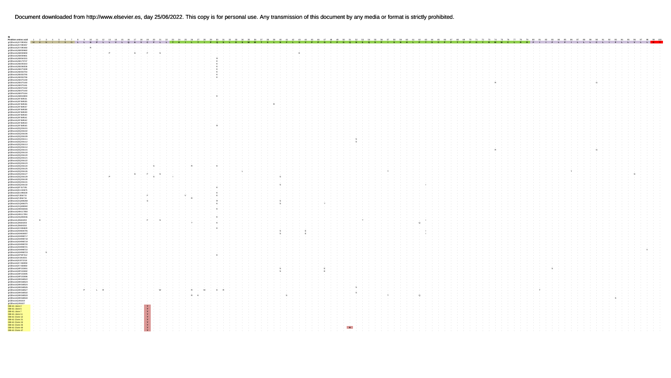| 8141 clane 7<br>8141 clane 7<br>8141 Clane 12<br>8141 Clane 21<br>8141 Clane 24 |  |  |  |  |  |  |  |  |  |   |  |  |  |  |  |  |  |  |
|---------------------------------------------------------------------------------|--|--|--|--|--|--|--|--|--|---|--|--|--|--|--|--|--|--|
|                                                                                 |  |  |  |  |  |  |  |  |  |   |  |  |  |  |  |  |  |  |
| BI-41 Clane 25                                                                  |  |  |  |  |  |  |  |  |  |   |  |  |  |  |  |  |  |  |
| BI-41 Clane 40<br>BI-41 Clane 47                                                |  |  |  |  |  |  |  |  |  | R |  |  |  |  |  |  |  |  |
|                                                                                 |  |  |  |  |  |  |  |  |  |   |  |  |  |  |  |  |  |  |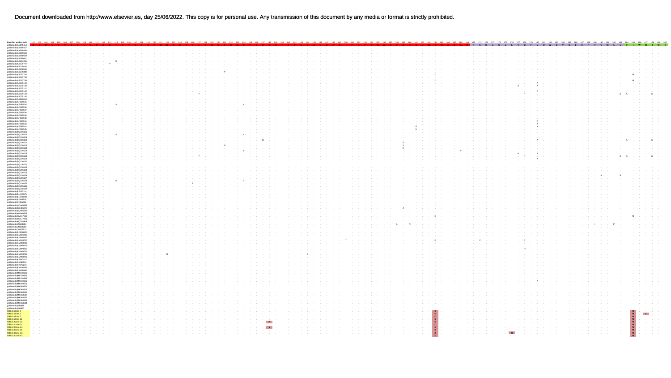| Position amino acid<br>gri htxcds AY050454<br>gri htxcds AY050457<br>gri htxcds AY050460                     | 101 102 103 104 |  |  |     |  |   |                    |    |  |    |            |  |  |                   |                |  |          |                | R F S W L S L L V Q F V Q W C V G L S P T V W L L V I W M I W Y |  |                |               |                |  |
|--------------------------------------------------------------------------------------------------------------|-----------------|--|--|-----|--|---|--------------------|----|--|----|------------|--|--|-------------------|----------------|--|----------|----------------|-----------------------------------------------------------------|--|----------------|---------------|----------------|--|
|                                                                                                              |                 |  |  |     |  |   |                    |    |  |    |            |  |  |                   |                |  |          |                |                                                                 |  |                |               |                |  |
|                                                                                                              |                 |  |  |     |  |   |                    |    |  |    |            |  |  |                   |                |  |          |                |                                                                 |  |                |               |                |  |
| gri) buds (AB059550<br>grijhbvods/AB059659                                                                   |                 |  |  |     |  |   |                    |    |  |    |            |  |  |                   |                |  |          |                |                                                                 |  |                |               |                |  |
| grijhbvods/AB059861<br>grijhbvods/AB064315                                                                   |                 |  |  |     |  |   |                    |    |  |    |            |  |  |                   |                |  |          |                |                                                                 |  |                |               |                |  |
|                                                                                                              |                 |  |  | - 8 |  |   |                    |    |  |    |            |  |  |                   |                |  |          |                |                                                                 |  |                |               |                |  |
| grijhbveds(AB179747                                                                                          |                 |  |  |     |  |   |                    |    |  |    |            |  |  |                   |                |  |          |                |                                                                 |  |                |               |                |  |
| gnijhbvods (AB205010<br>gnijhbvods (AB205536<br>gnijhbvods (AB275306                                         |                 |  |  |     |  |   |                    | ÷. |  |    |            |  |  |                   |                |  |          |                |                                                                 |  |                |               |                |  |
|                                                                                                              |                 |  |  |     |  |   |                    |    |  |    |            |  |  |                   | D              |  |          |                |                                                                 |  |                |               |                |  |
| grijhbvods/AB353764<br>grijhbvods/AB353765                                                                   |                 |  |  |     |  |   |                    |    |  |    |            |  |  |                   |                |  |          |                |                                                                 |  |                |               |                |  |
| grijhbvods (AB353766<br>grijhbvods (AB375159                                                                 |                 |  |  |     |  |   |                    |    |  |    |            |  |  |                   | $\overline{D}$ |  |          |                |                                                                 |  |                |               |                |  |
| gnijhbvodajAB375160                                                                                          |                 |  |  |     |  |   |                    |    |  |    |            |  |  |                   |                |  | $\Delta$ |                |                                                                 |  |                |               |                |  |
| grilhbuds(AB375161                                                                                           |                 |  |  |     |  |   |                    |    |  |    |            |  |  |                   |                |  |          |                |                                                                 |  |                |               |                |  |
| grilhbvods/AB375162                                                                                          |                 |  |  |     |  |   |                    |    |  |    |            |  |  |                   |                |  |          |                |                                                                 |  |                | $B$ $A$       | ${\mathbf M}$  |  |
| phinocos/AB375163<br>pri/hbvcds/AB375163<br>pri/hbvcds/AB818634                                              |                 |  |  |     |  |   |                    |    |  |    |            |  |  |                   |                |  |          |                |                                                                 |  |                |               |                |  |
|                                                                                                              |                 |  |  |     |  |   |                    |    |  |    |            |  |  |                   |                |  |          |                |                                                                 |  |                |               |                |  |
| grilhbvods/AF369531                                                                                          |                 |  |  |     |  |   |                    |    |  |    |            |  |  |                   |                |  |          |                |                                                                 |  |                |               |                |  |
| grijkbvods/AF369535<br>grijkbvods/AF369536                                                                   |                 |  |  |     |  |   |                    |    |  |    |            |  |  |                   |                |  |          |                |                                                                 |  |                |               |                |  |
| grilhbvods (AF369537<br>grijhbvodajAF369538                                                                  |                 |  |  |     |  |   |                    |    |  |    |            |  |  |                   |                |  |          |                |                                                                 |  |                |               |                |  |
|                                                                                                              |                 |  |  |     |  |   |                    |    |  |    |            |  |  |                   |                |  |          |                |                                                                 |  |                |               |                |  |
| grijhbuda (AF362532)<br>grijhbuda (AF362540)<br>grijhbuda (AF362541                                          |                 |  |  |     |  |   |                    |    |  |    |            |  |  |                   |                |  |          |                |                                                                 |  |                |               |                |  |
| grilhbuds(AF369542                                                                                           |                 |  |  |     |  |   |                    |    |  |    |            |  |  |                   |                |  |          |                |                                                                 |  |                |               |                |  |
|                                                                                                              |                 |  |  |     |  |   |                    |    |  |    |            |  |  |                   |                |  |          |                |                                                                 |  |                |               |                |  |
| grijhbuds AF389543<br>grijhbuds AF389545<br>grijhbuds DQ236101                                               |                 |  |  |     |  |   |                    |    |  |    |            |  |  |                   |                |  |          |                |                                                                 |  |                |               |                |  |
| grilhbvods DQ236102                                                                                          |                 |  |  |     |  |   |                    |    |  |    |            |  |  |                   |                |  |          |                |                                                                 |  |                |               |                |  |
| gni) bucds (DQ236106                                                                                         |                 |  |  |     |  |   |                    |    |  |    |            |  |  |                   |                |  |          |                |                                                                 |  |                |               |                |  |
| grijhtvoda (DQ236109<br>grijhtvoda (DQ236111                                                                 |                 |  |  |     |  |   |                    |    |  |    |            |  |  |                   |                |  |          |                |                                                                 |  |                | $\mathbf{A}$  | $\overline{M}$ |  |
| grilhbvods DQ236112                                                                                          |                 |  |  |     |  |   |                    | N  |  |    |            |  |  |                   |                |  |          |                |                                                                 |  |                |               |                |  |
| gnl) bucds (DQ236113                                                                                         |                 |  |  |     |  |   |                    |    |  |    |            |  |  |                   |                |  |          |                |                                                                 |  |                |               |                |  |
| grijhbvods DQ236114<br>grijhbvods DQ236115                                                                   |                 |  |  |     |  |   |                    |    |  |    |            |  |  |                   |                |  | A        |                | A                                                               |  |                |               |                |  |
| grilhbvods DQ236118                                                                                          |                 |  |  |     |  |   |                    |    |  |    |            |  |  |                   |                |  |          | $\mathbb{R}^n$ |                                                                 |  |                | $S - A$       |                |  |
| gnl(hbvcds(DQ236120                                                                                          |                 |  |  |     |  |   |                    |    |  |    |            |  |  |                   |                |  |          |                |                                                                 |  |                |               |                |  |
| grijhbvoda (DQ236121<br>grijhbvoda (DQ236122                                                                 |                 |  |  |     |  |   |                    |    |  |    |            |  |  |                   |                |  |          |                |                                                                 |  |                |               |                |  |
| grilhbvods DQ236123                                                                                          |                 |  |  |     |  |   |                    |    |  |    |            |  |  |                   |                |  |          |                |                                                                 |  |                |               |                |  |
| gril) byzds DQ236124                                                                                         |                 |  |  |     |  |   |                    |    |  |    |            |  |  |                   |                |  |          |                |                                                                 |  |                |               |                |  |
| grijhtvoda (DQ236125<br>grijhtvoda (DQ236126                                                                 |                 |  |  |     |  |   |                    |    |  |    |            |  |  |                   |                |  |          |                |                                                                 |  | $\overline{A}$ | $\frac{1}{2}$ |                |  |
| gni) buoda (DQ236127                                                                                         |                 |  |  |     |  |   |                    |    |  |    |            |  |  |                   |                |  |          |                |                                                                 |  |                |               |                |  |
| grijhbvoda (DQ236129<br>grijhbvoda (DQ236130<br>grijhbvoda (DQ236131                                         |                 |  |  |     |  |   | $\dot{\mathbf{s}}$ |    |  |    |            |  |  |                   |                |  |          |                |                                                                 |  |                |               |                |  |
| grilhbvods DQ236132                                                                                          |                 |  |  |     |  |   |                    |    |  |    |            |  |  |                   |                |  |          |                |                                                                 |  |                |               |                |  |
|                                                                                                              |                 |  |  |     |  |   |                    |    |  |    |            |  |  |                   |                |  |          |                |                                                                 |  |                |               |                |  |
| grijhbvoda (EF157291<br>grijhbvoda (EU159675                                                                 |                 |  |  |     |  |   |                    |    |  |    |            |  |  |                   |                |  |          |                |                                                                 |  |                |               |                |  |
| grijhbvoda (EU498228<br>grijhbvoda (FJ356715                                                                 |                 |  |  |     |  |   |                    |    |  |    |            |  |  |                   |                |  |          |                |                                                                 |  |                |               |                |  |
|                                                                                                              |                 |  |  |     |  |   |                    |    |  |    |            |  |  |                   |                |  |          |                |                                                                 |  |                |               |                |  |
|                                                                                                              |                 |  |  |     |  |   |                    |    |  |    |            |  |  | A.                |                |  |          |                |                                                                 |  |                |               |                |  |
| prij boda   F.356716<br>  grij boda   GG485355<br>  grij boda   GG485375<br>  grij boda   GG485375           |                 |  |  |     |  |   |                    |    |  |    |            |  |  |                   |                |  |          |                |                                                                 |  |                |               |                |  |
| grijhtvodajHM066946<br>grijhtvodajHM117850                                                                   |                 |  |  |     |  |   |                    |    |  |    |            |  |  |                   |                |  |          |                |                                                                 |  |                |               |                |  |
|                                                                                                              |                 |  |  |     |  |   |                    |    |  |    |            |  |  |                   |                |  |          |                |                                                                 |  |                |               |                |  |
| grijhbvodajHM117851<br>grijhbvodajHQ285946                                                                   |                 |  |  |     |  |   |                    |    |  |    |            |  |  |                   |                |  |          |                |                                                                 |  |                |               |                |  |
| gni/hbvcds(JN604202<br>gri) bycds (JNS04203                                                                  |                 |  |  |     |  |   |                    |    |  |    |            |  |  | N<br>$\mathbf{L}$ |                |  |          |                |                                                                 |  |                |               |                |  |
|                                                                                                              |                 |  |  |     |  |   |                    |    |  |    |            |  |  |                   |                |  |          |                |                                                                 |  |                |               |                |  |
| grijkoosi (M606237<br>grijkoosi (KC836829<br>grijkoosi (KM606705<br>grijkoosi (M606237<br>grijkoosi (M604233 |                 |  |  |     |  |   |                    |    |  |    |            |  |  |                   |                |  |          |                |                                                                 |  |                |               |                |  |
|                                                                                                              |                 |  |  |     |  |   |                    |    |  |    |            |  |  |                   |                |  |          |                |                                                                 |  |                |               |                |  |
| grilhbvcds KM998717                                                                                          |                 |  |  |     |  |   |                    |    |  |    |            |  |  |                   | $\alpha$       |  |          | p              |                                                                 |  |                |               |                |  |
| grijhbvods (KM998718<br>grijhbvods (KM998719                                                                 |                 |  |  |     |  |   |                    |    |  |    |            |  |  |                   |                |  |          |                |                                                                 |  |                |               |                |  |
| grijhbvods (KM958720                                                                                         |                 |  |  |     |  |   |                    |    |  |    |            |  |  |                   |                |  |          |                |                                                                 |  |                |               |                |  |
| grijhbvods (KM998721)                                                                                        |                 |  |  |     |  | R |                    |    |  |    | $\epsilon$ |  |  |                   |                |  |          |                |                                                                 |  |                |               |                |  |
| grijhbvods (KM908722<br>grijhbvods (KM908723                                                                 |                 |  |  |     |  |   |                    |    |  |    |            |  |  |                   |                |  |          |                |                                                                 |  |                |               |                |  |
| grijhbvods (KP107512<br>grijhbvods (KX264501)                                                                |                 |  |  |     |  |   |                    |    |  |    |            |  |  |                   |                |  |          |                |                                                                 |  |                |               |                |  |
|                                                                                                              |                 |  |  |     |  |   |                    |    |  |    |            |  |  |                   |                |  |          |                |                                                                 |  |                |               |                |  |
| grijhbvoda (KXS72218<br>grijhbvoda (KY458059                                                                 |                 |  |  |     |  |   |                    |    |  |    |            |  |  |                   |                |  |          |                |                                                                 |  |                |               |                |  |
| grilhbuds KY458060<br>gril) byzds MF 150691                                                                  |                 |  |  |     |  |   |                    |    |  |    |            |  |  |                   |                |  |          |                |                                                                 |  |                |               |                |  |
| grijhbveds/MF150692<br>grijhbveds/MF150695                                                                   |                 |  |  |     |  |   |                    |    |  |    |            |  |  |                   |                |  |          |                |                                                                 |  |                |               |                |  |
| gril) byzds MF 150596                                                                                        |                 |  |  |     |  |   |                    |    |  |    |            |  |  |                   |                |  |          |                |                                                                 |  |                |               |                |  |
| grilhbvods/MK568522                                                                                          |                 |  |  |     |  |   |                    |    |  |    |            |  |  |                   |                |  |          |                |                                                                 |  |                |               |                |  |
| grijhbvods MK588523<br>grijhbvods MK588524                                                                   |                 |  |  |     |  |   |                    |    |  |    |            |  |  |                   |                |  |          |                |                                                                 |  |                |               |                |  |
| grilhbvods/MK568526                                                                                          |                 |  |  |     |  |   |                    |    |  |    |            |  |  |                   |                |  |          |                |                                                                 |  |                |               |                |  |
| grilhbvcds/MK568527                                                                                          |                 |  |  |     |  |   |                    |    |  |    |            |  |  |                   |                |  |          |                |                                                                 |  |                |               |                |  |
| grijhbvoda (MK568532                                                                                         |                 |  |  |     |  |   |                    |    |  |    |            |  |  |                   |                |  |          |                |                                                                 |  |                |               |                |  |
| grijhbvodajMK588533<br>grijhbvodajMK588534                                                                   |                 |  |  |     |  |   |                    |    |  |    |            |  |  |                   |                |  |          |                |                                                                 |  |                |               |                |  |
| gnijhbvoda (U91819                                                                                           |                 |  |  |     |  |   |                    |    |  |    |            |  |  |                   |                |  |          |                |                                                                 |  |                |               |                |  |
|                                                                                                              |                 |  |  |     |  |   |                    |    |  |    |            |  |  |                   |                |  |          |                |                                                                 |  |                |               |                |  |
| grijhtvoda (U91827<br>OBI-41 clone 2<br>OBI-41 clone 5                                                       |                 |  |  |     |  |   |                    |    |  |    |            |  |  |                   |                |  |          |                |                                                                 |  |                |               |                |  |
| 08141 close 7<br>08141 close 11<br>08141 Close 12<br>08141 Close 21                                          |                 |  |  |     |  |   |                    |    |  |    |            |  |  |                   |                |  |          |                |                                                                 |  |                |               |                |  |
|                                                                                                              |                 |  |  |     |  |   |                    |    |  | R  |            |  |  |                   |                |  |          |                |                                                                 |  |                |               |                |  |
|                                                                                                              |                 |  |  |     |  |   |                    |    |  |    |            |  |  |                   |                |  |          |                |                                                                 |  |                |               |                |  |
| 08141 Clone 24<br>08141 Clone 25<br>08141 Clone 40<br>08141 Clone 47                                         |                 |  |  |     |  |   |                    |    |  | Y. |            |  |  |                   |                |  |          |                |                                                                 |  |                |               |                |  |
|                                                                                                              |                 |  |  |     |  |   |                    |    |  |    |            |  |  |                   |                |  | $\alpha$ |                |                                                                 |  |                |               |                |  |
|                                                                                                              |                 |  |  |     |  |   |                    |    |  |    |            |  |  |                   |                |  |          |                |                                                                 |  |                |               |                |  |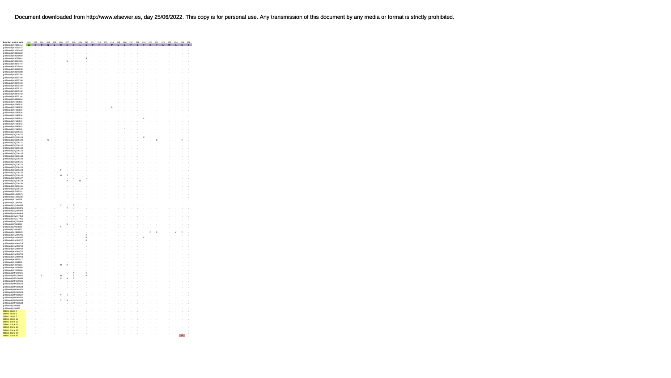| Position amino acid                                 | $\begin{array}{ c c c c } \hline 201 & 202 & 203 \\ \hline \textbf{W} & \textbf{G} & \textbf{P} \\ \hline \end{array}$ |    | 204         | 205      | 206        | 207          | 208 | 209 | 210          | 211          | 212          | 213 | $\frac{214}{P}$ | 215 | 216 | 217 | 218          | 219 | 220<br>221 |
|-----------------------------------------------------|------------------------------------------------------------------------------------------------------------------------|----|-------------|----------|------------|--------------|-----|-----|--------------|--------------|--------------|-----|-----------------|-----|-----|-----|--------------|-----|------------|
| prijhbucds/AY090454                                 |                                                                                                                        |    | $\mathbf N$ | <b>A</b> | $\epsilon$ | $\mathbf{s}$ | n.  | п.  | $\mathbf{s}$ | $\mathbf{P}$ | $\mathbf{r}$ | n.  |                 | E.  | E.  | P.  | $\mathbf{r}$ | к.  | $\epsilon$ |
|                                                     |                                                                                                                        |    |             |          |            |              |     |     |              |              |              |     |                 |     |     |     |              |     |            |
| .<br>grijhbeds AY090457<br>grijhbeds AY090460       |                                                                                                                        |    |             |          |            |              |     |     |              |              |              |     |                 |     |     |     |              |     |            |
| prihbycal/AB059550                                  |                                                                                                                        |    |             |          |            |              |     |     |              |              |              |     |                 |     |     |     |              |     |            |
| grijhbvcds/AB059659                                 |                                                                                                                        |    |             |          |            |              |     |     |              |              |              |     |                 |     |     |     |              |     |            |
|                                                     |                                                                                                                        |    |             |          |            |              |     |     | R            |              |              |     |                 |     |     |     |              |     |            |
| .<br>grijhbvcds AB050551<br>grijhbvcds AB054315     |                                                                                                                        |    |             |          |            | N            |     |     |              |              |              |     |                 |     |     |     |              |     |            |
|                                                     |                                                                                                                        |    |             |          |            |              |     |     |              |              |              |     |                 |     |     |     |              |     |            |
| gnijhbvcds (AB 179747                               |                                                                                                                        |    |             |          |            |              |     |     |              |              |              |     |                 |     |     |     |              |     |            |
| gril) bucds (AB 205010                              |                                                                                                                        |    |             |          |            |              |     |     |              |              |              |     |                 |     |     |     |              |     |            |
| prihbycos/AB268536                                  |                                                                                                                        |    |             |          |            |              |     |     |              |              |              |     |                 |     |     |     |              |     |            |
| grijhbvcds (AB275308                                |                                                                                                                        |    |             |          |            |              |     |     |              |              |              |     |                 |     |     |     |              |     |            |
| prihtvoda (AB353764                                 |                                                                                                                        |    |             |          |            |              |     |     |              |              |              |     |                 |     |     |     |              |     |            |
| prihtucds/AB353765                                  |                                                                                                                        |    |             |          |            |              |     |     |              |              |              |     |                 |     |     |     |              |     |            |
|                                                     |                                                                                                                        |    |             |          |            |              |     |     |              |              |              |     |                 |     |     |     |              |     |            |
| astraca (AB353766                                   |                                                                                                                        |    |             |          |            |              |     |     |              |              |              |     |                 |     |     |     |              |     |            |
| .<br>grijtbicds AB375159<br>grijtbicds AB375160     |                                                                                                                        |    |             |          |            |              |     |     |              |              |              |     |                 |     |     |     |              |     |            |
|                                                     |                                                                                                                        |    |             |          |            |              |     |     |              |              |              |     |                 |     |     |     |              |     |            |
| gnijhbvcds (AB 375161                               |                                                                                                                        |    |             |          |            |              |     |     |              |              |              |     |                 |     |     |     |              |     |            |
| grijhbvcds (AB375162                                |                                                                                                                        |    |             |          |            |              |     |     |              |              |              |     |                 |     |     |     |              |     |            |
|                                                     |                                                                                                                        |    |             |          |            |              |     |     |              |              |              |     |                 |     |     |     |              |     |            |
| grijhbvcds (AB375163<br>prihbycos AB375164          |                                                                                                                        |    |             |          |            |              |     |     |              |              |              |     |                 |     |     |     |              |     |            |
|                                                     |                                                                                                                        |    |             |          |            |              |     |     |              |              |              |     |                 |     |     |     |              |     |            |
| prihbycos/AB818694                                  |                                                                                                                        |    |             |          |            |              |     |     |              |              |              |     |                 |     |     |     |              |     |            |
| prihtucds/AF360531                                  |                                                                                                                        |    |             |          |            |              |     |     |              |              |              |     |                 |     |     |     |              |     |            |
| .<br>grijhbeds AF360535<br>grijhbeds AF360536       |                                                                                                                        |    |             |          |            |              |     |     |              |              |              |     |                 |     |     |     |              |     |            |
|                                                     |                                                                                                                        |    |             |          |            |              |     |     |              |              |              |     |                 |     |     |     |              |     |            |
| pri/hbvcds/AF369537                                 |                                                                                                                        |    |             |          |            |              |     |     |              |              |              |     |                 |     |     |     |              |     |            |
| pri/htw.ds/AF369538                                 |                                                                                                                        |    |             |          |            |              |     |     |              |              |              |     |                 |     |     |     |              |     |            |
|                                                     |                                                                                                                        |    |             |          |            |              |     |     |              |              |              |     |                 |     |     |     |              |     |            |
| pri/htxcds/AF369539                                 |                                                                                                                        |    |             |          |            |              |     |     |              |              |              |     |                 |     |     |     |              |     |            |
| prihbyzds (AF360540                                 |                                                                                                                        |    |             |          |            |              |     |     |              |              |              |     |                 |     |     |     |              | ċ   |            |
| prihbycos/AF360541                                  |                                                                                                                        |    |             |          |            |              |     |     |              |              |              |     |                 |     |     |     |              |     |            |
| prihtucds AF362642                                  |                                                                                                                        |    |             |          |            |              |     |     |              |              |              |     |                 |     |     |     |              |     |            |
| D-333CRA/about ling                                 |                                                                                                                        |    |             |          |            |              |     |     |              |              |              |     |                 |     |     |     |              |     |            |
| prihbycos/AF360545                                  |                                                                                                                        |    |             |          |            |              |     |     |              |              |              |     |                 |     |     |     |              |     |            |
| gnl) bucds (DQ236101                                |                                                                                                                        |    |             |          |            |              |     |     |              |              |              |     |                 |     |     |     |              |     |            |
| milhbycdsiDQ236102                                  |                                                                                                                        |    |             |          |            |              |     |     |              |              |              |     |                 |     |     |     |              |     |            |
|                                                     |                                                                                                                        |    |             |          |            |              |     |     |              |              |              |     |                 |     |     |     |              |     |            |
| grijhbvcds (DQ236106                                |                                                                                                                        |    |             |          |            |              |     |     |              |              |              |     |                 |     |     |     |              | c   |            |
| gnijhbvcds (DQ236109                                |                                                                                                                        |    | ŝ           |          |            |              |     |     |              |              |              |     |                 |     |     |     |              |     |            |
| grijhbvcds DQ236111                                 |                                                                                                                        |    |             |          |            |              |     |     |              |              |              |     |                 |     |     |     |              |     |            |
| grilhbvcds DQ236112                                 |                                                                                                                        |    |             |          |            |              |     |     |              |              |              |     |                 |     |     |     |              |     |            |
| prihbycal DQ236113                                  |                                                                                                                        |    |             |          |            |              |     |     |              |              |              |     |                 |     |     |     |              |     |            |
|                                                     |                                                                                                                        |    |             |          |            |              |     |     |              |              |              |     |                 |     |     |     |              |     |            |
| .<br>grijtov:ds DQ236114<br>grijtov:ds DQ236115     |                                                                                                                        |    |             |          |            |              |     |     |              |              |              |     |                 |     |     |     |              |     |            |
|                                                     |                                                                                                                        |    |             |          |            |              |     |     |              |              |              |     |                 |     |     |     |              |     |            |
| grijhbvcds (DQ236118                                |                                                                                                                        |    |             |          |            |              |     |     |              |              |              |     |                 |     |     |     |              |     |            |
| .<br>grijhbecds (DQ236120                           |                                                                                                                        |    |             |          |            |              |     |     |              |              |              |     |                 |     |     |     |              |     |            |
| .<br>gnl) bucds (DQ236121<br>gnl) bucds (DQ236122   |                                                                                                                        |    |             |          |            |              |     |     |              |              |              |     |                 |     |     |     |              |     |            |
|                                                     |                                                                                                                        |    |             |          |            |              |     |     |              |              |              |     |                 |     |     |     |              |     |            |
| grijhbvcds (DQ236123                                |                                                                                                                        |    |             |          |            |              |     |     |              |              |              |     |                 |     |     |     |              |     |            |
| grijhbvcds (DQ236124                                |                                                                                                                        |    |             |          | F          |              |     |     |              |              |              |     |                 |     |     |     |              |     |            |
|                                                     |                                                                                                                        |    |             |          |            |              |     |     |              |              |              |     |                 |     |     |     |              |     |            |
| grijhbvoda (DQ236125                                |                                                                                                                        |    |             |          |            |              |     |     |              |              |              |     |                 |     |     |     |              |     |            |
| .<br>grijhtvcds (DO236126<br>grijhtvcds (DO236127   |                                                                                                                        |    |             |          | н          | Ť            |     |     |              |              |              |     |                 |     |     |     |              |     |            |
|                                                     |                                                                                                                        |    |             |          |            |              |     |     |              |              |              |     |                 |     |     |     |              |     |            |
| grilhbvcds DQ236129                                 |                                                                                                                        |    |             |          |            | N            |     | W   |              |              |              |     |                 |     |     |     |              |     |            |
| grijhbvcds (DQ236130                                |                                                                                                                        |    |             |          |            |              |     |     |              |              |              |     |                 |     |     |     |              |     |            |
|                                                     |                                                                                                                        |    |             |          |            |              |     |     |              |              |              |     |                 |     |     |     |              |     |            |
| gnijhbvcds (DQ236131                                |                                                                                                                        |    |             |          |            |              |     |     |              |              |              |     |                 |     |     |     |              |     |            |
| grilhbvcds DQ236132                                 |                                                                                                                        |    |             |          |            |              |     |     |              |              |              |     |                 |     |     |     |              |     |            |
| prihbycos (EF157291                                 |                                                                                                                        |    |             |          |            |              |     |     |              |              |              |     |                 |     |     |     |              |     |            |
| prihbycos EU159675                                  |                                                                                                                        |    |             |          |            |              |     |     |              |              |              |     |                 |     |     |     |              |     |            |
| prihbycos EU498228                                  |                                                                                                                        |    |             |          |            |              |     |     |              |              |              |     |                 |     |     |     |              |     |            |
| grijhbvcds (FJ356715                                |                                                                                                                        |    |             |          |            |              |     |     |              |              |              |     |                 |     |     |     |              |     |            |
| printructs FJ356716                                 |                                                                                                                        |    |             |          |            |              |     |     |              |              |              |     |                 |     |     |     |              |     |            |
|                                                     |                                                                                                                        |    |             |          |            |              | ĭ   |     |              |              |              |     |                 |     |     |     |              |     |            |
| prihtucds(GQ486268                                  |                                                                                                                        |    |             |          |            |              |     |     |              |              |              |     |                 |     |     |     |              |     |            |
| prihtucds(GQ486375                                  |                                                                                                                        |    |             |          |            |              |     |     |              |              |              |     |                 |     |     |     |              |     |            |
| prihbycal GO488592                                  |                                                                                                                        |    |             |          |            |              |     |     |              |              |              |     |                 |     |     |     |              |     |            |
| pri/blocds/HM068946                                 |                                                                                                                        |    |             |          |            |              |     |     |              |              |              |     |                 |     |     |     |              |     |            |
| grijhbucds (HM117850                                |                                                                                                                        |    |             |          |            |              |     |     |              |              |              |     |                 |     |     |     |              |     |            |
|                                                     |                                                                                                                        |    |             |          |            |              |     |     |              |              |              |     |                 |     |     |     |              |     |            |
| .<br>gnl)tbx:ds HM117851<br>gnl)tbx:ds HQ285946     |                                                                                                                        |    |             |          |            |              |     |     |              |              |              |     |                 |     |     |     |              |     |            |
|                                                     |                                                                                                                        |    |             |          |            | N            |     |     |              |              |              |     |                 |     |     |     |              |     |            |
| grijhbvcds JN604202                                 |                                                                                                                        |    |             |          |            |              |     |     |              |              |              |     |                 |     |     |     |              |     |            |
| prihtwods 14004203                                  |                                                                                                                        |    |             |          |            |              |     |     |              |              |              |     |                 |     |     |     |              |     |            |
| pri/hbvcds JN604310                                 |                                                                                                                        |    |             |          |            |              |     |     |              |              |              |     |                 |     |     |     |              |     |            |
| grijhbvcds (KC836829                                |                                                                                                                        |    |             |          |            |              |     |     |              |              |              |     |                 |     |     |     |              |     | F          |
| grijhbvcds (KM606705                                |                                                                                                                        |    |             |          |            |              |     |     | R            |              |              |     |                 |     |     |     |              |     |            |
| gnijhbvcds (KM606937                                |                                                                                                                        |    |             |          |            |              |     |     | R            |              |              |     |                 |     |     |     |              | ¢   |            |
| grijhbucds (KM998717                                |                                                                                                                        |    |             |          |            |              |     |     | R            |              |              |     |                 |     |     |     |              |     |            |
| .<br>gnl) bucds (KM998718<br>gnl) bucds (KM998719   |                                                                                                                        |    |             |          |            |              |     |     |              |              |              |     |                 |     |     |     |              |     |            |
|                                                     |                                                                                                                        |    |             |          |            |              |     |     |              |              |              |     |                 |     |     |     |              |     |            |
|                                                     |                                                                                                                        |    |             |          |            |              |     |     |              |              |              |     |                 |     |     |     |              |     |            |
| grijhbucds (KM998720                                |                                                                                                                        |    |             |          |            |              |     |     |              |              |              |     |                 |     |     |     |              |     |            |
| prihbycds KM998721                                  |                                                                                                                        |    |             |          |            |              |     |     |              |              |              |     |                 |     |     |     |              |     |            |
| grijhtveds (KM998722                                |                                                                                                                        |    |             |          |            |              |     |     |              |              |              |     |                 |     |     |     |              |     |            |
| grilhbucds KM998723                                 |                                                                                                                        |    |             |          |            |              |     |     |              |              |              |     |                 |     |     |     |              |     |            |
| grijhbvcds (KP 997512                               |                                                                                                                        |    |             |          |            |              |     |     |              |              |              |     |                 |     |     |     |              |     |            |
|                                                     |                                                                                                                        |    |             |          |            |              |     |     |              |              |              |     |                 |     |     |     |              |     |            |
| grijhbvcds (KX264501                                |                                                                                                                        |    |             |          |            |              |     |     |              |              |              |     |                 |     |     |     |              |     |            |
| gnijhbvcds (KX372218                                |                                                                                                                        |    |             |          | w          | R            |     |     |              |              |              |     |                 |     |     |     |              |     |            |
| gri) bucda (KY 458059                               |                                                                                                                        |    |             |          |            |              |     |     |              |              |              |     |                 |     |     |     |              |     |            |
| grijhbucds (KY 458060                               |                                                                                                                        |    |             |          |            |              |     |     |              |              |              |     |                 |     |     |     |              |     |            |
| gnijhbvcds (MF150691                                |                                                                                                                        |    |             |          |            |              | ĭ   |     | Ŕ            |              |              |     |                 |     |     |     |              |     |            |
| grijhbvcds/MF150692                                 |                                                                                                                        | t, |             |          |            |              | Ÿ   |     | R            |              |              |     |                 |     |     |     |              |     |            |
|                                                     |                                                                                                                        |    |             |          | w<br>s     | N            | ۲   |     |              |              |              |     |                 |     |     |     |              |     |            |
| .<br>gnl) bucds (MF 150695<br>gnl) bucds (MF 150696 |                                                                                                                        |    |             |          |            |              |     |     |              |              |              |     |                 |     |     |     |              |     |            |
|                                                     |                                                                                                                        |    |             |          |            |              |     |     |              |              |              |     |                 |     |     |     |              |     |            |
| grijhbvcds/MK568522                                 |                                                                                                                        |    |             |          |            |              |     |     |              |              |              |     |                 |     |     |     |              |     |            |
| grijhbvcds/MK568523                                 |                                                                                                                        |    |             |          |            |              |     |     |              |              |              |     |                 |     |     |     |              |     |            |
|                                                     |                                                                                                                        |    |             |          |            |              |     |     |              |              |              |     |                 |     |     |     |              |     |            |
| .<br>grijhtvoda (MK 568524<br>grijhtvoda (MK 568526 |                                                                                                                        |    |             |          |            |              |     |     |              |              |              |     |                 |     |     |     |              |     |            |
| grijhbvcds/MK568527                                 |                                                                                                                        |    |             |          |            | ï            |     |     |              |              |              |     |                 |     |     |     |              |     |            |
|                                                     |                                                                                                                        |    |             |          |            |              |     |     |              |              |              |     |                 |     |     |     |              |     |            |
| gri) bucda MK568532                                 |                                                                                                                        |    |             |          |            |              |     |     |              |              |              |     |                 |     |     |     |              |     |            |
| prihbycols/MK568533                                 |                                                                                                                        |    |             |          |            | Ń            |     |     |              |              |              |     |                 |     |     |     |              |     |            |
| prihbycal MK568534                                  |                                                                                                                        |    |             |          |            |              |     |     |              |              |              |     |                 |     |     |     |              |     |            |
| grijhbvods(U91819                                   |                                                                                                                        |    |             |          |            |              |     |     |              |              |              |     |                 |     |     |     |              |     |            |
| milhbycds/LI91827                                   |                                                                                                                        |    |             |          |            |              |     |     |              |              |              |     |                 |     |     |     |              |     |            |
| OBI-41 clone 2                                      |                                                                                                                        |    |             |          |            |              |     |     |              |              |              |     |                 |     |     |     |              |     |            |
| OBI-41 clone 5                                      |                                                                                                                        |    |             |          |            |              |     |     |              |              |              |     |                 |     |     |     |              |     |            |
|                                                     |                                                                                                                        |    |             |          |            |              |     |     |              |              |              |     |                 |     |     |     |              |     |            |
| OBI-41 clone 7                                      |                                                                                                                        |    |             |          |            |              |     |     |              |              |              |     |                 |     |     |     |              |     |            |
| OBI-41 clane 11                                     |                                                                                                                        |    |             |          |            |              |     |     |              |              |              |     |                 |     |     |     |              |     |            |
| OBI-41 Clone 12<br>OBI-41 Clone 21                  |                                                                                                                        |    |             |          |            |              |     |     |              |              |              |     |                 |     |     |     |              |     |            |
|                                                     |                                                                                                                        |    |             |          |            |              |     |     |              |              |              |     |                 |     |     |     |              |     |            |
| OBI-41 Clone 24                                     |                                                                                                                        |    |             |          |            |              |     |     |              |              |              |     |                 |     |     |     |              |     |            |
| 08141 Clone 25                                      |                                                                                                                        |    |             |          |            |              |     |     |              |              |              |     |                 |     |     |     |              |     |            |
|                                                     |                                                                                                                        |    |             |          |            |              |     |     |              |              |              |     |                 |     |     |     |              |     |            |
| OBI-41 Clone 40                                     |                                                                                                                        |    |             |          |            |              |     |     |              |              |              |     |                 |     |     |     |              |     |            |
| OBI-41 Clone 47                                     |                                                                                                                        |    |             |          |            |              |     |     |              |              |              |     |                 |     |     |     |              |     |            |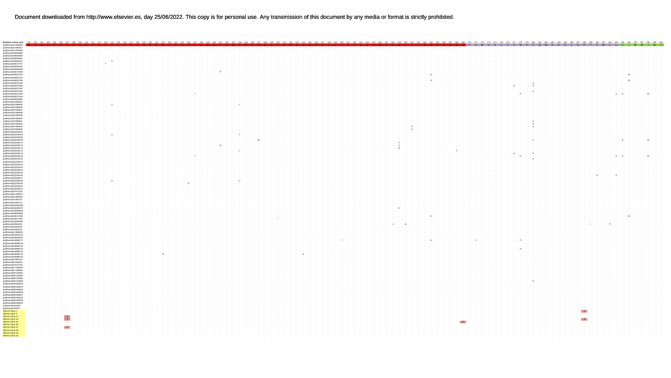| 时间,我们的人都是一种事情,我们的人都是一种事情。我们的人都是一种事情,我们的人都是不是不是,我们的人都是不是不是,我们的人都是不是不是,我们的人都是我们的时候,我们的人都是我们的时候,我们的人都是我们的人都是我们的人,我们的人都是我们的人,我们的人都是我们的人,我们的人都是我们的人,我们的人都是我们的人,我们的人都是我们的人,我们的人都是我们的人,我们的人都是我们的人,我们的人都是我们的人,我们的人都是我们的人,我们的人都是我们的人,我<br>$\frac{1}{2}$ , $\frac{1}{2}$ , | S<br>$\mathbf{s}$  | P<br>and a strategic and a strategic<br>$\frac{1}{2}$ , $\frac{1}{2}$<br>1919 - 1920 W. S. S. L<br>w.<br>N |   | D<br>D            |                                        | במסגר באופן המפורס המים המונים באופן המונים במסגר המונים במסגר המונים במסגר המונים במסגר המונים במסגר המונים ב<br>יש אופן המונים במסגר המונים במסגר המונים במינו המונים המונים במסגר המונים במסגר המונים המונים המונים במונים של<br>A<br>∴ â<br>A.<br>A<br>$\mathbf{r}$<br>-Á.<br>A | $_{\rm M}$<br><b>M</b><br>8A<br>$\mathbb{R}^n \times \mathbb{R}^n \times \mathbb{R}^n$ |
|------------------------------------------------------------------------------------------------------------------------------------------------------------------------------------------------------------------------------------------------------------------|--------------------|------------------------------------------------------------------------------------------------------------|---|-------------------|----------------------------------------|-------------------------------------------------------------------------------------------------------------------------------------------------------------------------------------------------------------------------------------------------------------------------------------|----------------------------------------------------------------------------------------|
|                                                                                                                                                                                                                                                                  |                    |                                                                                                            |   |                   |                                        |                                                                                                                                                                                                                                                                                     |                                                                                        |
|                                                                                                                                                                                                                                                                  |                    |                                                                                                            |   |                   |                                        |                                                                                                                                                                                                                                                                                     |                                                                                        |
|                                                                                                                                                                                                                                                                  |                    |                                                                                                            |   |                   |                                        |                                                                                                                                                                                                                                                                                     |                                                                                        |
|                                                                                                                                                                                                                                                                  |                    |                                                                                                            |   |                   |                                        |                                                                                                                                                                                                                                                                                     |                                                                                        |
|                                                                                                                                                                                                                                                                  |                    |                                                                                                            |   |                   |                                        |                                                                                                                                                                                                                                                                                     |                                                                                        |
|                                                                                                                                                                                                                                                                  |                    |                                                                                                            |   |                   |                                        |                                                                                                                                                                                                                                                                                     |                                                                                        |
|                                                                                                                                                                                                                                                                  |                    |                                                                                                            |   |                   |                                        |                                                                                                                                                                                                                                                                                     |                                                                                        |
|                                                                                                                                                                                                                                                                  |                    |                                                                                                            |   |                   |                                        |                                                                                                                                                                                                                                                                                     |                                                                                        |
|                                                                                                                                                                                                                                                                  |                    |                                                                                                            |   |                   |                                        |                                                                                                                                                                                                                                                                                     |                                                                                        |
|                                                                                                                                                                                                                                                                  |                    |                                                                                                            |   |                   |                                        |                                                                                                                                                                                                                                                                                     |                                                                                        |
|                                                                                                                                                                                                                                                                  |                    |                                                                                                            |   |                   |                                        |                                                                                                                                                                                                                                                                                     |                                                                                        |
|                                                                                                                                                                                                                                                                  |                    |                                                                                                            |   |                   |                                        |                                                                                                                                                                                                                                                                                     |                                                                                        |
|                                                                                                                                                                                                                                                                  |                    |                                                                                                            |   |                   |                                        |                                                                                                                                                                                                                                                                                     |                                                                                        |
|                                                                                                                                                                                                                                                                  |                    |                                                                                                            |   |                   |                                        |                                                                                                                                                                                                                                                                                     |                                                                                        |
|                                                                                                                                                                                                                                                                  |                    |                                                                                                            |   |                   |                                        |                                                                                                                                                                                                                                                                                     |                                                                                        |
|                                                                                                                                                                                                                                                                  |                    |                                                                                                            |   |                   |                                        |                                                                                                                                                                                                                                                                                     |                                                                                        |
|                                                                                                                                                                                                                                                                  |                    |                                                                                                            |   |                   |                                        |                                                                                                                                                                                                                                                                                     |                                                                                        |
|                                                                                                                                                                                                                                                                  |                    |                                                                                                            |   |                   |                                        |                                                                                                                                                                                                                                                                                     |                                                                                        |
|                                                                                                                                                                                                                                                                  |                    |                                                                                                            |   |                   |                                        |                                                                                                                                                                                                                                                                                     |                                                                                        |
|                                                                                                                                                                                                                                                                  |                    |                                                                                                            |   |                   |                                        |                                                                                                                                                                                                                                                                                     |                                                                                        |
|                                                                                                                                                                                                                                                                  |                    |                                                                                                            |   |                   |                                        |                                                                                                                                                                                                                                                                                     |                                                                                        |
|                                                                                                                                                                                                                                                                  |                    |                                                                                                            |   |                   |                                        |                                                                                                                                                                                                                                                                                     |                                                                                        |
|                                                                                                                                                                                                                                                                  |                    |                                                                                                            |   |                   |                                        |                                                                                                                                                                                                                                                                                     |                                                                                        |
|                                                                                                                                                                                                                                                                  |                    |                                                                                                            |   |                   |                                        | - A                                                                                                                                                                                                                                                                                 | M<br>A                                                                                 |
|                                                                                                                                                                                                                                                                  |                    |                                                                                                            |   | $\vee$            |                                        |                                                                                                                                                                                                                                                                                     |                                                                                        |
|                                                                                                                                                                                                                                                                  |                    |                                                                                                            |   | $\mathbf{v}$<br>R |                                        |                                                                                                                                                                                                                                                                                     |                                                                                        |
|                                                                                                                                                                                                                                                                  |                    | <b>Controller</b>                                                                                          |   |                   | $\vee$                                 |                                                                                                                                                                                                                                                                                     |                                                                                        |
|                                                                                                                                                                                                                                                                  | $2 - 1$            |                                                                                                            |   |                   |                                        | A.<br>$\ldots$ . A .<br>p                                                                                                                                                                                                                                                           | 8A<br>$\Box$ .<br><br>M                                                                |
|                                                                                                                                                                                                                                                                  |                    |                                                                                                            |   |                   |                                        |                                                                                                                                                                                                                                                                                     |                                                                                        |
|                                                                                                                                                                                                                                                                  |                    |                                                                                                            |   |                   |                                        |                                                                                                                                                                                                                                                                                     |                                                                                        |
|                                                                                                                                                                                                                                                                  |                    |                                                                                                            |   |                   |                                        |                                                                                                                                                                                                                                                                                     |                                                                                        |
|                                                                                                                                                                                                                                                                  |                    |                                                                                                            |   |                   |                                        |                                                                                                                                                                                                                                                                                     |                                                                                        |
|                                                                                                                                                                                                                                                                  |                    |                                                                                                            |   |                   |                                        |                                                                                                                                                                                                                                                                                     | A<br>$\cdot$ 8                                                                         |
|                                                                                                                                                                                                                                                                  |                    |                                                                                                            |   |                   |                                        |                                                                                                                                                                                                                                                                                     |                                                                                        |
|                                                                                                                                                                                                                                                                  | s.<br>$\mathbf{s}$ | V                                                                                                          |   |                   |                                        |                                                                                                                                                                                                                                                                                     |                                                                                        |
|                                                                                                                                                                                                                                                                  |                    |                                                                                                            |   |                   |                                        |                                                                                                                                                                                                                                                                                     |                                                                                        |
|                                                                                                                                                                                                                                                                  |                    |                                                                                                            |   |                   |                                        |                                                                                                                                                                                                                                                                                     |                                                                                        |
|                                                                                                                                                                                                                                                                  |                    |                                                                                                            |   |                   |                                        |                                                                                                                                                                                                                                                                                     |                                                                                        |
|                                                                                                                                                                                                                                                                  |                    |                                                                                                            |   |                   |                                        |                                                                                                                                                                                                                                                                                     |                                                                                        |
|                                                                                                                                                                                                                                                                  |                    |                                                                                                            |   |                   |                                        |                                                                                                                                                                                                                                                                                     |                                                                                        |
|                                                                                                                                                                                                                                                                  |                    |                                                                                                            |   |                   |                                        |                                                                                                                                                                                                                                                                                     |                                                                                        |
|                                                                                                                                                                                                                                                                  |                    |                                                                                                            |   | $A = 1$           |                                        |                                                                                                                                                                                                                                                                                     |                                                                                        |
|                                                                                                                                                                                                                                                                  |                    |                                                                                                            |   | <b>Contractor</b> |                                        |                                                                                                                                                                                                                                                                                     |                                                                                        |
|                                                                                                                                                                                                                                                                  |                    |                                                                                                            |   |                   | $\mathbf{b}$ . The set of $\mathbf{b}$ |                                                                                                                                                                                                                                                                                     |                                                                                        |
|                                                                                                                                                                                                                                                                  |                    |                                                                                                            |   |                   |                                        |                                                                                                                                                                                                                                                                                     |                                                                                        |
|                                                                                                                                                                                                                                                                  |                    |                                                                                                            |   | $k = 1 - N$       |                                        |                                                                                                                                                                                                                                                                                     | <b>The Contract Contract</b>                                                           |
|                                                                                                                                                                                                                                                                  |                    |                                                                                                            |   |                   |                                        |                                                                                                                                                                                                                                                                                     |                                                                                        |
|                                                                                                                                                                                                                                                                  |                    |                                                                                                            |   |                   |                                        |                                                                                                                                                                                                                                                                                     |                                                                                        |
|                                                                                                                                                                                                                                                                  |                    |                                                                                                            |   |                   |                                        |                                                                                                                                                                                                                                                                                     |                                                                                        |
|                                                                                                                                                                                                                                                                  |                    |                                                                                                            |   | $\alpha$          | $ \theta$                              | $\mathbf{p}$                                                                                                                                                                                                                                                                        |                                                                                        |
|                                                                                                                                                                                                                                                                  |                    |                                                                                                            |   |                   |                                        |                                                                                                                                                                                                                                                                                     |                                                                                        |
|                                                                                                                                                                                                                                                                  |                    |                                                                                                            |   |                   |                                        |                                                                                                                                                                                                                                                                                     |                                                                                        |
|                                                                                                                                                                                                                                                                  | R                  |                                                                                                            | E |                   |                                        |                                                                                                                                                                                                                                                                                     |                                                                                        |
|                                                                                                                                                                                                                                                                  |                    |                                                                                                            |   |                   |                                        |                                                                                                                                                                                                                                                                                     |                                                                                        |
|                                                                                                                                                                                                                                                                  |                    |                                                                                                            |   |                   |                                        |                                                                                                                                                                                                                                                                                     |                                                                                        |
|                                                                                                                                                                                                                                                                  |                    |                                                                                                            |   |                   |                                        |                                                                                                                                                                                                                                                                                     |                                                                                        |
|                                                                                                                                                                                                                                                                  |                    |                                                                                                            |   |                   |                                        |                                                                                                                                                                                                                                                                                     |                                                                                        |
|                                                                                                                                                                                                                                                                  |                    |                                                                                                            |   |                   |                                        |                                                                                                                                                                                                                                                                                     |                                                                                        |
|                                                                                                                                                                                                                                                                  |                    |                                                                                                            |   |                   |                                        |                                                                                                                                                                                                                                                                                     |                                                                                        |
|                                                                                                                                                                                                                                                                  |                    |                                                                                                            |   |                   |                                        | -Á.                                                                                                                                                                                                                                                                                 |                                                                                        |
|                                                                                                                                                                                                                                                                  |                    |                                                                                                            |   |                   |                                        |                                                                                                                                                                                                                                                                                     |                                                                                        |
|                                                                                                                                                                                                                                                                  |                    |                                                                                                            |   |                   |                                        |                                                                                                                                                                                                                                                                                     |                                                                                        |
|                                                                                                                                                                                                                                                                  |                    |                                                                                                            |   |                   |                                        |                                                                                                                                                                                                                                                                                     |                                                                                        |
|                                                                                                                                                                                                                                                                  |                    |                                                                                                            |   |                   |                                        |                                                                                                                                                                                                                                                                                     |                                                                                        |
|                                                                                                                                                                                                                                                                  |                    |                                                                                                            |   |                   |                                        |                                                                                                                                                                                                                                                                                     |                                                                                        |
|                                                                                                                                                                                                                                                                  |                    |                                                                                                            |   |                   |                                        |                                                                                                                                                                                                                                                                                     |                                                                                        |
|                                                                                                                                                                                                                                                                  |                    |                                                                                                            |   |                   |                                        |                                                                                                                                                                                                                                                                                     |                                                                                        |
|                                                                                                                                                                                                                                                                  |                    |                                                                                                            |   |                   |                                        | T                                                                                                                                                                                                                                                                                   |                                                                                        |
| $\frac{Y}{Y}$                                                                                                                                                                                                                                                    |                    |                                                                                                            |   |                   |                                        |                                                                                                                                                                                                                                                                                     |                                                                                        |
|                                                                                                                                                                                                                                                                  |                    |                                                                                                            |   |                   |                                        | T                                                                                                                                                                                                                                                                                   |                                                                                        |
|                                                                                                                                                                                                                                                                  |                    |                                                                                                            |   |                   | $\overline{c}$                         |                                                                                                                                                                                                                                                                                     |                                                                                        |
| <b>Y</b>                                                                                                                                                                                                                                                         |                    |                                                                                                            |   |                   |                                        |                                                                                                                                                                                                                                                                                     |                                                                                        |
| 143 Clone 42                                                                                                                                                                                                                                                     |                    |                                                                                                            |   |                   |                                        |                                                                                                                                                                                                                                                                                     |                                                                                        |
| El-43 Clone 43                                                                                                                                                                                                                                                   |                    |                                                                                                            |   |                   |                                        |                                                                                                                                                                                                                                                                                     |                                                                                        |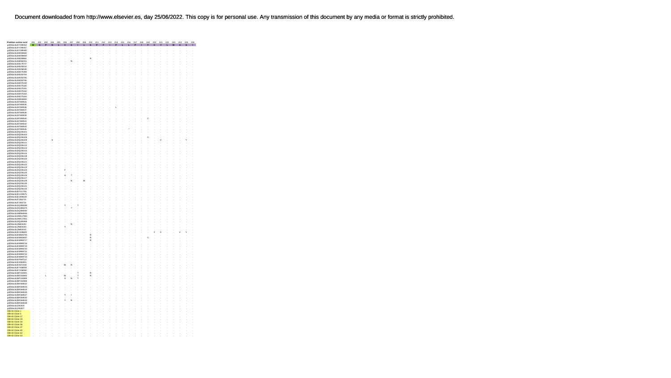| Position amino acid                               | 201 | 202       | 203 | 204            | 205 | 206 | 207          | 208 | 200 | 210 | 211 | 212 | 213 | 214 | 215 | 216 | 217 | 218 | 219 | 220 | 221 | 222 | 223 | 224            | 225 | 226            |
|---------------------------------------------------|-----|-----------|-----|----------------|-----|-----|--------------|-----|-----|-----|-----|-----|-----|-----|-----|-----|-----|-----|-----|-----|-----|-----|-----|----------------|-----|----------------|
| prihbvods/AY090454                                | w   | $\bullet$ | P.  | $\overline{N}$ | n.  | c.  | $\mathbf{x}$ | п.  | п.  | s.  | ×   | ×   | п   | ø.  |     | п.  | P.  | n.  | ×   | c.  | Y   | п.  | w   | $\overline{A}$ | s.  | $\mathbf{H}$ . |
|                                                   |     |           |     |                |     |     |              |     |     |     |     |     |     |     |     |     |     |     |     |     |     |     |     |                |     |                |
| .<br>grijhbvods AY050457<br>grijhbvods AY050460   |     |           |     |                |     |     |              |     |     |     |     |     |     |     |     |     |     |     |     |     |     |     |     |                |     |                |
|                                                   |     |           |     |                |     |     |              |     |     |     |     |     |     |     |     |     |     |     |     |     |     |     |     |                |     |                |
| grijhbvoda (AB059660                              |     |           |     |                |     |     |              |     |     |     |     |     |     |     |     |     |     |     |     |     |     |     |     |                |     |                |
| gnijhbvods/AB050650                               |     |           |     |                |     |     |              |     |     |     |     |     |     |     |     |     |     |     |     |     |     |     |     |                |     |                |
| .<br>grijtbrods AB050651<br>grijtbrods AB064315   |     |           |     |                |     |     |              |     |     | Ŕ   |     |     |     |     |     |     |     |     |     |     |     |     |     |                |     |                |
|                                                   |     |           |     |                |     |     | N            |     |     |     |     |     |     |     |     |     |     |     |     |     |     |     |     |                |     |                |
| grijhbvods (AB179747                              |     |           |     |                |     |     |              |     |     |     |     |     |     |     |     |     |     |     |     |     |     |     |     |                |     |                |
| grijhbvods (AB205010                              |     |           |     |                |     |     |              |     |     |     |     |     |     |     |     |     |     |     |     |     |     |     |     |                |     |                |
| gril) byzds (AB266536                             |     |           |     |                |     |     |              |     |     |     |     |     |     |     |     |     |     |     |     |     |     |     |     |                |     |                |
| grijhbvods (AB275308                              |     |           |     |                |     |     |              |     |     |     |     |     |     |     |     |     |     |     |     |     |     |     |     |                |     |                |
| grijhbvoda (AB353764                              |     |           |     |                |     |     |              |     |     |     |     |     |     |     |     |     |     |     |     |     |     |     |     |                |     |                |
| gril) bruds (AB353765                             |     |           |     |                |     |     |              |     |     |     |     |     |     |     |     |     |     |     |     |     |     |     |     |                |     |                |
| grijhbvoda (AB353766                              |     |           |     |                |     |     |              |     |     |     |     |     |     |     |     |     |     |     |     |     |     |     |     |                |     |                |
| grijhbvoda (AB375159                              |     |           |     |                |     |     |              |     |     |     |     |     |     |     |     |     |     |     |     |     |     |     |     |                |     |                |
| grijhbvods (AB375160                              |     |           |     |                |     |     |              |     |     |     |     |     |     |     |     |     |     |     |     |     |     |     |     |                |     |                |
| grijhbvoda (AB375161                              |     |           |     |                |     |     |              |     |     |     |     |     |     |     |     |     |     |     |     |     |     |     |     |                |     |                |
| grilhbvods (AB375162)                             |     |           |     |                |     |     |              |     |     |     |     |     |     |     |     |     |     |     |     |     |     |     |     |                |     |                |
| grijhbvoda (AB375163                              |     |           |     |                |     |     |              |     |     |     |     |     |     |     |     |     |     |     |     |     |     |     |     |                |     |                |
| grijhbvoda (AB375164                              |     |           |     |                |     |     |              |     |     |     |     |     |     |     |     |     |     |     |     |     |     |     |     |                |     |                |
| grijhbvoda jAB818094                              |     |           |     |                |     |     |              |     |     |     |     |     |     |     |     |     |     |     |     |     |     |     |     |                |     |                |
| grijhbvodajAF369531                               |     |           |     |                |     |     |              |     |     |     |     |     |     |     |     |     |     |     |     |     |     |     |     |                |     |                |
| grijhbvods (AF369535                              |     |           |     |                |     |     |              |     |     |     |     |     |     |     |     |     |     |     |     |     |     |     |     |                |     |                |
| pri) byzds AF369536                               |     |           |     |                |     |     |              |     |     |     |     |     |     |     |     |     |     |     |     |     |     |     |     |                |     |                |
| gril) byzds (AF369537                             |     |           |     |                |     |     |              |     |     |     |     |     |     |     |     |     |     |     |     |     |     |     |     |                |     |                |
| gril) byzds (AF369538                             |     |           |     |                |     |     |              |     |     |     |     |     |     |     |     |     |     |     |     |     |     |     |     |                |     |                |
| .<br>grijhbvoda (AF369539                         |     |           |     |                |     |     |              |     |     |     |     |     |     |     |     |     |     |     |     |     |     |     |     |                |     |                |
|                                                   |     |           |     |                |     |     |              |     |     |     |     |     |     |     |     |     |     |     | ċ   |     |     |     |     |                |     |                |
| .<br>gri hbvods AF369540<br>gri hbvods AF369541   |     |           |     |                |     |     |              |     |     |     |     |     |     |     |     |     |     |     |     |     |     |     |     |                |     |                |
| grijhbvods (AF369542                              |     |           |     |                |     |     |              |     |     |     |     |     |     |     |     |     |     |     |     |     |     |     |     |                |     |                |
|                                                   |     |           |     |                |     |     |              |     |     |     |     |     |     |     |     |     |     |     |     |     |     |     |     |                |     |                |
| prihbvods (AF389543                               |     |           |     |                |     |     |              |     |     |     |     |     |     |     |     |     |     |     |     |     |     |     |     |                |     |                |
| .<br>grijhbvods AF369545<br>grijhbvods DQ236101   |     |           |     |                |     |     |              |     |     |     |     |     |     |     |     |     |     |     |     |     |     |     |     |                |     |                |
| grijhbvods (DQ236102                              |     |           |     |                |     |     |              |     |     |     |     |     |     |     |     |     |     |     |     |     |     |     |     |                |     |                |
| grijhbvods (DQ236106                              |     |           |     |                |     |     |              |     |     |     |     |     |     |     |     |     |     |     | ċ   |     |     |     |     |                |     |                |
|                                                   |     |           |     | Ś              |     |     |              |     |     |     |     |     |     |     |     |     |     |     |     |     | ¢   |     |     |                |     |                |
| .<br>grijtevods (DQZ36109<br>grijtevods (DQZ36111 |     |           |     |                |     |     |              |     |     |     |     |     |     |     |     |     |     |     |     |     |     |     |     |                |     |                |
|                                                   |     |           |     |                |     |     |              |     |     |     |     |     |     |     |     |     |     |     |     |     |     |     |     |                |     |                |
| grijhbvods (DQ236112                              |     |           |     |                |     |     |              |     |     |     |     |     |     |     |     |     |     |     |     |     |     |     |     |                |     |                |
| gnl) bucds (DQ236113                              |     |           |     |                |     |     |              |     |     |     |     |     |     |     |     |     |     |     |     |     |     |     |     |                |     |                |
| .<br>grijhbvoda (DOZ36114<br>grijhbvoda (DOZ36115 |     |           |     |                |     |     |              |     |     |     |     |     |     |     |     |     |     |     |     |     |     |     |     |                |     |                |
|                                                   |     |           |     |                |     |     |              |     |     |     |     |     |     |     |     |     |     |     |     |     |     |     |     |                |     |                |
| gnl)hbvcds(DQ236118                               |     |           |     |                |     |     |              |     |     |     |     |     |     |     |     |     |     |     |     |     |     |     |     |                |     |                |
| gnl) buoda (DQ236120                              |     |           |     |                |     |     |              |     |     |     |     |     |     |     |     |     |     |     |     |     |     |     |     |                |     |                |
| .<br>grijhbvoda (DO236121<br>grijhbvoda (DO236122 |     |           |     |                |     |     |              |     |     |     |     |     |     |     |     |     |     |     |     |     |     |     |     |                |     |                |
|                                                   |     |           |     |                |     |     |              |     |     |     |     |     |     |     |     |     |     |     |     |     |     |     |     |                |     |                |
| gnl) bucds (DQ236123                              |     |           |     |                |     |     |              |     |     |     |     |     |     |     |     |     |     |     |     |     |     |     |     |                |     |                |
| gril) brods (DQ236124                             |     |           |     |                |     |     |              |     |     |     |     |     |     |     |     |     |     |     |     |     |     |     |     |                |     |                |
| gril) byzds DQ236125                              |     |           |     |                |     |     |              |     |     |     |     |     |     |     |     |     |     |     |     |     |     |     |     |                |     |                |
| gril) byzds (DQ236126                             |     |           |     |                |     | H   | T            |     |     |     |     |     |     |     |     |     |     |     |     |     |     |     |     |                |     |                |
| grijhbvoda (DQ236127                              |     |           |     |                |     |     |              |     |     |     |     |     |     |     |     |     |     |     |     |     |     |     |     |                |     |                |
| militévoda (DO236129)                             |     |           |     |                |     |     | N            |     | w   |     |     |     |     |     |     |     |     |     |     |     |     |     |     |                |     |                |
| gril) brods (DQ236130                             |     |           |     |                |     |     |              |     |     |     |     |     |     |     |     |     |     |     |     |     |     |     |     |                |     |                |
| grijhbvoda (DQ236131                              |     |           |     |                |     |     |              |     |     |     |     |     |     |     |     |     |     |     |     |     |     |     |     |                |     |                |
| gril) brods DQ236132                              |     |           |     |                |     |     |              |     |     |     |     |     |     |     |     |     |     |     |     |     |     |     |     |                |     |                |
| gril) byzds (EF157291                             |     |           |     |                |     |     |              |     |     |     |     |     |     |     |     |     |     |     |     |     |     |     |     |                |     |                |
| prihbvoda EU159675                                |     |           |     |                |     |     |              |     |     |     |     |     |     |     |     |     |     |     |     |     |     |     |     |                |     |                |
|                                                   |     |           |     |                |     |     |              |     |     |     |     |     |     |     |     |     |     |     |     |     |     |     |     |                |     |                |
| .<br>grijtbroda (EU498228<br>grijtbroda (FJ356715 |     |           |     |                |     |     |              |     |     |     |     |     |     |     |     |     |     |     |     |     |     |     |     |                |     |                |
| grijhbvoda (FJ356716                              |     |           |     |                |     |     |              |     |     |     |     |     |     |     |     |     |     |     |     |     |     |     |     |                |     |                |
| gril) brods (GQ486268                             |     |           |     |                |     |     |              |     |     |     |     |     |     |     |     |     |     |     |     |     |     |     |     |                |     |                |
|                                                   |     |           |     |                |     |     |              |     |     |     |     |     |     |     |     |     |     |     |     |     |     |     |     |                |     |                |
| grijhbvoda (GQ486375<br>milhbuoda (GQ488592       |     |           |     |                |     |     |              |     |     |     |     |     |     |     |     |     |     |     |     |     |     |     |     |                |     |                |
| pri) bucds (HM000046                              |     |           |     |                |     |     |              |     |     |     |     |     |     |     |     |     |     |     |     |     |     |     |     |                |     |                |
| grijhbvods (HM117850                              |     |           |     |                |     |     |              |     |     |     |     |     |     |     |     |     |     |     |     |     |     |     |     |                |     |                |
|                                                   |     |           |     |                |     |     |              |     |     |     |     |     |     |     |     |     |     |     |     |     |     |     |     |                |     |                |
| .<br>grijhbvods (HM117851<br>grijhbvods (HQ285946 |     |           |     |                |     |     |              |     |     |     |     |     |     |     |     |     |     |     |     |     |     |     |     |                |     |                |
| gril) byzda   Piłó04202                           |     |           |     |                |     |     | N            |     |     |     |     |     |     |     |     |     |     |     |     |     |     |     |     |                |     |                |
|                                                   |     |           |     |                |     |     |              |     |     |     |     |     |     |     |     |     |     |     |     |     |     |     |     |                |     |                |
| .<br>grijtevota (JNSD4203                         |     |           |     |                |     |     |              |     |     |     |     |     |     |     |     |     |     |     |     |     |     |     |     |                |     |                |
| pri/hbvcds(JNSD4310                               |     |           |     |                |     |     |              |     |     |     |     |     |     |     |     |     |     |     |     |     |     |     |     |                |     |                |
| .<br>grijhbvods (KC836829<br>grijhbvods (KM606705 |     |           |     |                |     |     |              |     |     |     |     |     |     |     |     |     |     |     |     | ×   | ċ   |     |     | V              |     |                |
|                                                   |     |           |     |                |     |     |              |     |     | Ŕ   |     |     |     |     |     |     |     |     |     |     |     |     |     |                |     |                |
| grijhbvods (KM606237                              |     |           |     |                |     |     |              |     |     | Ŕ   |     |     |     |     |     |     |     |     | ċ   |     |     |     |     |                |     |                |
| gnl)hbvcds (KM998717                              |     |           |     |                |     |     |              |     |     | R   |     |     |     |     |     |     |     |     |     |     |     |     |     |                |     |                |
| .<br>grijhbvods (KM958718<br>grijhbvods (KM958719 |     |           |     |                |     |     |              |     |     |     |     |     |     |     |     |     |     |     |     |     |     |     |     |                |     |                |
|                                                   |     |           |     |                |     |     |              |     |     |     |     |     |     |     |     |     |     |     |     |     |     |     |     |                |     |                |
| grijhbvods (KM998720                              |     |           |     |                |     |     |              |     |     |     |     |     |     |     |     |     |     |     |     |     |     |     |     |                |     |                |
| grijhbvods (KM998721                              |     |           |     |                |     |     |              |     |     |     |     |     |     |     |     |     |     |     |     |     |     |     |     |                |     |                |
| grilhbuoda (KM198722                              |     |           |     |                |     |     |              |     |     |     |     |     |     |     |     |     |     |     |     |     |     |     |     |                |     |                |
| grilhbuods (KM198723                              |     |           |     |                |     |     |              |     |     |     |     |     |     |     |     |     |     |     |     |     |     |     |     |                |     |                |
| grijhbvods (KP997512                              |     |           |     |                |     |     |              |     |     |     |     |     |     |     |     |     |     |     |     |     |     |     |     |                |     |                |
| grijhbvoda (KX284501                              |     |           |     |                |     |     |              |     |     |     |     |     |     |     |     |     |     |     |     |     |     |     |     |                |     |                |
| gril) byzds (KX372218                             |     |           |     |                |     | w   | R            |     |     |     |     |     |     |     |     |     |     |     |     |     |     |     |     |                |     |                |
| grijhbvods (KY458059                              |     |           |     |                |     |     |              |     |     |     |     |     |     |     |     |     |     |     |     |     |     |     |     |                |     |                |
| grijhbvods (KY458080                              |     |           |     |                |     |     |              |     |     |     |     |     |     |     |     |     |     |     |     |     |     |     |     |                |     |                |
| gril) byzds (MF 150691                            |     |           |     |                |     |     |              |     |     |     |     |     |     |     |     |     |     |     |     |     |     |     |     |                |     |                |
| gril) byzds MF 150692                             |     |           | t.  |                |     | W   |              |     |     |     |     |     |     |     |     |     |     |     |     |     |     |     |     |                |     |                |
|                                                   |     |           |     |                |     | ś   | N            |     |     |     |     |     |     |     |     |     |     |     |     |     |     |     |     |                |     |                |
| .<br>grijhbvods MF150695<br>grijhbvods MF150696   |     |           |     |                |     |     |              |     |     |     |     |     |     |     |     |     |     |     |     |     |     |     |     |                |     |                |
| gril) byzds MK568522                              |     |           |     |                |     |     |              |     |     |     |     |     |     |     |     |     |     |     |     |     |     |     |     |                |     |                |
| pri) byzds MK568523                               |     |           |     |                |     |     |              |     |     |     |     |     |     |     |     |     |     |     |     |     |     |     |     |                |     |                |
| grijhbvods (MK568524                              |     |           |     |                |     |     |              |     |     |     |     |     |     |     |     |     |     |     |     |     |     |     |     |                |     |                |
| gril) byzds MK568526                              |     |           |     |                |     |     |              |     |     |     |     |     |     |     |     |     |     |     |     |     |     |     |     |                |     |                |
| gri) byzds MK568527                               |     |           |     |                |     |     |              |     |     |     |     |     |     |     |     |     |     |     |     |     |     |     |     |                |     |                |
| grijhbvods (MK568532                              |     |           |     |                |     |     |              |     |     |     |     |     |     |     |     |     |     |     |     |     |     |     |     |                |     |                |
| .<br>grijtevods/MK568533                          |     |           |     |                |     |     | N            |     |     |     |     |     |     |     |     |     |     |     |     |     |     |     |     |                |     |                |
| prihtuoda MK568534                                |     |           |     |                |     |     |              |     |     |     |     |     |     |     |     |     |     |     |     |     |     |     |     |                |     |                |
| prihbvods(U91819                                  |     |           |     |                |     |     |              |     |     |     |     |     |     |     |     |     |     |     |     |     |     |     |     |                |     |                |
|                                                   |     |           |     |                |     |     |              |     |     |     |     |     |     |     |     |     |     |     |     |     |     |     |     |                |     |                |
| gnijhbvods (U91827<br><b>ORLAN Close 1</b>        |     |           |     |                |     |     |              |     |     |     |     |     |     |     |     |     |     |     |     |     |     |     |     |                |     |                |
|                                                   |     |           |     |                |     |     |              |     |     |     |     |     |     |     |     |     |     |     |     |     |     |     |     |                |     |                |
| 08143 Clone 5                                     |     |           |     |                |     |     |              |     |     |     |     |     |     |     |     |     |     |     |     |     |     |     |     |                |     |                |
| <b>OBI-43 Clone 17</b>                            |     |           |     |                |     |     |              |     |     |     |     |     |     |     |     |     |     |     |     |     |     |     |     |                |     |                |
| <b>OBI-43 Clone 19</b>                            |     |           |     |                |     |     |              |     |     |     |     |     |     |     |     |     |     |     |     |     |     |     |     |                |     |                |
| 08143 Clone 34                                    |     |           |     |                |     |     |              |     |     |     |     |     |     |     |     |     |     |     |     |     |     |     |     |                |     |                |
| 08143 Clone 36                                    |     |           |     |                |     |     |              |     |     |     |     |     |     |     |     |     |     |     |     |     |     |     |     |                |     |                |
| 08143 Clone 37                                    |     |           |     |                |     |     |              |     |     |     |     |     |     |     |     |     |     |     |     |     |     |     |     |                |     |                |
| 08143 Clone 40                                    |     |           |     |                |     |     |              |     |     |     |     |     |     |     |     |     |     |     |     |     |     |     |     |                |     |                |
| <b>OB143 Clone 42</b>                             |     |           |     |                |     |     |              |     |     |     |     |     |     |     |     |     |     |     |     |     |     |     |     |                |     |                |
| <b>08143 Clone 43</b>                             |     |           |     |                |     |     |              |     |     |     |     |     |     |     |     |     |     |     |     |     |     |     |     |                |     |                |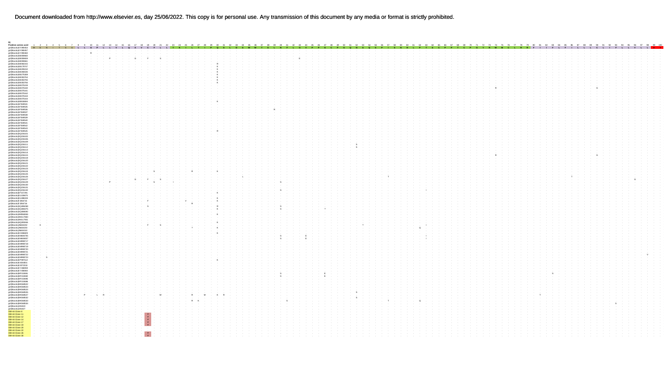|                                                                               | Position anima add 1 2 3 4 5 6 7 8 9 10 11 12 13 14 15 16 17 18 19 20 21 22 23 24 25 26 27 28 29 30 31 32 32 34 32 33 33 33 40 41<br>griftonablication: <mark>1 8 14 1 7 8 6 1 1 0 P 1 1 V 1 0 A V C F 1 1 1 7 8 1 1 7 8 9 8 1 0 8 10 </mark> |                 |                                                                                                                                                                                      |         |   |                                                                                 |              |  |          |        |            |  |                              |     |          |  |   |  |        |  | ים לא מציע מציע מציע המונים לא מציע המונים מציע מציע מציע המונים לא מציע מציע מציע מציע מציע מציע המציע המציע<br><mark>לום מונים לא מציע המציע המציע המציע המציע המציע המציע המציע המציע המציע המציע המ</mark> ציע המציע המציע המציע המציע ה |  |
|-------------------------------------------------------------------------------|-----------------------------------------------------------------------------------------------------------------------------------------------------------------------------------------------------------------------------------------------|-----------------|--------------------------------------------------------------------------------------------------------------------------------------------------------------------------------------|---------|---|---------------------------------------------------------------------------------|--------------|--|----------|--------|------------|--|------------------------------|-----|----------|--|---|--|--------|--|----------------------------------------------------------------------------------------------------------------------------------------------------------------------------------------------------------------------------------------------|--|
|                                                                               |                                                                                                                                                                                                                                               | $-9$            |                                                                                                                                                                                      |         |   |                                                                                 |              |  |          |        |            |  |                              |     |          |  |   |  |        |  |                                                                                                                                                                                                                                              |  |
| gnijhbucds (A19000000)<br>gnijhbucds (A190000000)<br>gnijhbucds (A190000000)  |                                                                                                                                                                                                                                               |                 |                                                                                                                                                                                      |         |   |                                                                                 |              |  |          |        | $\epsilon$ |  |                              |     |          |  |   |  |        |  |                                                                                                                                                                                                                                              |  |
| gri) bucds (AB059661                                                          |                                                                                                                                                                                                                                               |                 |                                                                                                                                                                                      |         |   |                                                                                 |              |  |          |        |            |  |                              |     |          |  |   |  |        |  |                                                                                                                                                                                                                                              |  |
| grijhbvcds(AB064315<br>grijhbvcds(AB179747                                    |                                                                                                                                                                                                                                               |                 |                                                                                                                                                                                      |         |   |                                                                                 |              |  |          |        |            |  |                              |     |          |  |   |  |        |  |                                                                                                                                                                                                                                              |  |
| grijhbvcdsjAB205010                                                           |                                                                                                                                                                                                                                               |                 |                                                                                                                                                                                      |         |   |                                                                                 |              |  |          |        |            |  |                              |     |          |  |   |  |        |  |                                                                                                                                                                                                                                              |  |
| grijhbvcds/AB266536<br>grijhbvcds/AB275338                                    |                                                                                                                                                                                                                                               |                 |                                                                                                                                                                                      |         |   |                                                                                 |              |  |          |        |            |  |                              |     |          |  |   |  |        |  |                                                                                                                                                                                                                                              |  |
| grijhbvcdsjAB353764                                                           |                                                                                                                                                                                                                                               |                 |                                                                                                                                                                                      |         |   |                                                                                 |              |  |          |        |            |  |                              |     |          |  |   |  |        |  |                                                                                                                                                                                                                                              |  |
| grijhbvcds AB353765<br>grijhbvcds AB353766                                    |                                                                                                                                                                                                                                               |                 |                                                                                                                                                                                      |         |   |                                                                                 |              |  |          |        |            |  |                              |     |          |  |   |  |        |  |                                                                                                                                                                                                                                              |  |
| grijhbvcdsjAB375159                                                           |                                                                                                                                                                                                                                               |                 |                                                                                                                                                                                      |         |   |                                                                                 |              |  |          |        |            |  |                              |     |          |  | R |  |        |  |                                                                                                                                                                                                                                              |  |
| grijhbvcds AB375160<br>grijhbvcds AB375161                                    |                                                                                                                                                                                                                                               |                 |                                                                                                                                                                                      |         |   |                                                                                 |              |  |          |        |            |  |                              |     |          |  |   |  |        |  |                                                                                                                                                                                                                                              |  |
| grijhbvcdsjAB375162<br>grijhbvcds/AB375163                                    |                                                                                                                                                                                                                                               |                 |                                                                                                                                                                                      |         |   |                                                                                 |              |  |          |        |            |  |                              |     |          |  |   |  |        |  |                                                                                                                                                                                                                                              |  |
| grijhbvcds AB375164<br>grijhbvcds AB818034                                    |                                                                                                                                                                                                                                               |                 |                                                                                                                                                                                      |         |   |                                                                                 |              |  |          |        |            |  |                              |     |          |  |   |  |        |  |                                                                                                                                                                                                                                              |  |
| grilhbvcds(AF369531                                                           |                                                                                                                                                                                                                                               |                 |                                                                                                                                                                                      |         |   |                                                                                 |              |  |          |        |            |  |                              |     |          |  |   |  |        |  |                                                                                                                                                                                                                                              |  |
| grijhtvcds AF302535<br>grijhtvcds AF302536                                    |                                                                                                                                                                                                                                               |                 |                                                                                                                                                                                      |         |   |                                                                                 |              |  | <b>R</b> |        |            |  |                              |     |          |  |   |  |        |  |                                                                                                                                                                                                                                              |  |
| grilhbvcds(AF369537                                                           |                                                                                                                                                                                                                                               |                 |                                                                                                                                                                                      |         |   |                                                                                 |              |  |          |        |            |  |                              |     |          |  |   |  |        |  |                                                                                                                                                                                                                                              |  |
| grijhbvcds(AF302538<br>grijhbvcds(AF302539                                    |                                                                                                                                                                                                                                               |                 |                                                                                                                                                                                      |         |   |                                                                                 |              |  |          |        |            |  |                              |     |          |  |   |  |        |  |                                                                                                                                                                                                                                              |  |
| grilhbvcds(AF369540                                                           |                                                                                                                                                                                                                                               |                 |                                                                                                                                                                                      |         |   |                                                                                 |              |  |          |        |            |  |                              |     |          |  |   |  |        |  |                                                                                                                                                                                                                                              |  |
| grijhbvcds(AF303541<br>grijhbvcds(AF303542                                    |                                                                                                                                                                                                                                               |                 |                                                                                                                                                                                      |         |   |                                                                                 |              |  |          |        |            |  |                              |     |          |  |   |  |        |  |                                                                                                                                                                                                                                              |  |
| grilhtvcds(AF302543)                                                          |                                                                                                                                                                                                                                               |                 |                                                                                                                                                                                      |         |   |                                                                                 | $\mathbb{R}$ |  |          |        |            |  |                              |     |          |  |   |  |        |  |                                                                                                                                                                                                                                              |  |
| grilhbvcds(AF303545<br>grijhbvcds (DQ236101)<br>grijhbvcds (DQ236102)         |                                                                                                                                                                                                                                               |                 |                                                                                                                                                                                      |         |   |                                                                                 |              |  |          |        |            |  |                              |     |          |  |   |  |        |  |                                                                                                                                                                                                                                              |  |
| grijhtvcds(DQ236106                                                           |                                                                                                                                                                                                                                               |                 |                                                                                                                                                                                      |         |   |                                                                                 |              |  |          |        |            |  |                              |     |          |  |   |  |        |  |                                                                                                                                                                                                                                              |  |
| grijhtvcds (DQ236109<br>grijhtvcds (DQ236111                                  |                                                                                                                                                                                                                                               |                 |                                                                                                                                                                                      |         |   |                                                                                 |              |  |          |        |            |  |                              |     |          |  |   |  |        |  |                                                                                                                                                                                                                                              |  |
| grijhbeds(DQ236112                                                            |                                                                                                                                                                                                                                               |                 |                                                                                                                                                                                      |         |   |                                                                                 |              |  |          |        |            |  | $\mathbf{s}$<br>$\mathbf{s}$ |     |          |  |   |  |        |  |                                                                                                                                                                                                                                              |  |
| grijhbvcds DQ236113<br>grijhbvcds DQ236114                                    |                                                                                                                                                                                                                                               |                 |                                                                                                                                                                                      |         |   |                                                                                 |              |  |          |        |            |  |                              |     |          |  |   |  |        |  |                                                                                                                                                                                                                                              |  |
| grijhbvcds DQ236115                                                           |                                                                                                                                                                                                                                               |                 |                                                                                                                                                                                      |         |   |                                                                                 |              |  |          |        |            |  |                              |     |          |  |   |  |        |  |                                                                                                                                                                                                                                              |  |
| grijhbvcds DQ236118<br>grijhbvcds DQ236120                                    |                                                                                                                                                                                                                                               |                 |                                                                                                                                                                                      |         |   |                                                                                 |              |  |          |        |            |  |                              |     |          |  |   |  |        |  |                                                                                                                                                                                                                                              |  |
| grijhbvcds(DQ236121                                                           |                                                                                                                                                                                                                                               |                 |                                                                                                                                                                                      |         |   |                                                                                 |              |  |          |        |            |  |                              |     |          |  |   |  |        |  |                                                                                                                                                                                                                                              |  |
| grijhbvcds(DQ236122                                                           |                                                                                                                                                                                                                                               |                 |                                                                                                                                                                                      |         |   |                                                                                 |              |  |          |        |            |  |                              |     |          |  |   |  |        |  |                                                                                                                                                                                                                                              |  |
| grijhbvcds (DQ236123<br>grijhbvcds (DQ236124                                  |                                                                                                                                                                                                                                               |                 |                                                                                                                                                                                      | - 8 - 1 |   | $\mathbf{1}=\mathbf{1}=\mathbf{R}=\mathbf{1}=\mathbf{1}=\mathbf{1}=\mathbf{K},$ |              |  |          |        |            |  |                              |     |          |  |   |  |        |  |                                                                                                                                                                                                                                              |  |
| grijhbvcds(DQ236125                                                           |                                                                                                                                                                                                                                               |                 |                                                                                                                                                                                      |         |   |                                                                                 |              |  |          |        |            |  |                              | T   |          |  |   |  | $\tau$ |  |                                                                                                                                                                                                                                              |  |
| grijhbvcds (DQ236126)<br>grijhbvcds (DQ236127)                                |                                                                                                                                                                                                                                               |                 | $\begin{array}{cccccccccc} \hat{\Phi} & \hat{\Sigma} & \hat{\Psi} & \hat{\Sigma} & \hat{\Phi} \\ \hat{\Sigma} & \hat{\Sigma} & \hat{\Sigma} & \hat{\Phi} & \hat{\Sigma} \end{array}$ |         |   |                                                                                 |              |  |          |        |            |  |                              |     |          |  |   |  |        |  |                                                                                                                                                                                                                                              |  |
| grilhbvcds(DQ236129                                                           |                                                                                                                                                                                                                                               |                 |                                                                                                                                                                                      |         |   |                                                                                 |              |  |          | $\sim$ |            |  |                              |     |          |  |   |  |        |  |                                                                                                                                                                                                                                              |  |
| pri (htmc ds   DQ236130<br>pri (htmc ds   DQ236131<br>pri (htmc ds   DQ236132 |                                                                                                                                                                                                                                               |                 |                                                                                                                                                                                      |         |   |                                                                                 |              |  |          |        |            |  |                              |     |          |  |   |  |        |  |                                                                                                                                                                                                                                              |  |
| grijhbvcds(EF157291<br>grijhbvcds(EU159675                                    |                                                                                                                                                                                                                                               |                 |                                                                                                                                                                                      |         |   |                                                                                 |              |  |          |        |            |  |                              |     |          |  |   |  |        |  |                                                                                                                                                                                                                                              |  |
| grijhbvcds EU498228                                                           |                                                                                                                                                                                                                                               |                 |                                                                                                                                                                                      |         |   |                                                                                 |              |  |          |        |            |  |                              |     |          |  |   |  |        |  |                                                                                                                                                                                                                                              |  |
| grijhbeds FJ356715<br>grijhbeds FJ356715<br>grijhbeds GQ486265                |                                                                                                                                                                                                                                               |                 | $\mathcal{F}$                                                                                                                                                                        |         | V |                                                                                 | $\ltimes$    |  |          |        |            |  |                              |     |          |  |   |  |        |  |                                                                                                                                                                                                                                              |  |
|                                                                               |                                                                                                                                                                                                                                               |                 | $\hat{\mathbf{s}}$                                                                                                                                                                   |         |   | R                                                                               |              |  |          |        |            |  |                              |     |          |  |   |  |        |  |                                                                                                                                                                                                                                              |  |
|                                                                               |                                                                                                                                                                                                                                               |                 |                                                                                                                                                                                      |         |   |                                                                                 |              |  |          |        |            |  |                              |     |          |  |   |  |        |  |                                                                                                                                                                                                                                              |  |
| grijkbeds (GQ-486375<br>grijkbeds (GQ-486375<br>grijkbeds (HM066046           |                                                                                                                                                                                                                                               |                 |                                                                                                                                                                                      |         |   |                                                                                 |              |  |          |        |            |  |                              |     |          |  |   |  |        |  |                                                                                                                                                                                                                                              |  |
| gnijhbucds (HM117850)<br>gnijhbucds (HM117851)<br>gnijhbucds (HQ285946        |                                                                                                                                                                                                                                               |                 |                                                                                                                                                                                      |         |   |                                                                                 |              |  |          |        |            |  |                              |     |          |  |   |  |        |  |                                                                                                                                                                                                                                              |  |
|                                                                               |                                                                                                                                                                                                                                               |                 |                                                                                                                                                                                      |         |   |                                                                                 |              |  |          |        |            |  |                              |     |          |  |   |  |        |  |                                                                                                                                                                                                                                              |  |
| grijhtveds (JNS04202<br>grijhbvcds JN504310<br>grijhbvcds JN504310            | $\mathbb{R}$                                                                                                                                                                                                                                  |                 |                                                                                                                                                                                      | $F$ $B$ |   |                                                                                 |              |  |          |        |            |  |                              |     | $\alpha$ |  |   |  |        |  |                                                                                                                                                                                                                                              |  |
|                                                                               |                                                                                                                                                                                                                                               |                 |                                                                                                                                                                                      |         |   |                                                                                 |              |  |          |        |            |  |                              |     |          |  |   |  |        |  |                                                                                                                                                                                                                                              |  |
| grijkbucda (KC838823<br>grijkbucda (KM606705<br>grijkbucda (KM606937          |                                                                                                                                                                                                                                               |                 |                                                                                                                                                                                      |         |   |                                                                                 |              |  |          |        | i i f      |  |                              |     |          |  |   |  |        |  |                                                                                                                                                                                                                                              |  |
|                                                                               |                                                                                                                                                                                                                                               |                 |                                                                                                                                                                                      |         |   |                                                                                 |              |  |          |        |            |  |                              |     |          |  |   |  |        |  |                                                                                                                                                                                                                                              |  |
| gnijhbvcds (KM226717<br>gnijhbvcds (KM226718<br>gnijhbvcds (KM226719          |                                                                                                                                                                                                                                               |                 |                                                                                                                                                                                      |         |   |                                                                                 |              |  |          |        |            |  |                              |     |          |  |   |  |        |  |                                                                                                                                                                                                                                              |  |
| grilhbvcds (KM998720                                                          |                                                                                                                                                                                                                                               |                 |                                                                                                                                                                                      |         |   |                                                                                 |              |  |          |        |            |  |                              |     |          |  |   |  |        |  |                                                                                                                                                                                                                                              |  |
| grijhbvcds (KM998721<br>grijhbvcds (KM998722                                  |                                                                                                                                                                                                                                               |                 |                                                                                                                                                                                      |         |   |                                                                                 |              |  |          |        |            |  |                              |     |          |  |   |  |        |  |                                                                                                                                                                                                                                              |  |
| gri) bucds (KM998723                                                          | S                                                                                                                                                                                                                                             |                 |                                                                                                                                                                                      |         |   |                                                                                 |              |  |          |        |            |  |                              |     |          |  |   |  |        |  |                                                                                                                                                                                                                                              |  |
| grijhbvcds (KP397512<br>grilhbucds(KX264501)                                  |                                                                                                                                                                                                                                               |                 |                                                                                                                                                                                      |         |   |                                                                                 |              |  |          |        |            |  |                              |     |          |  |   |  |        |  |                                                                                                                                                                                                                                              |  |
| gri) bucds (CG72218                                                           |                                                                                                                                                                                                                                               |                 |                                                                                                                                                                                      |         |   |                                                                                 |              |  |          |        |            |  |                              |     |          |  |   |  |        |  |                                                                                                                                                                                                                                              |  |
| grijhbvcds (KY458059<br>grilhbucds KY458000                                   |                                                                                                                                                                                                                                               |                 |                                                                                                                                                                                      |         |   |                                                                                 |              |  |          |        |            |  |                              |     |          |  |   |  |        |  |                                                                                                                                                                                                                                              |  |
| grijhbvcds(MF150891<br>grijhbvcds(MF150892                                    |                                                                                                                                                                                                                                               |                 |                                                                                                                                                                                      |         |   |                                                                                 |              |  |          |        |            |  |                              |     |          |  |   |  |        |  |                                                                                                                                                                                                                                              |  |
| grilhovcds/MF150695                                                           |                                                                                                                                                                                                                                               |                 |                                                                                                                                                                                      |         |   |                                                                                 |              |  |          |        |            |  |                              |     |          |  |   |  |        |  |                                                                                                                                                                                                                                              |  |
| grijhbvcds(MF150696)<br>grijhbvcds(MK568522)                                  |                                                                                                                                                                                                                                               |                 |                                                                                                                                                                                      |         |   |                                                                                 |              |  |          |        |            |  |                              |     |          |  |   |  |        |  |                                                                                                                                                                                                                                              |  |
| grilhov:ds/MK568523                                                           |                                                                                                                                                                                                                                               |                 |                                                                                                                                                                                      |         |   |                                                                                 |              |  |          |        |            |  |                              |     |          |  |   |  |        |  |                                                                                                                                                                                                                                              |  |
| y syson.ue/MA366023<br>griftbr.cds/MK568524<br>griftbr.cds/MK568526           |                                                                                                                                                                                                                                               |                 |                                                                                                                                                                                      |         |   |                                                                                 |              |  |          |        |            |  | $\ddot{s}$                   |     |          |  |   |  |        |  |                                                                                                                                                                                                                                              |  |
| grilhbvcds/MK568527                                                           |                                                                                                                                                                                                                                               | $P = 1 - 1 - R$ |                                                                                                                                                                                      | W       |   | $\mathbf{R} = \mathbf{I} - \mathbf{M} = \mathbf{I} - \mathbf{K} = \mathbf{R}$   |              |  |          |        |            |  |                              |     |          |  |   |  |        |  |                                                                                                                                                                                                                                              |  |
| grijhbvcds/MK568532<br>grijhbvcds/MK568533                                    |                                                                                                                                                                                                                                               |                 |                                                                                                                                                                                      |         |   | $\hat{\mathbf{k}}=\hat{\mathbf{k}}$ .                                           |              |  |          |        |            |  | $\sim$                       | - ÷ | $\circ$  |  |   |  |        |  |                                                                                                                                                                                                                                              |  |
| grilhov:ds/MK568534                                                           |                                                                                                                                                                                                                                               |                 |                                                                                                                                                                                      |         |   |                                                                                 |              |  |          |        |            |  |                              |     |          |  |   |  |        |  | $\mathbf{s}$                                                                                                                                                                                                                                 |  |
| grilhov:da(U91819                                                             |                                                                                                                                                                                                                                               |                 |                                                                                                                                                                                      |         |   |                                                                                 |              |  |          |        |            |  |                              |     |          |  |   |  |        |  |                                                                                                                                                                                                                                              |  |
| gnihbycds(U91827<br>OBI-44 Clone &<br>OBI-44 Clone 11                         |                                                                                                                                                                                                                                               |                 |                                                                                                                                                                                      |         |   |                                                                                 |              |  |          |        |            |  |                              |     |          |  |   |  |        |  |                                                                                                                                                                                                                                              |  |
| <b>OBI-44 Clone 12</b><br>OBI-44 Clone 14                                     |                                                                                                                                                                                                                                               |                 |                                                                                                                                                                                      |         |   |                                                                                 |              |  |          |        |            |  |                              |     |          |  |   |  |        |  |                                                                                                                                                                                                                                              |  |
| OBI-44 Clone 17                                                               |                                                                                                                                                                                                                                               |                 |                                                                                                                                                                                      |         |   |                                                                                 |              |  |          |        |            |  |                              |     |          |  |   |  |        |  |                                                                                                                                                                                                                                              |  |
| OBI-44 Clone 19<br>OBI-44 Clone 20                                            |                                                                                                                                                                                                                                               |                 |                                                                                                                                                                                      |         |   |                                                                                 |              |  |          |        |            |  |                              |     |          |  |   |  |        |  |                                                                                                                                                                                                                                              |  |
| <b>OBI-44 Clone 22</b>                                                        |                                                                                                                                                                                                                                               |                 |                                                                                                                                                                                      |         |   |                                                                                 |              |  |          |        |            |  |                              |     |          |  |   |  |        |  |                                                                                                                                                                                                                                              |  |
| <b>OBI-44 Clone 26<br/>OBI-44 Clone 30</b>                                    |                                                                                                                                                                                                                                               |                 | $\frac{Y}{Y}$                                                                                                                                                                        |         |   |                                                                                 |              |  |          |        |            |  |                              |     |          |  |   |  |        |  |                                                                                                                                                                                                                                              |  |
|                                                                               |                                                                                                                                                                                                                                               |                 |                                                                                                                                                                                      |         |   |                                                                                 |              |  |          |        |            |  |                              |     |          |  |   |  |        |  |                                                                                                                                                                                                                                              |  |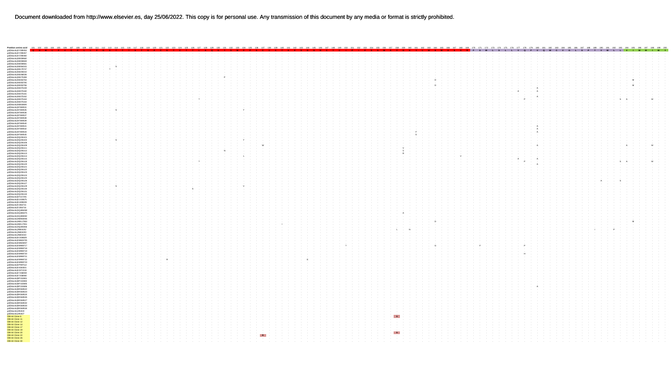| 3144 Clone 22<br>3144 Clone 26 |  |  |  |  |  |  |  |  |  |  |  |  |  |  |  |  |  |  |  |
|--------------------------------|--|--|--|--|--|--|--|--|--|--|--|--|--|--|--|--|--|--|--|
| 3144 Clone 30                  |  |  |  |  |  |  |  |  |  |  |  |  |  |  |  |  |  |  |  |
|                                |  |  |  |  |  |  |  |  |  |  |  |  |  |  |  |  |  |  |  |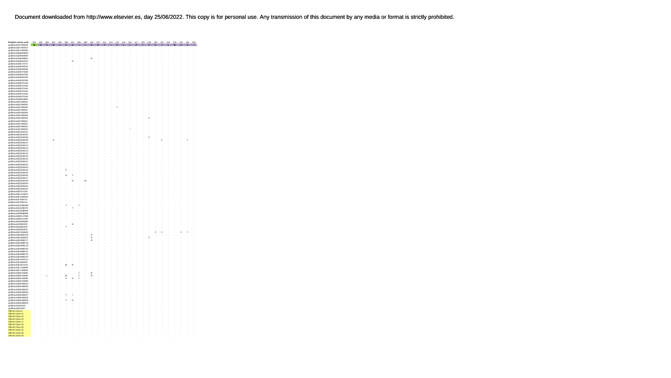| Position amino acid                           |                                                                                                                                               |    |   | 205 | 206        | 207 | 208          | 209 | 210          |           |                     |           |            |           |                                                                  | 218 |                   |                          |                     |                              |                                                                      |                     | 226            |
|-----------------------------------------------|-----------------------------------------------------------------------------------------------------------------------------------------------|----|---|-----|------------|-----|--------------|-----|--------------|-----------|---------------------|-----------|------------|-----------|------------------------------------------------------------------|-----|-------------------|--------------------------|---------------------|------------------------------|----------------------------------------------------------------------|---------------------|----------------|
| gnijhbvcds(AY090454                           | $\begin{array}{ c c c c c c } \hline 201 & 202 & 203 & 204 \\ \hline \textbf{W} & \textbf{G} & \textbf{P} & \textbf{N} \\ \hline \end{array}$ |    |   | п.  | $\epsilon$ | s.  | $\mathbf{L}$ | n.  | $\mathbf{s}$ | 211<br>P. | 212<br>$\mathbf{r}$ | 213<br>×. | 214.<br>P. | 215<br>L. | $\begin{array}{cc} 216 & 217 \\ \text{L} & \text{P} \end{array}$ | n.  | $\frac{219}{\pi}$ | $\frac{220}{\mathsf{C}}$ | 221<br>$\mathbf{Y}$ | $\mathbf{z}\mathbf{z}$<br>п. | $\begin{array}{cc} 223 & 224 \\ \mathbf{W} & \mathbf{A} \end{array}$ | 225<br>$\mathbf{s}$ | $\mathbf{H}$ . |
| grijhbvcds(AY090457                           |                                                                                                                                               |    |   |     |            |     |              |     |              |           |                     |           |            |           |                                                                  |     |                   |                          |                     |                              |                                                                      |                     |                |
| gri Hoveds A Y 090460                         |                                                                                                                                               |    |   |     |            |     |              |     |              |           |                     |           |            |           |                                                                  |     |                   |                          |                     |                              |                                                                      |                     |                |
| gri Hoveds AB059660                           |                                                                                                                                               |    |   |     |            |     |              |     |              |           |                     |           |            |           |                                                                  |     |                   |                          |                     |                              |                                                                      |                     |                |
| gri Hoveds AB059659                           |                                                                                                                                               |    |   |     |            |     |              |     | R            |           |                     |           |            |           |                                                                  |     |                   |                          |                     |                              |                                                                      |                     |                |
| grijhtveds/AB059661<br>grijhtveds/AB064315    |                                                                                                                                               |    |   |     |            | N   |              |     |              |           |                     |           |            |           |                                                                  |     |                   |                          |                     |                              |                                                                      |                     |                |
| grijhbvcds(AB179747                           |                                                                                                                                               |    |   |     |            |     |              |     |              |           |                     |           |            |           |                                                                  |     |                   |                          |                     |                              |                                                                      |                     |                |
| gnl/bbvcds(AB205010                           |                                                                                                                                               |    |   |     |            |     |              |     |              |           |                     |           |            |           |                                                                  |     |                   |                          |                     |                              |                                                                      |                     |                |
| gri HovedajAB200536                           |                                                                                                                                               |    |   |     |            |     |              |     |              |           |                     |           |            |           |                                                                  |     |                   |                          |                     |                              |                                                                      |                     |                |
| grijhtvedsjAB275308                           |                                                                                                                                               |    |   |     |            |     |              |     |              |           |                     |           |            |           |                                                                  |     |                   |                          |                     |                              |                                                                      |                     |                |
| grijhtvedsjAB353764<br>grijhbvcds(AB353765    |                                                                                                                                               |    |   |     |            |     |              |     |              |           |                     |           |            |           |                                                                  |     |                   |                          |                     |                              |                                                                      |                     |                |
| grijhtveds(AB353766                           |                                                                                                                                               |    |   |     |            |     |              |     |              |           |                     |           |            |           |                                                                  |     |                   |                          |                     |                              |                                                                      |                     |                |
| grijhtveds(AB375159                           |                                                                                                                                               |    |   |     |            |     |              |     |              |           |                     |           |            |           |                                                                  |     |                   |                          |                     |                              |                                                                      |                     |                |
| gni htvcds (AB375160                          |                                                                                                                                               |    |   |     |            |     |              |     |              |           |                     |           |            |           |                                                                  |     |                   |                          |                     |                              |                                                                      |                     |                |
| onlithrodulAB375161                           |                                                                                                                                               |    |   |     |            |     |              |     |              |           |                     |           |            |           |                                                                  |     |                   |                          |                     |                              |                                                                      |                     |                |
| grijhbvcds(AB375162                           |                                                                                                                                               |    |   |     |            |     |              |     |              |           |                     |           |            |           |                                                                  |     |                   |                          |                     |                              |                                                                      |                     |                |
| grijhtvedsjAB375163<br>grijhbvcds(AB375164    |                                                                                                                                               |    |   |     |            |     |              |     |              |           |                     |           |            |           |                                                                  |     |                   |                          |                     |                              |                                                                      |                     |                |
| gri Houcos AB818094                           |                                                                                                                                               |    |   |     |            |     |              |     |              |           |                     |           |            |           |                                                                  |     |                   |                          |                     |                              |                                                                      |                     |                |
| grijhtvedsjAF360531                           |                                                                                                                                               |    |   |     |            |     |              |     |              |           |                     |           |            |           |                                                                  |     |                   |                          |                     |                              |                                                                      |                     |                |
| grijhtveds(AF360635<br>grijhtveds(AF360636    |                                                                                                                                               |    |   |     |            |     |              |     |              |           |                     |           |            |           |                                                                  |     |                   |                          |                     |                              |                                                                      |                     |                |
|                                               |                                                                                                                                               |    |   |     |            |     |              |     |              |           |                     |           |            |           |                                                                  |     |                   |                          |                     |                              |                                                                      |                     |                |
| grijhbvcds(AF360537<br>gri HovodajA F360538   |                                                                                                                                               |    |   |     |            |     |              |     |              |           |                     |           |            |           |                                                                  |     |                   |                          |                     |                              |                                                                      |                     |                |
| grijhtveds(AF360539                           |                                                                                                                                               |    |   |     |            |     |              |     |              |           |                     |           |            |           |                                                                  |     |                   |                          |                     |                              |                                                                      |                     |                |
| grilhbucds(AF360540                           |                                                                                                                                               |    |   |     |            |     |              |     |              |           |                     |           |            |           |                                                                  |     | ċ                 |                          |                     |                              |                                                                      |                     |                |
| grijhtvedsjAF360541                           |                                                                                                                                               |    |   |     |            |     |              |     |              |           |                     |           |            |           |                                                                  |     |                   |                          |                     |                              |                                                                      |                     |                |
| grijtbiodajAF360542                           |                                                                                                                                               |    |   |     |            |     |              |     |              |           |                     |           |            |           |                                                                  |     |                   |                          |                     |                              |                                                                      |                     |                |
| grijhtveds/AF360543<br>grijhtveds/AF360545    |                                                                                                                                               |    |   |     |            |     |              |     |              |           |                     |           |            |           |                                                                  |     |                   |                          |                     |                              |                                                                      |                     |                |
| grijhtveds(DQ236101                           |                                                                                                                                               |    |   |     |            |     |              |     |              |           |                     |           |            |           |                                                                  |     |                   |                          |                     |                              |                                                                      |                     |                |
| grijhtveds(DQ236102                           |                                                                                                                                               |    |   |     |            |     |              |     |              |           |                     |           |            |           |                                                                  |     |                   |                          |                     |                              |                                                                      |                     |                |
| grijhbvcds(DQ236106                           |                                                                                                                                               |    |   |     |            |     |              |     |              |           |                     |           |            |           |                                                                  |     | ċ                 |                          |                     |                              |                                                                      |                     |                |
| grijhtveds(DQ236109                           |                                                                                                                                               |    | ś |     |            |     |              |     |              |           |                     |           |            |           |                                                                  |     |                   |                          | c                   |                              |                                                                      |                     |                |
| grijhtveds(DQ236111                           |                                                                                                                                               |    |   |     |            |     |              |     |              |           |                     |           |            |           |                                                                  |     |                   |                          |                     |                              |                                                                      |                     |                |
| grijhtveds(DQ236112                           |                                                                                                                                               |    |   |     |            |     |              |     |              |           |                     |           |            |           |                                                                  |     |                   |                          |                     |                              |                                                                      |                     |                |
| grijhtveds(DQ236113                           |                                                                                                                                               |    |   |     |            |     |              |     |              |           |                     |           |            |           |                                                                  |     |                   |                          |                     |                              |                                                                      |                     |                |
| grijhtveds(DO236114<br>grijhtveds(DO236115    |                                                                                                                                               |    |   |     |            |     |              |     |              |           |                     |           |            |           |                                                                  |     |                   |                          |                     |                              |                                                                      |                     |                |
| grijhbvcds(DQ236118                           |                                                                                                                                               |    |   |     |            |     |              |     |              |           |                     |           |            |           |                                                                  |     |                   |                          |                     |                              |                                                                      |                     |                |
| gril) breds (DQ236120                         |                                                                                                                                               |    |   |     |            |     |              |     |              |           |                     |           |            |           |                                                                  |     |                   |                          |                     |                              |                                                                      |                     |                |
| grijhbvcds(DQ236121                           |                                                                                                                                               |    |   |     |            |     |              |     |              |           |                     |           |            |           |                                                                  |     |                   |                          |                     |                              |                                                                      |                     |                |
| gri Hoveds DQ236122<br>gri Haveda DQ236123    |                                                                                                                                               |    |   |     |            |     |              |     |              |           |                     |           |            |           |                                                                  |     |                   |                          |                     |                              |                                                                      |                     |                |
| gri Houcos DC236124                           |                                                                                                                                               |    |   |     |            |     |              |     |              |           |                     |           |            |           |                                                                  |     |                   |                          |                     |                              |                                                                      |                     |                |
| grijhtveds(DQ236125                           |                                                                                                                                               |    |   |     |            |     |              |     |              |           |                     |           |            |           |                                                                  |     |                   |                          |                     |                              |                                                                      |                     |                |
| grilhbvcds(DQ236126                           |                                                                                                                                               |    |   |     | н          | ÷   |              |     |              |           |                     |           |            |           |                                                                  |     |                   |                          |                     |                              |                                                                      |                     |                |
| grijhtveds(DQ236127                           |                                                                                                                                               |    |   |     |            |     |              |     |              |           |                     |           |            |           |                                                                  |     |                   |                          |                     |                              |                                                                      |                     |                |
| gri Houcos DC236129<br>grijhtveds(DQ236130    |                                                                                                                                               |    |   |     |            | N   |              | w   |              |           |                     |           |            |           |                                                                  |     |                   |                          |                     |                              |                                                                      |                     |                |
| grijhbvcds(DQ236131                           |                                                                                                                                               |    |   |     |            |     |              |     |              |           |                     |           |            |           |                                                                  |     |                   |                          |                     |                              |                                                                      |                     |                |
| gri Houcos DC236132                           |                                                                                                                                               |    |   |     |            |     |              |     |              |           |                     |           |            |           |                                                                  |     |                   |                          |                     |                              |                                                                      |                     |                |
| grijhtveds(EF157291                           |                                                                                                                                               |    |   |     |            |     |              |     |              |           |                     |           |            |           |                                                                  |     |                   |                          |                     |                              |                                                                      |                     |                |
| grijhtveds(EU159675                           |                                                                                                                                               |    |   |     |            |     |              |     |              |           |                     |           |            |           |                                                                  |     |                   |                          |                     |                              |                                                                      |                     |                |
| gri HzvcdajE U498228                          |                                                                                                                                               |    |   |     |            |     |              |     |              |           |                     |           |            |           |                                                                  |     |                   |                          |                     |                              |                                                                      |                     |                |
| grilhbycds(FJ356715)<br>grijhtveds(FJ356716   |                                                                                                                                               |    |   |     |            |     |              |     |              |           |                     |           |            |           |                                                                  |     |                   |                          |                     |                              |                                                                      |                     |                |
| gri Horchi GO486268                           |                                                                                                                                               |    |   |     |            |     | t            |     |              |           |                     |           |            |           |                                                                  |     |                   |                          |                     |                              |                                                                      |                     |                |
|                                               |                                                                                                                                               |    |   |     |            | ٠   |              |     |              |           |                     |           |            |           |                                                                  |     |                   |                          |                     |                              |                                                                      |                     |                |
| grijhtveds(GQ486375<br>grijhtveds(GQ486592    |                                                                                                                                               |    |   |     |            |     |              |     |              |           |                     |           |            |           |                                                                  |     |                   |                          |                     |                              |                                                                      |                     |                |
| gri Havedal HM088946                          |                                                                                                                                               |    |   |     |            |     |              |     |              |           |                     |           |            |           |                                                                  |     |                   |                          |                     |                              |                                                                      |                     |                |
| grijhbvcds(HM117850                           |                                                                                                                                               |    |   |     |            |     |              |     |              |           |                     |           |            |           |                                                                  |     |                   |                          |                     |                              |                                                                      |                     |                |
| grijhtveds(HM117851<br>grijhtveds(HQ285946    |                                                                                                                                               |    |   |     |            |     |              |     |              |           |                     |           |            |           |                                                                  |     |                   |                          |                     |                              |                                                                      |                     |                |
| gri Hzveds (JN604202                          |                                                                                                                                               |    |   |     |            | N   |              |     |              |           |                     |           |            |           |                                                                  |     |                   |                          |                     |                              |                                                                      |                     |                |
| gri Hords (JNE04203)                          |                                                                                                                                               |    |   |     |            |     |              |     |              |           |                     |           |            |           |                                                                  |     |                   |                          |                     |                              |                                                                      |                     |                |
| grijhtvedajJN804310<br>grijhtvedajKC836829    |                                                                                                                                               |    |   |     |            |     |              |     |              |           |                     |           |            |           |                                                                  |     |                   |                          |                     |                              |                                                                      |                     |                |
|                                               |                                                                                                                                               |    |   |     |            |     |              |     |              |           |                     |           |            |           |                                                                  |     |                   | F                        | ċ                   |                              |                                                                      |                     |                |
| grijhbvcds(KM806705<br>gri HavedajKM808937    |                                                                                                                                               |    |   |     |            |     |              |     | ø<br>R       |           |                     |           |            |           |                                                                  |     | c                 |                          |                     |                              |                                                                      |                     |                |
| grijhbvcds(KM998717                           |                                                                                                                                               |    |   |     |            |     |              |     | R            |           |                     |           |            |           |                                                                  |     |                   |                          |                     |                              |                                                                      |                     |                |
| grijhbycds(KM998718                           |                                                                                                                                               |    |   |     |            |     |              |     |              |           |                     |           |            |           |                                                                  |     |                   |                          |                     |                              |                                                                      |                     |                |
| grijhbvcds(KM998719                           |                                                                                                                                               |    |   |     |            |     |              |     |              |           |                     |           |            |           |                                                                  |     |                   |                          |                     |                              |                                                                      |                     |                |
| gri htveds KM998720                           |                                                                                                                                               |    |   |     |            |     |              |     |              |           |                     |           |            |           |                                                                  |     |                   |                          |                     |                              |                                                                      |                     |                |
| gri (Houcda) KM998721<br>gri (Haveda)KM998722 |                                                                                                                                               |    |   |     |            |     |              |     |              |           |                     |           |            |           |                                                                  |     |                   |                          |                     |                              |                                                                      |                     |                |
| grijhbvcds/KM998723                           |                                                                                                                                               |    |   |     |            |     |              |     |              |           |                     |           |            |           |                                                                  |     |                   |                          |                     |                              |                                                                      |                     |                |
| onlithraduk/P997512                           |                                                                                                                                               |    |   |     |            |     |              |     |              |           |                     |           |            |           |                                                                  |     |                   |                          |                     |                              |                                                                      |                     |                |
| grijhbveds(KX264501                           |                                                                                                                                               |    |   |     |            |     |              |     |              |           |                     |           |            |           |                                                                  |     |                   |                          |                     |                              |                                                                      |                     |                |
| grijhtveds(KX372218                           |                                                                                                                                               |    |   |     | W          | R   |              |     |              |           |                     |           |            |           |                                                                  |     |                   |                          |                     |                              |                                                                      |                     |                |
| grijhbveds(KY458059<br>gril) bucchi KY458060  |                                                                                                                                               |    |   |     |            |     |              |     |              |           |                     |           |            |           |                                                                  |     |                   |                          |                     |                              |                                                                      |                     |                |
| grijhtveds/MF150691                           |                                                                                                                                               |    |   |     |            |     |              |     |              |           |                     |           |            |           |                                                                  |     |                   |                          |                     |                              |                                                                      |                     |                |
| grijhtvedsjMF150692                           |                                                                                                                                               | t, |   |     | w          |     |              |     | R            |           |                     |           |            |           |                                                                  |     |                   |                          |                     |                              |                                                                      |                     |                |
| gri Hoveds/MF150626                           |                                                                                                                                               |    |   |     | š          | Ň   | Į            |     |              |           |                     |           |            |           |                                                                  |     |                   |                          |                     |                              |                                                                      |                     |                |
| gril) bycols MF150026                         |                                                                                                                                               |    |   |     |            |     |              |     |              |           |                     |           |            |           |                                                                  |     |                   |                          |                     |                              |                                                                      |                     |                |
| gri Hoveds MK568522                           |                                                                                                                                               |    |   |     |            |     |              |     |              |           |                     |           |            |           |                                                                  |     |                   |                          |                     |                              |                                                                      |                     |                |
| grijhbvcds/MK568523<br>gri htvcds/MK568524    |                                                                                                                                               |    |   |     |            |     |              |     |              |           |                     |           |            |           |                                                                  |     |                   |                          |                     |                              |                                                                      |                     |                |
| gri Horcds MK568526                           |                                                                                                                                               |    |   |     |            |     |              |     |              |           |                     |           |            |           |                                                                  |     |                   |                          |                     |                              |                                                                      |                     |                |
| grijkwedsjMK568527                            |                                                                                                                                               |    |   |     |            | ı   |              |     |              |           |                     |           |            |           |                                                                  |     |                   |                          |                     |                              |                                                                      |                     |                |
| gri Hoveds MK568532                           |                                                                                                                                               |    |   |     |            |     |              |     |              |           |                     |           |            |           |                                                                  |     |                   |                          |                     |                              |                                                                      |                     |                |
| gri htvedajMK568533<br>gri htvedajMK568534    |                                                                                                                                               |    |   |     |            | N   |              |     |              |           |                     |           |            |           |                                                                  |     |                   |                          |                     |                              |                                                                      |                     |                |
|                                               |                                                                                                                                               |    |   |     |            |     |              |     |              |           |                     |           |            |           |                                                                  |     |                   |                          |                     |                              |                                                                      |                     |                |
| grijhbvcds(U91819                             |                                                                                                                                               |    |   |     |            |     |              |     |              |           |                     |           |            |           |                                                                  |     |                   |                          |                     |                              |                                                                      |                     |                |
| grijhbvcds(U91827<br>OBI-44 Clone &           |                                                                                                                                               |    |   |     |            |     |              |     |              |           |                     |           |            |           |                                                                  |     |                   |                          |                     |                              |                                                                      |                     |                |
| OBI-44 Clone 11                               |                                                                                                                                               |    |   |     |            |     |              |     |              |           |                     |           |            |           |                                                                  |     |                   |                          |                     |                              |                                                                      |                     |                |
| <b>OBI-44 Clone 12</b>                        |                                                                                                                                               |    |   |     |            |     |              |     |              |           |                     |           |            |           |                                                                  |     |                   |                          |                     |                              |                                                                      |                     |                |
| <b>OBI-44 Clone 14</b>                        |                                                                                                                                               |    |   |     |            |     |              |     |              |           |                     |           |            |           |                                                                  |     |                   |                          |                     |                              |                                                                      |                     |                |
| OBI-44 Clone 17<br><b>OBI-44 Clone 19</b>     |                                                                                                                                               |    |   |     |            |     |              |     |              |           |                     |           |            |           |                                                                  |     |                   |                          |                     |                              |                                                                      |                     |                |
| <b>OBI-44 Clone 20</b>                        |                                                                                                                                               |    |   |     |            |     |              |     |              |           |                     |           |            |           |                                                                  |     |                   |                          |                     |                              |                                                                      |                     |                |
| <b>OBI-44 Clone 22</b>                        |                                                                                                                                               |    |   |     |            |     |              |     |              |           |                     |           |            |           |                                                                  |     |                   |                          |                     |                              |                                                                      |                     |                |
| <b>OBI-44 Clone 26</b>                        |                                                                                                                                               |    |   |     |            |     |              |     |              |           |                     |           |            |           |                                                                  |     |                   |                          |                     |                              |                                                                      |                     |                |
| <b>OBI-44 Clone 30</b>                        |                                                                                                                                               |    |   |     |            |     |              |     |              |           |                     |           |            |           |                                                                  |     |                   |                          |                     |                              |                                                                      |                     |                |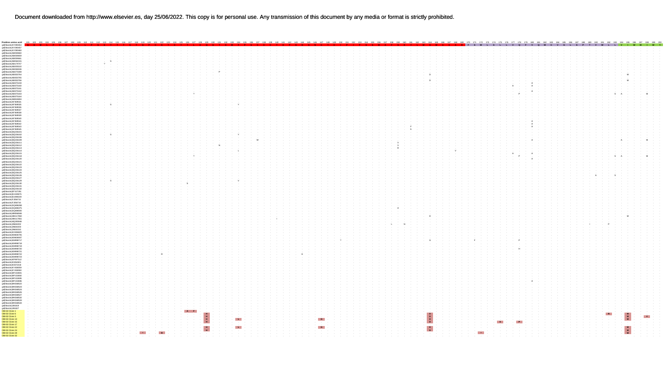| Position amino acid 101 102 103 104 105 106<br>gn(Hzvods)AY000-63 <mark>00 0 12 1 P V</mark><br>gn(Hzvods)AY000-63<br>gn(Hzvods)AY000-60                                                                                          |  |  |  |        |   |               |                |   |  |                |  |                    |                                  |  |        |          |              |  | ססב פפן בפפן דפוס מפן בפן 1941 ספן פפן 1951 ספן 1951 ספן כפן בפן 1951 ספן עון פון כון אייני ביוני עון עשוי שער<br><b>די און און די קייני אייני די קייני כי קייני קייני אייני די קייני אייני קייני אייני קייני אייני קייני אייני קי</b> |               |          |
|-----------------------------------------------------------------------------------------------------------------------------------------------------------------------------------------------------------------------------------|--|--|--|--------|---|---------------|----------------|---|--|----------------|--|--------------------|----------------------------------|--|--------|----------|--------------|--|----------------------------------------------------------------------------------------------------------------------------------------------------------------------------------------------------------------------------------------|---------------|----------|
|                                                                                                                                                                                                                                   |  |  |  |        |   |               |                |   |  |                |  |                    |                                  |  |        |          |              |  |                                                                                                                                                                                                                                        |               |          |
|                                                                                                                                                                                                                                   |  |  |  |        |   |               |                |   |  |                |  |                    |                                  |  |        |          |              |  |                                                                                                                                                                                                                                        |               |          |
| grijhtvotsijä T060460<br>grijhtvotsijä B059659<br>grijhtvotsijä B059659<br>grijhtvotsijä B179747<br>grijhtvotsijä B179747<br>grijhtvotsijä B179747                                                                                |  |  |  |        |   |               |                |   |  |                |  |                    |                                  |  |        |          |              |  |                                                                                                                                                                                                                                        |               |          |
|                                                                                                                                                                                                                                   |  |  |  |        |   |               |                |   |  |                |  |                    |                                  |  |        |          |              |  |                                                                                                                                                                                                                                        |               |          |
|                                                                                                                                                                                                                                   |  |  |  |        |   |               |                |   |  |                |  |                    |                                  |  |        |          |              |  |                                                                                                                                                                                                                                        |               |          |
|                                                                                                                                                                                                                                   |  |  |  |        |   |               |                |   |  |                |  |                    |                                  |  |        |          |              |  |                                                                                                                                                                                                                                        |               |          |
| gri(Houds)AB205010                                                                                                                                                                                                                |  |  |  |        |   |               |                |   |  |                |  |                    |                                  |  |        |          |              |  |                                                                                                                                                                                                                                        |               |          |
| gri(hbvodajAB266536                                                                                                                                                                                                               |  |  |  |        |   |               |                |   |  |                |  |                    |                                  |  |        |          |              |  |                                                                                                                                                                                                                                        |               |          |
| grijkbudsjAB275308<br>grijkbudsjAB353764<br>grijkbudsjAB353765<br>grijkbudsjAB353765                                                                                                                                              |  |  |  |        |   |               |                |   |  |                |  |                    | $\overline{D}$                   |  |        |          |              |  |                                                                                                                                                                                                                                        | M             |          |
|                                                                                                                                                                                                                                   |  |  |  |        |   |               |                |   |  |                |  |                    |                                  |  |        |          |              |  |                                                                                                                                                                                                                                        |               |          |
|                                                                                                                                                                                                                                   |  |  |  |        |   |               |                |   |  |                |  |                    | $\circ$                          |  |        |          |              |  |                                                                                                                                                                                                                                        |               |          |
|                                                                                                                                                                                                                                   |  |  |  |        |   |               |                |   |  |                |  |                    |                                  |  |        |          |              |  |                                                                                                                                                                                                                                        |               |          |
| gnijhbvodsjAB375159<br>gnijhbvodsjAB375160<br>gnijhbvodsjAB375161                                                                                                                                                                 |  |  |  |        |   |               |                |   |  |                |  |                    |                                  |  |        | $\Delta$ | A            |  |                                                                                                                                                                                                                                        |               |          |
|                                                                                                                                                                                                                                   |  |  |  |        |   |               |                |   |  |                |  |                    |                                  |  |        |          |              |  |                                                                                                                                                                                                                                        |               |          |
| gnijhbvodsjAB375162<br>gnijhbvodsjAB375163<br>gnijhbvodsjAB375164                                                                                                                                                                 |  |  |  |        |   |               |                |   |  |                |  |                    |                                  |  |        |          |              |  | $S - A$                                                                                                                                                                                                                                |               | <b>M</b> |
|                                                                                                                                                                                                                                   |  |  |  |        |   |               |                |   |  |                |  |                    |                                  |  |        |          |              |  |                                                                                                                                                                                                                                        |               |          |
| gri(hbvcds)AB818694                                                                                                                                                                                                               |  |  |  |        |   |               |                |   |  |                |  |                    |                                  |  |        |          |              |  |                                                                                                                                                                                                                                        |               |          |
| gn(hbvcds)AF369531                                                                                                                                                                                                                |  |  |  |        |   |               |                |   |  |                |  |                    |                                  |  |        |          |              |  |                                                                                                                                                                                                                                        |               |          |
|                                                                                                                                                                                                                                   |  |  |  |        |   |               |                |   |  |                |  |                    |                                  |  |        |          |              |  |                                                                                                                                                                                                                                        |               |          |
| gnijhbvodsjAF302535<br>gnijhbvodsjAF302536<br>gnijhbvodsjAF302537                                                                                                                                                                 |  |  |  |        |   |               |                |   |  |                |  |                    |                                  |  |        |          |              |  |                                                                                                                                                                                                                                        |               |          |
|                                                                                                                                                                                                                                   |  |  |  |        |   |               |                |   |  |                |  |                    |                                  |  |        |          |              |  |                                                                                                                                                                                                                                        |               |          |
| gnijhtvodajAF302538<br>gnijhtvodajAF302539                                                                                                                                                                                        |  |  |  |        |   |               |                |   |  |                |  |                    |                                  |  |        |          |              |  |                                                                                                                                                                                                                                        |               |          |
|                                                                                                                                                                                                                                   |  |  |  |        |   |               |                |   |  |                |  |                    |                                  |  |        |          |              |  |                                                                                                                                                                                                                                        |               |          |
| gnijhbvodsjAF302540<br>gnijhbvodsjAF302541<br>gnijhbvodsjAF302542                                                                                                                                                                 |  |  |  |        |   |               |                |   |  |                |  |                    |                                  |  |        |          |              |  |                                                                                                                                                                                                                                        |               |          |
|                                                                                                                                                                                                                                   |  |  |  |        |   |               |                |   |  |                |  |                    | - 6                              |  |        |          |              |  |                                                                                                                                                                                                                                        |               |          |
| gnijhbvodsjAF302543<br>gnijhbvodsjAF302545<br>gnijhbvodsjDQ236101                                                                                                                                                                 |  |  |  |        |   |               |                |   |  |                |  |                    | - 8                              |  |        |          |              |  |                                                                                                                                                                                                                                        |               |          |
|                                                                                                                                                                                                                                   |  |  |  |        |   |               |                |   |  |                |  |                    |                                  |  |        |          |              |  |                                                                                                                                                                                                                                        |               |          |
| geltexcalOQ236112<br>geltexcalOQ236102<br>geltexcalOQ236102<br>geltexcalOQ236112<br>geltexcalOQ236112<br>geltexcalOQ236112<br>geltexcalOQ236112                                                                                   |  |  |  |        |   |               |                |   |  |                |  |                    |                                  |  |        |          |              |  |                                                                                                                                                                                                                                        |               |          |
|                                                                                                                                                                                                                                   |  |  |  |        |   |               |                | w |  |                |  |                    |                                  |  |        |          | A            |  | $\mathbb A$                                                                                                                                                                                                                            |               | M        |
|                                                                                                                                                                                                                                   |  |  |  |        |   |               |                |   |  |                |  |                    |                                  |  |        |          |              |  |                                                                                                                                                                                                                                        |               |          |
|                                                                                                                                                                                                                                   |  |  |  |        |   |               |                |   |  |                |  |                    |                                  |  |        |          |              |  |                                                                                                                                                                                                                                        |               |          |
|                                                                                                                                                                                                                                   |  |  |  |        |   |               |                |   |  |                |  | $\mathbf{R}$       |                                  |  |        |          |              |  |                                                                                                                                                                                                                                        |               |          |
|                                                                                                                                                                                                                                   |  |  |  |        |   |               |                |   |  |                |  |                    |                                  |  |        | A        | A            |  |                                                                                                                                                                                                                                        |               |          |
| grijkbods DO236113<br> prijkbods DO236114<br> prijkbods DO236115<br> prijkbods DO236115<br> prijkbods DO236121<br> prijkbods DO236122<br> prijkbods DO236122<br> prijkbods DO236122<br> prijkbods DO236123<br> prijkbods DO236123 |  |  |  |        |   |               |                |   |  |                |  |                    |                                  |  |        |          | $\hat{p}$ .  |  | $S$ $A$                                                                                                                                                                                                                                |               | M        |
|                                                                                                                                                                                                                                   |  |  |  |        |   |               |                |   |  |                |  |                    |                                  |  |        |          |              |  |                                                                                                                                                                                                                                        |               |          |
|                                                                                                                                                                                                                                   |  |  |  |        |   |               |                |   |  |                |  |                    |                                  |  |        |          |              |  |                                                                                                                                                                                                                                        |               |          |
|                                                                                                                                                                                                                                   |  |  |  |        |   |               |                |   |  |                |  |                    |                                  |  |        |          |              |  |                                                                                                                                                                                                                                        |               |          |
|                                                                                                                                                                                                                                   |  |  |  |        |   |               |                |   |  |                |  |                    |                                  |  |        |          |              |  |                                                                                                                                                                                                                                        |               |          |
| grijtbredsjDQ236125<br>grijtbredsjDQ236126<br>grijtbredsjDQ236127                                                                                                                                                                 |  |  |  |        |   |               |                |   |  |                |  |                    |                                  |  |        |          |              |  |                                                                                                                                                                                                                                        |               |          |
|                                                                                                                                                                                                                                   |  |  |  |        |   |               |                |   |  |                |  |                    |                                  |  |        |          |              |  | A.<br>$\sim$                                                                                                                                                                                                                           |               |          |
|                                                                                                                                                                                                                                   |  |  |  |        |   |               |                |   |  |                |  |                    |                                  |  |        |          |              |  |                                                                                                                                                                                                                                        |               |          |
| gri(htvodajDQ236129<br>gri(htvodajDQ236130                                                                                                                                                                                        |  |  |  |        |   |               |                |   |  |                |  |                    |                                  |  |        |          |              |  |                                                                                                                                                                                                                                        |               |          |
|                                                                                                                                                                                                                                   |  |  |  |        |   |               |                |   |  |                |  |                    |                                  |  |        |          |              |  |                                                                                                                                                                                                                                        |               |          |
| gnijhbvodajDQ236131<br>gnijhbvodajDQ236132<br>gnijhbvodajE F 157291                                                                                                                                                               |  |  |  |        |   |               |                |   |  |                |  |                    |                                  |  |        |          |              |  |                                                                                                                                                                                                                                        |               |          |
|                                                                                                                                                                                                                                   |  |  |  |        |   |               |                |   |  |                |  |                    |                                  |  |        |          |              |  |                                                                                                                                                                                                                                        |               |          |
|                                                                                                                                                                                                                                   |  |  |  |        |   |               |                |   |  |                |  |                    |                                  |  |        |          |              |  |                                                                                                                                                                                                                                        |               |          |
| gnijhbvodajE U159675<br>gnijhbvodajE U498228<br>gnijhbvodajF J356715                                                                                                                                                              |  |  |  |        |   |               |                |   |  |                |  |                    |                                  |  |        |          |              |  |                                                                                                                                                                                                                                        |               |          |
| gnijhbvodajil J356716<br>gnijhbvodajGQ486268                                                                                                                                                                                      |  |  |  |        |   |               |                |   |  |                |  |                    |                                  |  |        |          |              |  |                                                                                                                                                                                                                                        |               |          |
|                                                                                                                                                                                                                                   |  |  |  |        |   |               |                |   |  |                |  |                    |                                  |  |        |          |              |  |                                                                                                                                                                                                                                        |               |          |
| grijtevcasju 1460205<br>grijtevcasjG 0486322<br>grijtevcasju 1460222<br>grijtevcasju 1460205                                                                                                                                      |  |  |  |        |   |               |                |   |  |                |  | A.                 |                                  |  |        |          |              |  |                                                                                                                                                                                                                                        |               |          |
|                                                                                                                                                                                                                                   |  |  |  |        |   |               |                |   |  |                |  |                    |                                  |  |        |          |              |  |                                                                                                                                                                                                                                        |               |          |
| gnijhbvodajHM117850<br>gnijhbvodajHM117851<br>gnijhbvodajHQ285946                                                                                                                                                                 |  |  |  |        |   |               |                |   |  |                |  |                    |                                  |  |        |          |              |  |                                                                                                                                                                                                                                        |               |          |
|                                                                                                                                                                                                                                   |  |  |  |        |   |               |                |   |  |                |  |                    |                                  |  |        |          |              |  |                                                                                                                                                                                                                                        |               |          |
|                                                                                                                                                                                                                                   |  |  |  |        |   |               |                |   |  |                |  | $L = 1, \ldots, N$ |                                  |  |        |          |              |  |                                                                                                                                                                                                                                        |               |          |
| gnijhbvods JN804202<br>gnijhbvods JN804203<br>gnijhbvods JN804310                                                                                                                                                                 |  |  |  |        |   |               |                |   |  |                |  |                    |                                  |  |        |          |              |  |                                                                                                                                                                                                                                        |               |          |
|                                                                                                                                                                                                                                   |  |  |  |        |   |               |                |   |  |                |  |                    |                                  |  |        |          |              |  |                                                                                                                                                                                                                                        |               |          |
| grij hbvodajKC836829<br>grij hbvodajKM606705                                                                                                                                                                                      |  |  |  |        |   |               |                |   |  |                |  |                    |                                  |  |        |          |              |  |                                                                                                                                                                                                                                        |               |          |
| gri(Houds)KM606937                                                                                                                                                                                                                |  |  |  |        |   |               |                |   |  |                |  |                    |                                  |  |        |          |              |  |                                                                                                                                                                                                                                        |               |          |
|                                                                                                                                                                                                                                   |  |  |  |        |   |               |                |   |  |                |  |                    |                                  |  |        |          | $\mathbf{p}$ |  |                                                                                                                                                                                                                                        |               |          |
|                                                                                                                                                                                                                                   |  |  |  |        |   |               |                |   |  |                |  |                    |                                  |  |        |          |              |  |                                                                                                                                                                                                                                        |               |          |
| grijhbvodsjKM6060237<br>grijhbvodsjKM9965717<br>grijhbvodsjKM9965718<br>grijhbvodsjKM9965720<br>grijhbvodsjKM996720                                                                                                               |  |  |  |        |   |               |                |   |  |                |  |                    |                                  |  |        |          |              |  |                                                                                                                                                                                                                                        |               |          |
|                                                                                                                                                                                                                                   |  |  |  |        |   |               |                |   |  |                |  |                    |                                  |  |        |          |              |  |                                                                                                                                                                                                                                        |               |          |
|                                                                                                                                                                                                                                   |  |  |  |        |   |               |                |   |  |                |  |                    |                                  |  |        |          |              |  |                                                                                                                                                                                                                                        |               |          |
| gnijhbvodajKM998722<br>gnijhbvodajKM998723<br>gnijhbvodajKP997512                                                                                                                                                                 |  |  |  |        |   |               |                |   |  |                |  |                    |                                  |  |        |          |              |  |                                                                                                                                                                                                                                        |               |          |
|                                                                                                                                                                                                                                   |  |  |  |        |   |               |                |   |  |                |  |                    |                                  |  |        |          |              |  |                                                                                                                                                                                                                                        |               |          |
| grijtbredsjKX264501<br>grijtbredsjKX372218<br>grijtbredsjKY458059                                                                                                                                                                 |  |  |  |        |   |               |                |   |  |                |  |                    |                                  |  |        |          |              |  |                                                                                                                                                                                                                                        |               |          |
|                                                                                                                                                                                                                                   |  |  |  |        |   |               |                |   |  |                |  |                    |                                  |  |        |          |              |  |                                                                                                                                                                                                                                        |               |          |
| gri(hbvods)KY458060                                                                                                                                                                                                               |  |  |  |        |   |               |                |   |  |                |  |                    |                                  |  |        |          |              |  |                                                                                                                                                                                                                                        |               |          |
| gni(hbvcdsjMF150691                                                                                                                                                                                                               |  |  |  |        |   |               |                |   |  |                |  |                    |                                  |  |        |          |              |  |                                                                                                                                                                                                                                        |               |          |
|                                                                                                                                                                                                                                   |  |  |  |        |   |               |                |   |  |                |  |                    |                                  |  |        |          |              |  |                                                                                                                                                                                                                                        |               |          |
| gnijhbvodsjWF150692<br>gnijhbvodsjWF150695<br>gnijhbvodsjWF150696                                                                                                                                                                 |  |  |  |        |   |               |                |   |  |                |  |                    |                                  |  |        |          |              |  |                                                                                                                                                                                                                                        |               |          |
| gri(hbvcds)MK588522                                                                                                                                                                                                               |  |  |  |        |   |               |                |   |  |                |  |                    |                                  |  |        |          |              |  |                                                                                                                                                                                                                                        |               |          |
| gri(hbvcds)MK568523                                                                                                                                                                                                               |  |  |  |        |   |               |                |   |  |                |  |                    |                                  |  |        |          |              |  |                                                                                                                                                                                                                                        |               |          |
|                                                                                                                                                                                                                                   |  |  |  |        |   |               |                |   |  |                |  |                    |                                  |  |        |          |              |  |                                                                                                                                                                                                                                        |               |          |
| gnijhbvodajMK568524<br>gnijhbvodajMK568526<br>gnijhbvodajMK568527                                                                                                                                                                 |  |  |  |        |   |               |                |   |  |                |  |                    |                                  |  |        |          |              |  |                                                                                                                                                                                                                                        |               |          |
|                                                                                                                                                                                                                                   |  |  |  |        |   |               |                |   |  |                |  |                    |                                  |  |        |          |              |  |                                                                                                                                                                                                                                        |               |          |
| grijhbvodsjWK568532<br>grijhbvodsjWK568533<br>grijhbvodsjWK568534                                                                                                                                                                 |  |  |  |        |   |               |                |   |  |                |  |                    |                                  |  |        |          |              |  |                                                                                                                                                                                                                                        |               |          |
|                                                                                                                                                                                                                                   |  |  |  |        |   |               |                |   |  |                |  |                    |                                  |  |        |          |              |  |                                                                                                                                                                                                                                        |               |          |
| gri(hbvods U91819<br>gri(hbvods U91827<br>OBI-50 Clone 1                                                                                                                                                                          |  |  |  |        |   |               |                |   |  |                |  |                    |                                  |  |        |          |              |  |                                                                                                                                                                                                                                        |               |          |
|                                                                                                                                                                                                                                   |  |  |  |        |   | $A$ $B$       |                |   |  |                |  |                    |                                  |  |        |          |              |  |                                                                                                                                                                                                                                        |               |          |
| OBI-50 Clane 6                                                                                                                                                                                                                    |  |  |  |        |   |               |                |   |  |                |  |                    | $\frac{b}{b}$                    |  |        |          |              |  | R                                                                                                                                                                                                                                      |               |          |
| OBI-50 Clane 3<br>OBI-50 Clane 13                                                                                                                                                                                                 |  |  |  |        |   |               |                |   |  |                |  |                    |                                  |  |        |          |              |  |                                                                                                                                                                                                                                        | $\frac{M}{M}$ | V        |
|                                                                                                                                                                                                                                   |  |  |  |        |   |               | $\mathbf{L}$   |   |  | $\alpha$       |  |                    | $\overline{\phantom{a}}^{\rm D}$ |  |        |          |              |  |                                                                                                                                                                                                                                        |               |          |
| <b>OBI-50 Clone 15</b>                                                                                                                                                                                                            |  |  |  |        |   |               |                |   |  |                |  |                    |                                  |  | 8      |          | P.           |  |                                                                                                                                                                                                                                        |               |          |
| OBI-50 Clone 17<br>OBI-50 Clone 22                                                                                                                                                                                                |  |  |  |        |   | $\frac{H}{H}$ | $\mathbf{L}$ . |   |  | $\blacksquare$ |  |                    | $\frac{D}{D}$                    |  |        |          |              |  |                                                                                                                                                                                                                                        |               |          |
| OBI-50 Clane 24                                                                                                                                                                                                                   |  |  |  |        |   |               |                |   |  |                |  |                    |                                  |  |        |          |              |  |                                                                                                                                                                                                                                        | $\frac{M}{M}$ |          |
| OBI-50 Clone 28                                                                                                                                                                                                                   |  |  |  | $\sim$ | R |               |                |   |  |                |  |                    |                                  |  | $\sim$ |          |              |  |                                                                                                                                                                                                                                        |               |          |
| OBI-50 Clone 32                                                                                                                                                                                                                   |  |  |  |        |   |               |                |   |  |                |  |                    |                                  |  |        |          |              |  |                                                                                                                                                                                                                                        |               |          |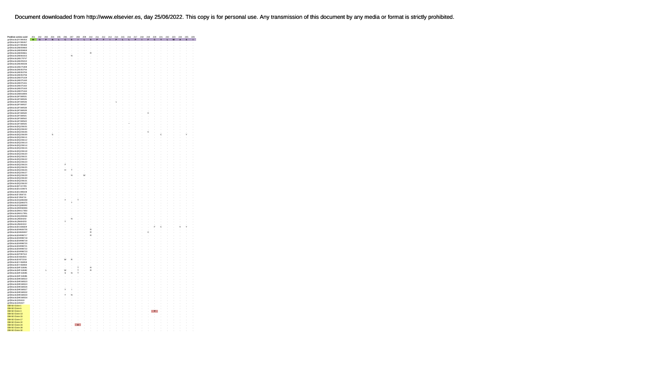| Position amino acid<br>prijhbvodajAY090454        | 201 202 203 204 205 206 207 208 209 210 211 212 213 214 215 216 217 218 219 220 221 222 223 224 225 226<br>We G P N L C S I L S P F I P L L P I F C Y L W A S I |    |   |        |    |   |   |        |  |  |  |  |   |   |   |  |  |  |
|---------------------------------------------------|-----------------------------------------------------------------------------------------------------------------------------------------------------------------|----|---|--------|----|---|---|--------|--|--|--|--|---|---|---|--|--|--|
| gnijhbvodajAY090457                               |                                                                                                                                                                 |    |   |        |    |   |   |        |  |  |  |  |   |   |   |  |  |  |
| prijhbvodajAY090460                               |                                                                                                                                                                 |    |   |        |    |   |   |        |  |  |  |  |   |   |   |  |  |  |
| gnijhbvodajAB059680                               |                                                                                                                                                                 |    |   |        |    |   |   |        |  |  |  |  |   |   |   |  |  |  |
| prihbvodajAB059659                                |                                                                                                                                                                 |    |   |        |    |   |   |        |  |  |  |  |   |   |   |  |  |  |
| .<br>gnijhbvodajAB059661<br>gnijhbvodajAB064315   |                                                                                                                                                                 |    |   |        | Ń  |   |   | R      |  |  |  |  |   |   |   |  |  |  |
| .<br>grijhbuodajAB179747                          |                                                                                                                                                                 |    |   |        |    |   |   |        |  |  |  |  |   |   |   |  |  |  |
| grijhbvodajAB205010                               |                                                                                                                                                                 |    |   |        |    |   |   |        |  |  |  |  |   |   |   |  |  |  |
| gnijhbvcdajAB265536                               |                                                                                                                                                                 |    |   |        |    |   |   |        |  |  |  |  |   |   |   |  |  |  |
| gnijhbvodajAB275308                               |                                                                                                                                                                 |    |   |        |    |   |   |        |  |  |  |  |   |   |   |  |  |  |
| prijhbvodajAB353764                               |                                                                                                                                                                 |    |   |        |    |   |   |        |  |  |  |  |   |   |   |  |  |  |
| gnijhbvodajAB353765                               |                                                                                                                                                                 |    |   |        |    |   |   |        |  |  |  |  |   |   |   |  |  |  |
| .<br>gnijhbvodajAB353766<br>gnijhbvodajAB375159   |                                                                                                                                                                 |    |   |        |    |   |   |        |  |  |  |  |   |   |   |  |  |  |
| gnijhbvodajAB375160                               |                                                                                                                                                                 |    |   |        |    |   |   |        |  |  |  |  |   |   |   |  |  |  |
| gnijhbvodajAB375161                               |                                                                                                                                                                 |    |   |        |    |   |   |        |  |  |  |  |   |   |   |  |  |  |
| .<br>gnijhbvodajAB375162<br>gnijhbvodajAB375163   |                                                                                                                                                                 |    |   |        |    |   |   |        |  |  |  |  |   |   |   |  |  |  |
| gnijhbvodajAB375164                               |                                                                                                                                                                 |    |   |        |    |   |   |        |  |  |  |  |   |   |   |  |  |  |
| gnijhbvodajAB818604                               |                                                                                                                                                                 |    |   |        |    |   |   |        |  |  |  |  |   |   |   |  |  |  |
|                                                   |                                                                                                                                                                 |    |   |        |    |   |   |        |  |  |  |  |   |   |   |  |  |  |
| .<br>gnijhbvodajAF362531<br>gnijhbvodajAF362535   |                                                                                                                                                                 |    |   |        |    |   |   |        |  |  |  |  |   |   |   |  |  |  |
| gnijhbvodajAF362536                               |                                                                                                                                                                 |    |   |        |    |   |   |        |  |  |  |  |   |   |   |  |  |  |
| gnijhbvodajAF362537                               |                                                                                                                                                                 |    |   |        |    |   |   |        |  |  |  |  |   |   |   |  |  |  |
| prijhbvodajAF362538<br>gnijhbvodajAF362639        |                                                                                                                                                                 |    |   |        |    |   |   |        |  |  |  |  |   |   |   |  |  |  |
| gnijhbvodajAF382540                               |                                                                                                                                                                 |    |   |        |    |   |   |        |  |  |  |  | ċ |   |   |  |  |  |
| gnijhbvodajAF362541                               |                                                                                                                                                                 |    |   |        |    |   |   |        |  |  |  |  |   |   |   |  |  |  |
| gnijhbvodajAF362542                               |                                                                                                                                                                 |    |   |        |    |   |   |        |  |  |  |  |   |   |   |  |  |  |
| prijhbvodajAF362543                               |                                                                                                                                                                 |    |   |        |    |   |   |        |  |  |  |  |   |   |   |  |  |  |
| gnijhbvodajAF362545<br>anlihbvoda DQ236101        |                                                                                                                                                                 |    |   |        |    |   |   |        |  |  |  |  |   |   |   |  |  |  |
| gnijhbvcds(DQ236102                               |                                                                                                                                                                 |    |   |        |    |   |   |        |  |  |  |  |   |   |   |  |  |  |
| gnijhbvcds(DQ236106                               |                                                                                                                                                                 |    |   |        |    |   |   |        |  |  |  |  | ċ |   |   |  |  |  |
| prihbvoda DQ236109                                |                                                                                                                                                                 |    | ś |        |    |   |   |        |  |  |  |  |   |   | ċ |  |  |  |
| grijhbvoda DQ236111                               |                                                                                                                                                                 |    |   |        |    |   |   |        |  |  |  |  |   |   |   |  |  |  |
| gnijhbvodajDQ236112                               |                                                                                                                                                                 |    |   |        |    |   |   |        |  |  |  |  |   |   |   |  |  |  |
| .<br>grijhbvods DQ236113<br>grijhbvods DQ236114   |                                                                                                                                                                 |    |   |        |    |   |   |        |  |  |  |  |   |   |   |  |  |  |
| gnijhbvodajDQ236115                               |                                                                                                                                                                 |    |   |        |    |   |   |        |  |  |  |  |   |   |   |  |  |  |
| gnijhbvodajDQ236118                               |                                                                                                                                                                 |    |   |        |    |   |   |        |  |  |  |  |   |   |   |  |  |  |
| .<br>grijhbvods/DQ236120<br>grijhbvods/DQ236121   |                                                                                                                                                                 |    |   |        |    |   |   |        |  |  |  |  |   |   |   |  |  |  |
|                                                   |                                                                                                                                                                 |    |   |        |    |   |   |        |  |  |  |  |   |   |   |  |  |  |
| grijhbvoda DQ236122                               |                                                                                                                                                                 |    |   |        |    |   |   |        |  |  |  |  |   |   |   |  |  |  |
| gnijhbvodajDQ236123<br>gnijhbvodajDQ236124        |                                                                                                                                                                 |    |   | f      |    |   |   |        |  |  |  |  |   |   |   |  |  |  |
| grijhbvoda DQ236125                               |                                                                                                                                                                 |    |   |        |    |   |   |        |  |  |  |  |   |   |   |  |  |  |
| gnijhbvodajDQ236126                               |                                                                                                                                                                 |    |   | н      | Ŷ  |   |   |        |  |  |  |  |   |   |   |  |  |  |
| gnijhbvodajDQ236127                               |                                                                                                                                                                 |    |   |        |    |   |   |        |  |  |  |  |   |   |   |  |  |  |
| gnijhbvodajDQ236129                               |                                                                                                                                                                 |    |   |        | N  |   | W |        |  |  |  |  |   |   |   |  |  |  |
| grijhbvoda DQ236130<br>gnijhbvodajDQ236131        |                                                                                                                                                                 |    |   |        |    |   |   |        |  |  |  |  |   |   |   |  |  |  |
| gnijhbvodajDQ236132                               |                                                                                                                                                                 |    |   |        |    |   |   |        |  |  |  |  |   |   |   |  |  |  |
| gnijhbvodajE F157291                              |                                                                                                                                                                 |    |   |        |    |   |   |        |  |  |  |  |   |   |   |  |  |  |
| .<br>gnijhbvodajE U159675<br>gnijhbvodajE U498228 |                                                                                                                                                                 |    |   |        |    |   |   |        |  |  |  |  |   |   |   |  |  |  |
|                                                   |                                                                                                                                                                 |    |   |        |    |   |   |        |  |  |  |  |   |   |   |  |  |  |
| gnijhbvodajFJ356715                               |                                                                                                                                                                 |    |   |        |    |   |   |        |  |  |  |  |   |   |   |  |  |  |
| prijhbvodajFJ356716<br>gnijhbvodajOQ486268        |                                                                                                                                                                 |    |   |        |    | ĭ |   |        |  |  |  |  |   |   |   |  |  |  |
| gnijhbvodajGQ486375                               |                                                                                                                                                                 |    |   |        | ź  |   |   |        |  |  |  |  |   |   |   |  |  |  |
| grijhbvodajGQ488592                               |                                                                                                                                                                 |    |   |        |    |   |   |        |  |  |  |  |   |   |   |  |  |  |
| prijhbvodajHM000946                               |                                                                                                                                                                 |    |   |        |    |   |   |        |  |  |  |  |   |   |   |  |  |  |
| gnijhbvodajHM117850                               |                                                                                                                                                                 |    |   |        |    |   |   |        |  |  |  |  |   |   |   |  |  |  |
| gnijhbvcdsjHM117851<br>prihbvoda HQ285946         |                                                                                                                                                                 |    |   |        |    |   |   |        |  |  |  |  |   |   |   |  |  |  |
| gnijhbvodajJN8D4202                               |                                                                                                                                                                 |    |   |        | N  |   |   |        |  |  |  |  |   |   |   |  |  |  |
| gnijhbvodajJN8D4203                               |                                                                                                                                                                 |    |   |        |    |   |   |        |  |  |  |  |   |   |   |  |  |  |
| .<br>gnijhbvodajJN804310<br>gnijhbvodajKC838829   |                                                                                                                                                                 |    |   |        |    |   |   |        |  |  |  |  |   |   |   |  |  |  |
|                                                   |                                                                                                                                                                 |    |   |        |    |   |   |        |  |  |  |  |   | Ė | ċ |  |  |  |
| grijhbvoda KM606705<br>.<br>grijhbvoda KM806937   |                                                                                                                                                                 |    |   |        |    |   |   | R<br>R |  |  |  |  | Ċ |   |   |  |  |  |
| gnijhbvodajKM998717                               |                                                                                                                                                                 |    |   |        |    |   |   | R      |  |  |  |  |   |   |   |  |  |  |
| gnijhbvodajKM208718                               |                                                                                                                                                                 |    |   |        |    |   |   |        |  |  |  |  |   |   |   |  |  |  |
| gnijhbvodajKM208719                               |                                                                                                                                                                 |    |   |        |    |   |   |        |  |  |  |  |   |   |   |  |  |  |
| grijhbvoda KM208720                               |                                                                                                                                                                 |    |   |        |    |   |   |        |  |  |  |  |   |   |   |  |  |  |
| .<br>gnijhbvodajKM998721<br>gnijhbvodajKM998722   |                                                                                                                                                                 |    |   |        |    |   |   |        |  |  |  |  |   |   |   |  |  |  |
| gnijhbvodajKM998723                               |                                                                                                                                                                 |    |   |        |    |   |   |        |  |  |  |  |   |   |   |  |  |  |
| gnijhbvodajKP997512                               |                                                                                                                                                                 |    |   |        |    |   |   |        |  |  |  |  |   |   |   |  |  |  |
| .<br>gnijhbvodajKX254501<br>gnijhbvodajKX372218   |                                                                                                                                                                 |    |   |        |    |   |   |        |  |  |  |  |   |   |   |  |  |  |
|                                                   |                                                                                                                                                                 |    |   | W      | R  |   |   |        |  |  |  |  |   |   |   |  |  |  |
| gnijhbvodajKY458059                               |                                                                                                                                                                 |    |   |        |    |   |   |        |  |  |  |  |   |   |   |  |  |  |
| gnijhbvodajKY458080<br>gnijhbvodsjMF150691        |                                                                                                                                                                 |    |   |        |    | ĭ |   | Ŕ      |  |  |  |  |   |   |   |  |  |  |
| gnilhbvcds(MF150692                               |                                                                                                                                                                 | t. |   |        |    |   |   | Ř      |  |  |  |  |   |   |   |  |  |  |
| gnijhbvodajMF150695                               |                                                                                                                                                                 |    |   | w<br>s | N  | ĭ |   |        |  |  |  |  |   |   |   |  |  |  |
| gnijhbvodajMF150696                               |                                                                                                                                                                 |    |   |        |    |   |   |        |  |  |  |  |   |   |   |  |  |  |
| grijhbvodajMK568522                               |                                                                                                                                                                 |    |   |        |    |   |   |        |  |  |  |  |   |   |   |  |  |  |
| grijhbvods/MK568523<br>gnijhbvodajMK568524        |                                                                                                                                                                 |    |   |        |    |   |   |        |  |  |  |  |   |   |   |  |  |  |
| grijhbvodajMK568526                               |                                                                                                                                                                 |    |   |        |    |   |   |        |  |  |  |  |   |   |   |  |  |  |
| gnijhbvodajMK568527                               |                                                                                                                                                                 |    |   |        | I, |   |   |        |  |  |  |  |   |   |   |  |  |  |
| gnijhbvodajMK568532                               |                                                                                                                                                                 |    |   |        |    |   |   |        |  |  |  |  |   |   |   |  |  |  |
| grijhbvoda MK568533                               |                                                                                                                                                                 |    |   |        | Ń  |   |   |        |  |  |  |  |   |   |   |  |  |  |
| gnijhbvodajMK568534                               |                                                                                                                                                                 |    |   |        |    |   |   |        |  |  |  |  |   |   |   |  |  |  |
| gnijhbvodajU91819                                 |                                                                                                                                                                 |    |   |        |    |   |   |        |  |  |  |  |   |   |   |  |  |  |
| .<br>grijhbvoda U91827<br>OBI-50 Clone 1          |                                                                                                                                                                 |    |   |        |    |   |   |        |  |  |  |  |   |   |   |  |  |  |
| OBI-50 Clone 6                                    |                                                                                                                                                                 |    |   |        |    |   |   |        |  |  |  |  |   |   |   |  |  |  |
| OBI-50 Clone 3                                    |                                                                                                                                                                 |    |   |        |    |   |   |        |  |  |  |  |   | Y |   |  |  |  |
| OBI-50 Clone 13                                   |                                                                                                                                                                 |    |   |        |    |   |   |        |  |  |  |  |   |   |   |  |  |  |
| OBI-50 Clone 15<br>OBI-50 Clone 17                |                                                                                                                                                                 |    |   |        |    |   |   |        |  |  |  |  |   |   |   |  |  |  |
| <b>OBI-50 Clone 22</b>                            |                                                                                                                                                                 |    |   |        |    |   |   |        |  |  |  |  |   |   |   |  |  |  |
| OBI-50 Clone 24                                   |                                                                                                                                                                 |    |   |        |    | V |   |        |  |  |  |  |   |   |   |  |  |  |
| OBI-50 Clone 28                                   |                                                                                                                                                                 |    |   |        |    |   |   |        |  |  |  |  |   |   |   |  |  |  |
| OBI-50 Clone 32                                   |                                                                                                                                                                 |    |   |        |    |   |   |        |  |  |  |  |   |   |   |  |  |  |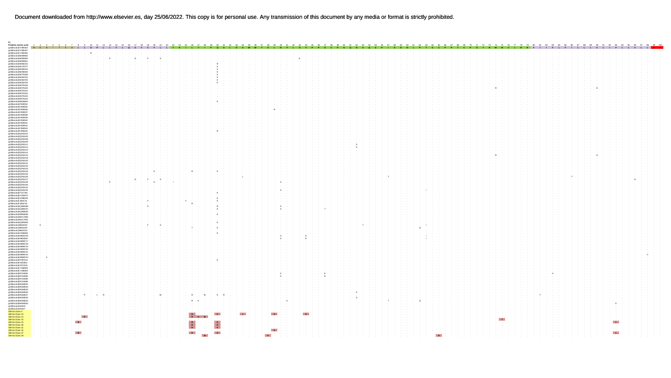| gnijhbucds (A19000000)<br>gnijhbucds (A190000000)<br>gnijhbucds (A190000000)                                                                                                                                                                             |              |    |              |                                                                                                                                                                           |    |             |                         |              |   |    |                 |               |   |            |            |        |   |              |   |  |   |            |              |          |  |
|----------------------------------------------------------------------------------------------------------------------------------------------------------------------------------------------------------------------------------------------------------|--------------|----|--------------|---------------------------------------------------------------------------------------------------------------------------------------------------------------------------|----|-------------|-------------------------|--------------|---|----|-----------------|---------------|---|------------|------------|--------|---|--------------|---|--|---|------------|--------------|----------|--|
|                                                                                                                                                                                                                                                          |              |    |              | $\mathbf{p} = \mathbf{1} \times \mathbf{1} \times \mathbf{1} \times \mathbf{0} \times \mathbf{1} \times \mathbf{0} \times \mathbf{1} \times \mathbf{0} \times \mathbf{0}$ |    |             |                         |              |   |    | E               |               |   |            |            |        |   |              |   |  |   |            |              |          |  |
| grijhbucds AB059881<br>grijhbucds AB054315<br>grijhbucds AB179747                                                                                                                                                                                        |              |    |              |                                                                                                                                                                           |    |             |                         |              |   |    |                 |               |   |            |            |        |   |              |   |  |   |            |              |          |  |
|                                                                                                                                                                                                                                                          |              |    |              |                                                                                                                                                                           |    |             |                         |              |   |    |                 |               |   |            |            |        |   |              |   |  |   |            |              |          |  |
| grilhbvcds/AB205010<br>grijhtvcds/AB288536<br>grijhtvcds/AB275308                                                                                                                                                                                        |              |    |              |                                                                                                                                                                           |    |             |                         |              |   |    |                 |               |   |            |            |        |   |              |   |  |   |            |              |          |  |
| grijhbvcdsjAB353764                                                                                                                                                                                                                                      |              |    |              |                                                                                                                                                                           |    |             |                         |              |   |    |                 |               |   |            |            |        |   |              |   |  |   |            |              |          |  |
| grijhbvcds AB353765<br>grijhbvcds AB353766                                                                                                                                                                                                               |              |    |              |                                                                                                                                                                           |    |             |                         |              |   |    |                 |               |   |            |            |        |   |              |   |  |   |            |              |          |  |
| grijhbvcdsjAB375159                                                                                                                                                                                                                                      |              |    |              |                                                                                                                                                                           |    |             |                         |              |   |    |                 |               |   |            |            |        |   |              |   |  |   |            |              |          |  |
| grijhbvcds AB375160<br>grijhbvcds AB375161                                                                                                                                                                                                               |              |    |              |                                                                                                                                                                           |    |             |                         |              |   |    |                 |               |   |            |            |        |   | $\mathbb{R}$ |   |  |   | $_{\rm G}$ |              |          |  |
| grilhtvcds(AB375162                                                                                                                                                                                                                                      |              |    |              |                                                                                                                                                                           |    |             |                         |              |   |    |                 |               |   |            |            |        |   |              |   |  |   |            |              |          |  |
| grijhbvcds/AB375163                                                                                                                                                                                                                                      |              |    |              |                                                                                                                                                                           |    |             |                         |              |   |    |                 |               |   |            |            |        |   |              |   |  |   |            |              |          |  |
| grijhbvcds AB375164<br>grijhbvcds AB818694                                                                                                                                                                                                               |              |    |              |                                                                                                                                                                           |    |             |                         |              |   |    |                 |               |   |            |            |        |   |              |   |  |   |            |              |          |  |
| grijhbvcds(AF362531<br>gri) brods (AF302535<br>gri) brods (AF302536                                                                                                                                                                                      |              |    |              |                                                                                                                                                                           |    |             |                         |              |   |    |                 |               |   |            |            |        |   |              |   |  |   |            |              |          |  |
| gri) bucds (AF302537                                                                                                                                                                                                                                     |              |    |              |                                                                                                                                                                           |    |             |                         |              |   |    |                 |               |   |            |            |        |   |              |   |  |   |            |              |          |  |
| grijhbycds/AF302538<br>grijhbycds/AF302539                                                                                                                                                                                                               |              |    |              |                                                                                                                                                                           |    |             |                         |              |   |    |                 |               |   |            |            |        |   |              |   |  |   |            |              |          |  |
| grijhbvcds(AF369540                                                                                                                                                                                                                                      |              |    |              |                                                                                                                                                                           |    |             |                         |              |   |    |                 |               |   |            |            |        |   |              |   |  |   |            |              |          |  |
| grijhbycds (AF303541)<br>grijhbycds (AF303542)                                                                                                                                                                                                           |              |    |              |                                                                                                                                                                           |    |             |                         |              |   |    |                 |               |   |            |            |        |   |              |   |  |   |            |              |          |  |
| grilhtvcds(AF302543)                                                                                                                                                                                                                                     |              |    |              |                                                                                                                                                                           |    |             |                         |              |   |    |                 |               |   |            |            |        |   |              |   |  |   |            |              |          |  |
| gri) brods (AF302545                                                                                                                                                                                                                                     |              |    |              |                                                                                                                                                                           |    |             | $\mathbb{R}$            |              |   |    |                 |               |   |            |            |        |   |              |   |  |   |            |              |          |  |
| grijhbvcds (DQ236101<br>grijhbvcds (DQ236102                                                                                                                                                                                                             |              |    |              |                                                                                                                                                                           |    |             |                         |              |   |    |                 |               |   |            |            |        |   |              |   |  |   |            |              |          |  |
| grijhbvcds(DQ236106                                                                                                                                                                                                                                      |              |    |              |                                                                                                                                                                           |    |             |                         |              |   |    |                 |               |   |            |            |        |   |              |   |  |   |            |              |          |  |
| grijhtvcds (DQ236109<br>grijhtvcds (DQ236111<br>grijhbvcds(DQ236112                                                                                                                                                                                      |              |    |              |                                                                                                                                                                           |    |             |                         |              |   |    |                 |               |   |            |            |        |   |              |   |  |   |            |              |          |  |
| grijhtvcds (DQ236113<br>grijhtvcds (DQ236114                                                                                                                                                                                                             |              |    |              |                                                                                                                                                                           |    |             |                         |              |   |    |                 |               |   |            |            |        |   |              |   |  |   |            |              |          |  |
| gri) bucds (DQ236115                                                                                                                                                                                                                                     |              |    |              |                                                                                                                                                                           |    |             |                         |              |   |    |                 |               |   |            |            |        |   |              |   |  |   | $\alpha$   |              |          |  |
| grijhbvcds DQ236118<br>grijhbvcds DQ236120                                                                                                                                                                                                               |              |    |              |                                                                                                                                                                           |    |             |                         |              |   |    |                 |               |   |            |            |        |   |              |   |  |   |            |              |          |  |
| gri) bucds (DQ236121                                                                                                                                                                                                                                     |              |    |              |                                                                                                                                                                           |    |             |                         |              |   |    |                 |               |   |            |            |        |   |              |   |  |   |            |              |          |  |
| grijhbvcds(DQ236122                                                                                                                                                                                                                                      |              |    |              |                                                                                                                                                                           |    |             |                         |              |   |    |                 |               |   |            |            |        |   |              |   |  |   |            |              |          |  |
| grijhbvcds (DQ236123<br>grijhbvcds (DQ236124                                                                                                                                                                                                             |              |    |              | -6 - 1                                                                                                                                                                    |    | - R         | -ĸ                      |              |   |    |                 |               |   |            |            |        |   |              |   |  |   |            |              |          |  |
| grilhbvcds(DQ236125                                                                                                                                                                                                                                      |              |    |              |                                                                                                                                                                           |    |             |                         |              |   |    |                 |               |   |            | $\tau$     |        |   |              |   |  | T |            |              |          |  |
| printed<br>printed: DQ238125<br>printed: DQ238127<br>printed: DQ238125                                                                                                                                                                                   |              |    |              |                                                                                                                                                                           |    |             |                         |              |   |    | s.              |               |   |            |            |        |   |              |   |  |   |            |              | $\alpha$ |  |
| grijhtvcds (DQ236130)<br>grijhtvcds (DQ236131)                                                                                                                                                                                                           |              |    |              |                                                                                                                                                                           |    |             |                         |              |   |    |                 |               |   |            |            |        |   |              |   |  |   |            |              |          |  |
| grilhbvcds(DQ236132                                                                                                                                                                                                                                      |              |    |              |                                                                                                                                                                           |    |             |                         |              |   |    |                 |               |   |            |            |        |   |              |   |  |   |            |              |          |  |
| grijhbvcds EF157291<br>grijhbvcds EU159675                                                                                                                                                                                                               |              |    |              |                                                                                                                                                                           |    |             | $\mathbf x$             |              |   |    |                 |               |   |            |            |        |   |              |   |  |   |            |              |          |  |
| grilhtvcds(EU498228                                                                                                                                                                                                                                      |              |    |              |                                                                                                                                                                           |    |             |                         |              |   |    |                 |               |   |            |            |        |   |              |   |  |   |            |              |          |  |
|                                                                                                                                                                                                                                                          |              |    |              | $\epsilon$                                                                                                                                                                |    | V<br>R      | $\kappa$                |              |   |    |                 |               |   |            |            |        |   |              |   |  |   |            |              |          |  |
|                                                                                                                                                                                                                                                          |              |    |              | ÷                                                                                                                                                                         |    |             |                         |              |   |    | $\kappa$<br>s.  |               |   |            |            |        |   |              |   |  |   |            |              |          |  |
| princes<br>pributelif Jasor 15<br>pributelif Jasor 16<br>pributelif Jasor 16<br>pributelif Jasor<br>pributelif Jasor<br>pributelif<br>pributelif<br>pributelif<br>pributelif<br>pributelif<br>pributelif<br>pributelif<br>pributelif Jasor<br>pributelif |              |    |              |                                                                                                                                                                           |    |             |                         |              |   |    |                 |               |   |            |            |        |   |              |   |  |   |            |              |          |  |
|                                                                                                                                                                                                                                                          |              |    |              |                                                                                                                                                                           |    |             |                         |              |   |    |                 |               |   |            |            |        |   |              |   |  |   |            |              |          |  |
| gnijhbvcds HM117850<br>gnijhbvcds HM117851<br>gnijhbvcds HQ235546                                                                                                                                                                                        |              |    |              |                                                                                                                                                                           |    |             |                         |              |   |    |                 |               |   |            |            |        |   |              |   |  |   |            |              |          |  |
| grijhtvcds(JN504202                                                                                                                                                                                                                                      | $\mathbb{R}$ |    |              | $F$ $B$                                                                                                                                                                   |    |             |                         |              |   |    |                 |               |   |            |            | - 11   |   |              |   |  |   |            |              |          |  |
| grijhbech JN504203<br>grijhbech JN504310                                                                                                                                                                                                                 |              |    |              |                                                                                                                                                                           |    |             |                         |              |   |    |                 |               |   |            |            |        |   |              |   |  |   |            |              |          |  |
| grijkbucda (KC838823<br>grijkbucda (KM606705<br>grijkbucda (KM606937                                                                                                                                                                                     |              |    |              |                                                                                                                                                                           |    |             |                         |              |   |    |                 |               |   |            |            |        |   |              |   |  |   |            |              |          |  |
|                                                                                                                                                                                                                                                          |              |    |              |                                                                                                                                                                           |    |             |                         |              |   |    | $\frac{8}{8}$ . | $\frac{e}{e}$ |   |            |            |        |   |              |   |  |   |            |              |          |  |
|                                                                                                                                                                                                                                                          |              |    |              |                                                                                                                                                                           |    |             |                         |              |   |    |                 |               |   |            |            |        |   |              |   |  |   |            |              |          |  |
| gnijhbvcds (KM226717<br>gnijhbvcds (KM226718<br>gnijhbvcds (KM226719                                                                                                                                                                                     |              |    |              |                                                                                                                                                                           |    |             |                         |              |   |    |                 |               |   |            |            |        |   |              |   |  |   |            |              |          |  |
| grijhbvcds (KM998720)<br>$gril$ have da (KM998721                                                                                                                                                                                                        |              |    |              |                                                                                                                                                                           |    |             |                         |              |   |    |                 |               |   |            |            |        |   |              |   |  |   |            |              |          |  |
| grijhbvcds (KM208722                                                                                                                                                                                                                                     | $\ddot{s}$   |    |              |                                                                                                                                                                           |    |             |                         |              |   |    |                 |               |   |            |            |        |   |              |   |  |   |            |              |          |  |
| grijhbucal (KM998723<br>grijhbucal (KP997512<br>grijhbucal (KO264501                                                                                                                                                                                     |              |    |              |                                                                                                                                                                           |    |             |                         |              |   |    |                 |               |   |            |            |        |   |              |   |  |   |            |              |          |  |
| grilhocds(KX372218)                                                                                                                                                                                                                                      |              |    |              |                                                                                                                                                                           |    |             |                         |              |   |    |                 |               |   |            |            |        |   |              |   |  |   |            |              |          |  |
| grijhbvcds (KY458059                                                                                                                                                                                                                                     |              |    |              |                                                                                                                                                                           |    |             |                         |              |   |    |                 |               |   |            |            |        |   |              |   |  |   |            |              |          |  |
| grilhbucds KY458000<br>grijhbvcds(MF150891<br>grijhbvcds(MF150892                                                                                                                                                                                        |              |    |              |                                                                                                                                                                           |    |             |                         |              |   |    |                 |               |   |            |            |        |   |              |   |  |   |            |              |          |  |
| grilhovcds/MF150695                                                                                                                                                                                                                                      |              |    |              |                                                                                                                                                                           |    |             |                         |              |   |    |                 |               | E |            |            |        |   |              |   |  |   |            |              |          |  |
| grijhbvcds/MF150096<br>grijhbvcds/MK568522                                                                                                                                                                                                               |              |    |              |                                                                                                                                                                           |    |             |                         |              |   |    |                 |               |   |            |            |        |   |              |   |  |   |            |              |          |  |
| grilhbvcds/MK568523                                                                                                                                                                                                                                      |              |    |              |                                                                                                                                                                           |    |             |                         |              |   |    |                 |               |   |            |            |        |   |              |   |  |   |            |              |          |  |
| syson.ue/MA366023<br>griftbr.cds/MK568524<br>griftbr.cds/MK568526                                                                                                                                                                                        |              |    |              |                                                                                                                                                                           |    |             |                         |              |   |    |                 |               |   | $^{\circ}$ |            |        |   |              |   |  |   |            |              |          |  |
| grilhov:ds/MK568527                                                                                                                                                                                                                                      |              |    | $-1 - 1 - 8$ |                                                                                                                                                                           | w. |             | $R = 1 - M - 1 - K - R$ |              |   |    |                 |               |   |            |            |        |   |              |   |  |   |            |              |          |  |
| grijhtveds/MK568532<br>grijhtveds/MK568533                                                                                                                                                                                                               |              |    |              |                                                                                                                                                                           |    | $R$ $K$     |                         |              |   |    |                 |               |   | $^{\circ}$ | $\ddot{x}$ | $\sim$ |   |              |   |  |   |            |              |          |  |
| grilhov:ds/MK558534                                                                                                                                                                                                                                      |              |    |              |                                                                                                                                                                           |    |             |                         |              |   |    |                 |               |   |            |            |        |   |              |   |  |   |            | $^{\circ}$   |          |  |
| grilhov:da(U91819                                                                                                                                                                                                                                        |              |    |              |                                                                                                                                                                           |    |             |                         |              |   |    |                 |               |   |            |            |        |   |              |   |  |   |            |              |          |  |
| grijhbvcds(U91827<br>OBI-54 Clone 9<br>OBI-54 Clone 10                                                                                                                                                                                                   |              |    |              |                                                                                                                                                                           |    |             |                         |              | L | H  |                 | E             |   |            |            |        |   |              |   |  |   |            |              |          |  |
| OBI-54 Clone 14<br>OBI-54 Clone 15                                                                                                                                                                                                                       |              | P. |              |                                                                                                                                                                           |    | $R$ $K$ $M$ | $\mathbf{K}$            |              |   |    |                 |               |   |            |            |        |   |              |   |  |   |            |              |          |  |
| OBI-54 Clone 22                                                                                                                                                                                                                                          |              | R  |              |                                                                                                                                                                           |    |             |                         |              |   |    |                 |               |   |            |            |        |   |              | T |  |   |            | $\mathbf{L}$ |          |  |
| OBI-54 Clone 28<br>OBI-54 Clone 31                                                                                                                                                                                                                       |              |    |              |                                                                                                                                                                           |    |             |                         | $x \times x$ |   |    |                 |               |   |            |            |        |   |              |   |  |   |            |              |          |  |
| OBI-54 Clone 32                                                                                                                                                                                                                                          |              |    |              |                                                                                                                                                                           |    |             |                         |              |   | H  |                 |               |   |            |            |        |   |              |   |  |   |            |              |          |  |
| OBI-54 Clone 37<br>OBI-54 Clone 29                                                                                                                                                                                                                       |              | R  |              |                                                                                                                                                                           |    | R           | $\mathbf{K}$<br>M       |              |   | P. |                 |               |   |            |            |        | R |              |   |  |   |            | $\mathbf{L}$ |          |  |
|                                                                                                                                                                                                                                                          |              |    |              |                                                                                                                                                                           |    |             |                         |              |   |    |                 |               |   |            |            |        |   |              |   |  |   |            |              |          |  |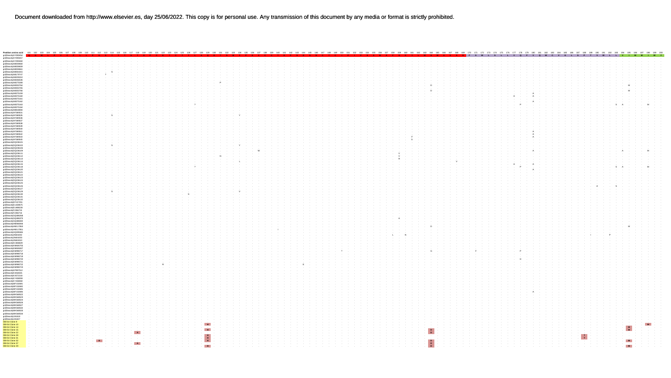|                                                    |  |  |  |   |  |   |  |  |               |  |  |  |  |  |  |  |  |                                  |  |  |  | $\Delta$ |  |                                             |  |               |  |
|----------------------------------------------------|--|--|--|---|--|---|--|--|---------------|--|--|--|--|--|--|--|--|----------------------------------|--|--|--|----------|--|---------------------------------------------|--|---------------|--|
|                                                    |  |  |  |   |  |   |  |  |               |  |  |  |  |  |  |  |  |                                  |  |  |  |          |  |                                             |  |               |  |
|                                                    |  |  |  |   |  |   |  |  |               |  |  |  |  |  |  |  |  |                                  |  |  |  |          |  |                                             |  |               |  |
|                                                    |  |  |  |   |  |   |  |  |               |  |  |  |  |  |  |  |  |                                  |  |  |  |          |  |                                             |  |               |  |
|                                                    |  |  |  |   |  |   |  |  |               |  |  |  |  |  |  |  |  |                                  |  |  |  |          |  |                                             |  |               |  |
|                                                    |  |  |  |   |  |   |  |  |               |  |  |  |  |  |  |  |  |                                  |  |  |  |          |  |                                             |  |               |  |
|                                                    |  |  |  |   |  |   |  |  |               |  |  |  |  |  |  |  |  |                                  |  |  |  |          |  |                                             |  |               |  |
|                                                    |  |  |  |   |  |   |  |  |               |  |  |  |  |  |  |  |  |                                  |  |  |  |          |  |                                             |  |               |  |
|                                                    |  |  |  |   |  |   |  |  |               |  |  |  |  |  |  |  |  |                                  |  |  |  |          |  |                                             |  |               |  |
|                                                    |  |  |  |   |  |   |  |  | H             |  |  |  |  |  |  |  |  |                                  |  |  |  |          |  |                                             |  |               |  |
|                                                    |  |  |  |   |  |   |  |  | H             |  |  |  |  |  |  |  |  | $\frac{D}{D}$                    |  |  |  |          |  |                                             |  | $\frac{M}{M}$ |  |
|                                                    |  |  |  |   |  | A |  |  |               |  |  |  |  |  |  |  |  |                                  |  |  |  |          |  |                                             |  |               |  |
|                                                    |  |  |  |   |  |   |  |  | $\frac{H}{H}$ |  |  |  |  |  |  |  |  |                                  |  |  |  |          |  | $\left\vert \frac{\Psi }{\Psi }\right\vert$ |  |               |  |
| BI-54 Clone 32<br>BI-54 Clone 37<br>BI-54 Clone 29 |  |  |  | E |  | A |  |  |               |  |  |  |  |  |  |  |  | $\overline{\phantom{a}}^{\rm p}$ |  |  |  |          |  |                                             |  | M             |  |
|                                                    |  |  |  |   |  |   |  |  |               |  |  |  |  |  |  |  |  |                                  |  |  |  |          |  |                                             |  | <b>M</b>      |  |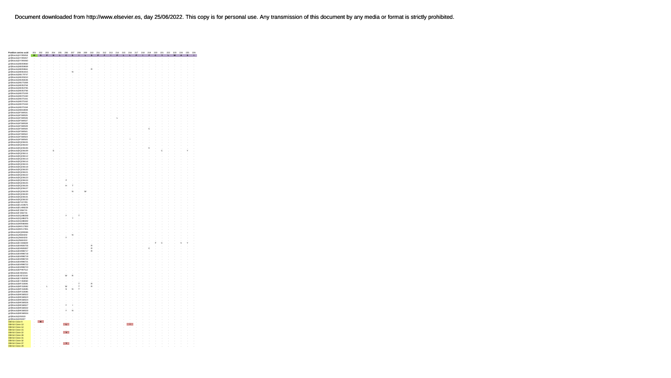| Position amino acid<br>grijhbvods(AY090454           | $\begin{array}{cccccccccccccccccc} 201 & 202 & 203 & 204 & 205 & 206 & 207 & 208 \\ \hline \textbf{W} & \textbf{G} & \textbf{P} & \textbf{N} & \textbf{L} & \textbf{C} & \textbf{S} & \textbf{I} \end{array}$ |   |    |   |              |   |        | 209<br>$\mathbf{E}$ |        | $210$ $211$ $212$<br>$8$ $P$ $F$ | 213<br>Ť. | $\begin{array}{ccccc} 214 & 215 & 216 \\ \textbf{P} & \textbf{L} & \textbf{L} \end{array}$ |            |  | $\begin{array}{ccccc} 217 & 218 & 219 & 220 \\ \mathbf{P} & \mathbf{I} & \mathbf{F} & \mathbf{C} \end{array}$ |   | 221 | $222\,$<br>$Y$ $V$ | $223$ $224$ $225$ $226$<br>W A S I |  |
|------------------------------------------------------|---------------------------------------------------------------------------------------------------------------------------------------------------------------------------------------------------------------|---|----|---|--------------|---|--------|---------------------|--------|----------------------------------|-----------|--------------------------------------------------------------------------------------------|------------|--|---------------------------------------------------------------------------------------------------------------|---|-----|--------------------|------------------------------------|--|
| grijhbvedsjAY090457                                  |                                                                                                                                                                                                               |   |    |   |              |   |        |                     |        |                                  |           |                                                                                            |            |  |                                                                                                               |   |     |                    |                                    |  |
|                                                      |                                                                                                                                                                                                               |   |    |   |              |   |        |                     |        |                                  |           |                                                                                            |            |  |                                                                                                               |   |     |                    |                                    |  |
| gni (hbvzdaj A Y 090460)<br>gni (hbvzdaj A B 059660) |                                                                                                                                                                                                               |   |    |   |              |   |        |                     |        |                                  |           |                                                                                            |            |  |                                                                                                               |   |     |                    |                                    |  |
| gri Hoveds A Bostassa                                |                                                                                                                                                                                                               |   |    |   |              |   |        |                     |        |                                  |           |                                                                                            |            |  |                                                                                                               |   |     |                    |                                    |  |
| gnl Hoveds (AB059661                                 |                                                                                                                                                                                                               |   |    |   |              |   |        |                     | R      |                                  |           |                                                                                            |            |  |                                                                                                               |   |     |                    |                                    |  |
| grijhtveds(AB064315<br>grijhtveds(AB179747           |                                                                                                                                                                                                               |   |    |   |              | N |        |                     |        |                                  |           |                                                                                            |            |  |                                                                                                               |   |     |                    |                                    |  |
|                                                      |                                                                                                                                                                                                               |   |    |   |              |   |        |                     |        |                                  |           |                                                                                            |            |  |                                                                                                               |   |     |                    |                                    |  |
| grijhbvcds(AB205010                                  |                                                                                                                                                                                                               |   |    |   |              |   |        |                     |        |                                  |           |                                                                                            |            |  |                                                                                                               |   |     |                    |                                    |  |
| gni (hbvcds/AB268536                                 |                                                                                                                                                                                                               |   |    |   |              |   |        |                     |        |                                  |           |                                                                                            |            |  |                                                                                                               |   |     |                    |                                    |  |
| gri Hoveds AB275308                                  |                                                                                                                                                                                                               |   |    |   |              |   |        |                     |        |                                  |           |                                                                                            |            |  |                                                                                                               |   |     |                    |                                    |  |
| gri Hoveds AB353764<br>gri Hoveds AB353765           |                                                                                                                                                                                                               |   |    |   |              |   |        |                     |        |                                  |           |                                                                                            |            |  |                                                                                                               |   |     |                    |                                    |  |
| grijhbvcds(AB353766                                  |                                                                                                                                                                                                               |   |    |   |              |   |        |                     |        |                                  |           |                                                                                            |            |  |                                                                                                               |   |     |                    |                                    |  |
| grijhbvcdsjAB375159                                  |                                                                                                                                                                                                               |   |    |   |              |   |        |                     |        |                                  |           |                                                                                            |            |  |                                                                                                               |   |     |                    |                                    |  |
| grijhtvedsjAB375160                                  |                                                                                                                                                                                                               |   |    |   |              |   |        |                     |        |                                  |           |                                                                                            |            |  |                                                                                                               |   |     |                    |                                    |  |
| grilhbucds(AB375161                                  |                                                                                                                                                                                                               |   |    |   |              |   |        |                     |        |                                  |           |                                                                                            |            |  |                                                                                                               |   |     |                    |                                    |  |
| grijhbvcdsjAB375162                                  |                                                                                                                                                                                                               |   |    |   |              |   |        |                     |        |                                  |           |                                                                                            |            |  |                                                                                                               |   |     |                    |                                    |  |
| grijhbvcds(ABS75163                                  |                                                                                                                                                                                                               |   |    |   |              |   |        |                     |        |                                  |           |                                                                                            |            |  |                                                                                                               |   |     |                    |                                    |  |
| grijhbvcds(AB375164                                  |                                                                                                                                                                                                               |   |    |   |              |   |        |                     |        |                                  |           |                                                                                            |            |  |                                                                                                               |   |     |                    |                                    |  |
| grijhbvcdsjAB818694                                  |                                                                                                                                                                                                               |   |    |   |              |   |        |                     |        |                                  |           |                                                                                            |            |  |                                                                                                               |   |     |                    |                                    |  |
| grijhbvcds(AF360531<br>gril) bradajAF360535          |                                                                                                                                                                                                               |   |    |   |              |   |        |                     |        |                                  |           |                                                                                            |            |  |                                                                                                               |   |     |                    |                                    |  |
| gri HorodajAF360536                                  |                                                                                                                                                                                                               |   |    |   |              |   |        |                     |        |                                  |           |                                                                                            |            |  |                                                                                                               |   |     |                    |                                    |  |
| gri Houcos AF360537                                  |                                                                                                                                                                                                               |   |    |   |              |   |        |                     |        |                                  |           |                                                                                            |            |  |                                                                                                               |   |     |                    |                                    |  |
| gril) bradajAF360538                                 |                                                                                                                                                                                                               |   |    |   |              |   |        |                     |        |                                  |           |                                                                                            |            |  |                                                                                                               |   |     |                    |                                    |  |
| gri Hoveds/AF360539                                  |                                                                                                                                                                                                               |   |    |   |              |   |        |                     |        |                                  |           |                                                                                            |            |  |                                                                                                               |   |     |                    |                                    |  |
|                                                      |                                                                                                                                                                                                               |   |    |   |              |   |        |                     |        |                                  |           |                                                                                            |            |  | ċ                                                                                                             |   |     |                    |                                    |  |
| gnijhbvcds/AF369540<br>gnijhbvcds/AF369541           |                                                                                                                                                                                                               |   |    |   |              |   |        |                     |        |                                  |           |                                                                                            |            |  |                                                                                                               |   |     |                    |                                    |  |
| gri Hoveds AF 360542                                 |                                                                                                                                                                                                               |   |    |   |              |   |        |                     |        |                                  |           |                                                                                            |            |  |                                                                                                               |   |     |                    |                                    |  |
| gril) bracds (AF360543                               |                                                                                                                                                                                                               |   |    |   |              |   |        |                     |        |                                  |           |                                                                                            |            |  |                                                                                                               |   |     |                    |                                    |  |
| grijhtveds(AF360545<br>grijhtveds(DQ236101           |                                                                                                                                                                                                               |   |    |   |              |   |        |                     |        |                                  |           |                                                                                            |            |  |                                                                                                               |   |     |                    |                                    |  |
|                                                      |                                                                                                                                                                                                               |   |    |   |              |   |        |                     |        |                                  |           |                                                                                            |            |  |                                                                                                               |   |     |                    |                                    |  |
| grijhbvcds(DQ236102                                  |                                                                                                                                                                                                               |   |    |   |              |   |        |                     |        |                                  |           |                                                                                            |            |  | ċ                                                                                                             |   |     |                    |                                    |  |
| gni (htrucds) DQ236106<br>ani htredsiDQ236109        |                                                                                                                                                                                                               |   |    | ś |              |   |        |                     |        |                                  |           |                                                                                            |            |  |                                                                                                               |   | ċ   |                    |                                    |  |
| grijhbvcds(DQ236111                                  |                                                                                                                                                                                                               |   |    |   |              |   |        |                     |        |                                  |           |                                                                                            |            |  |                                                                                                               |   |     |                    |                                    |  |
| gril) bycols DQ236112                                |                                                                                                                                                                                                               |   |    |   |              |   |        |                     |        |                                  |           |                                                                                            |            |  |                                                                                                               |   |     |                    |                                    |  |
| gni (htreds) DQ236113                                |                                                                                                                                                                                                               |   |    |   |              |   |        |                     |        |                                  |           |                                                                                            |            |  |                                                                                                               |   |     |                    |                                    |  |
| grijhbvcds(DQ236114                                  |                                                                                                                                                                                                               |   |    |   |              |   |        |                     |        |                                  |           |                                                                                            |            |  |                                                                                                               |   |     |                    |                                    |  |
| gril) bracds (DQ236115                               |                                                                                                                                                                                                               |   |    |   |              |   |        |                     |        |                                  |           |                                                                                            |            |  |                                                                                                               |   |     |                    |                                    |  |
| grilhbucds(DQ236118                                  |                                                                                                                                                                                                               |   |    |   |              |   |        |                     |        |                                  |           |                                                                                            |            |  |                                                                                                               |   |     |                    |                                    |  |
| gri Hoveds DG236120                                  |                                                                                                                                                                                                               |   |    |   |              |   |        |                     |        |                                  |           |                                                                                            |            |  |                                                                                                               |   |     |                    |                                    |  |
| gri Hoveds (DQ236121                                 |                                                                                                                                                                                                               |   |    |   |              |   |        |                     |        |                                  |           |                                                                                            |            |  |                                                                                                               |   |     |                    |                                    |  |
| gril) towcos (DQ236122<br>grijhbvcds(DQ236123        |                                                                                                                                                                                                               |   |    |   |              |   |        |                     |        |                                  |           |                                                                                            |            |  |                                                                                                               |   |     |                    |                                    |  |
| gri Hoveds DC236124                                  |                                                                                                                                                                                                               |   |    |   | F            |   |        |                     |        |                                  |           |                                                                                            |            |  |                                                                                                               |   |     |                    |                                    |  |
| gri Hoveds (DQ236125                                 |                                                                                                                                                                                                               |   |    |   |              |   |        |                     |        |                                  |           |                                                                                            |            |  |                                                                                                               |   |     |                    |                                    |  |
| gri Hoveds (DQ236126                                 |                                                                                                                                                                                                               |   |    |   | H            | x |        |                     |        |                                  |           |                                                                                            |            |  |                                                                                                               |   |     |                    |                                    |  |
| gri Hoveds DC236127                                  |                                                                                                                                                                                                               |   |    |   |              |   |        |                     |        |                                  |           |                                                                                            |            |  |                                                                                                               |   |     |                    |                                    |  |
| gri Hoveds DQ236129                                  |                                                                                                                                                                                                               |   |    |   |              | N |        | w                   |        |                                  |           |                                                                                            |            |  |                                                                                                               |   |     |                    |                                    |  |
| gri Hoveds DC236130                                  |                                                                                                                                                                                                               |   |    |   |              |   |        |                     |        |                                  |           |                                                                                            |            |  |                                                                                                               |   |     |                    |                                    |  |
| gnijhbvoda (DQ236131<br>gnijhbvoda (DQ236132         |                                                                                                                                                                                                               |   |    |   |              |   |        |                     |        |                                  |           |                                                                                            |            |  |                                                                                                               |   |     |                    |                                    |  |
| gril) brucos (E F 157291                             |                                                                                                                                                                                                               |   |    |   |              |   |        |                     |        |                                  |           |                                                                                            |            |  |                                                                                                               |   |     |                    |                                    |  |
| gril) dovedajE U159675                               |                                                                                                                                                                                                               |   |    |   |              |   |        |                     |        |                                  |           |                                                                                            |            |  |                                                                                                               |   |     |                    |                                    |  |
| gnl Hoveds (EU498228                                 |                                                                                                                                                                                                               |   |    |   |              |   |        |                     |        |                                  |           |                                                                                            |            |  |                                                                                                               |   |     |                    |                                    |  |
| grilhbvcda(FJ356715                                  |                                                                                                                                                                                                               |   |    |   |              |   |        |                     |        |                                  |           |                                                                                            |            |  |                                                                                                               |   |     |                    |                                    |  |
| gri Hoveds FJ356716                                  |                                                                                                                                                                                                               |   |    |   |              |   |        |                     |        |                                  |           |                                                                                            |            |  |                                                                                                               |   |     |                    |                                    |  |
| pri/kivcds/GQ486268                                  |                                                                                                                                                                                                               |   |    |   | Ÿ            |   | т      |                     |        |                                  |           |                                                                                            |            |  |                                                                                                               |   |     |                    |                                    |  |
| gri Hovoda GQ486375                                  |                                                                                                                                                                                                               |   |    |   |              | ź |        |                     |        |                                  |           |                                                                                            |            |  |                                                                                                               |   |     |                    |                                    |  |
| gri Hovoda GQ486592                                  |                                                                                                                                                                                                               |   |    |   |              |   |        |                     |        |                                  |           |                                                                                            |            |  |                                                                                                               |   |     |                    |                                    |  |
| gri Haveds (HM068346                                 |                                                                                                                                                                                                               |   |    |   |              |   |        |                     |        |                                  |           |                                                                                            |            |  |                                                                                                               |   |     |                    |                                    |  |
| gnijhbvcdsjHM117850                                  |                                                                                                                                                                                                               |   |    |   |              |   |        |                     |        |                                  |           |                                                                                            |            |  |                                                                                                               |   |     |                    |                                    |  |
| grijhbvcds(HM117851                                  |                                                                                                                                                                                                               |   |    |   |              |   |        |                     |        |                                  |           |                                                                                            |            |  |                                                                                                               |   |     |                    |                                    |  |
| gri Haveda HQ285046<br>gri Hycols JN604202           |                                                                                                                                                                                                               |   |    |   |              | N |        |                     |        |                                  |           |                                                                                            |            |  |                                                                                                               |   |     |                    |                                    |  |
| gri Houtda JNE04203                                  |                                                                                                                                                                                                               |   |    |   |              |   |        |                     |        |                                  |           |                                                                                            |            |  |                                                                                                               |   |     |                    |                                    |  |
| pri hosti LNSD4310                                   |                                                                                                                                                                                                               |   |    |   |              |   |        |                     |        |                                  |           |                                                                                            |            |  |                                                                                                               |   |     |                    |                                    |  |
| gri Hoveds K C836829                                 |                                                                                                                                                                                                               |   |    |   |              |   |        |                     |        |                                  |           |                                                                                            |            |  |                                                                                                               | ŕ | ċ   |                    | Ń                                  |  |
| gni htveds KM606705                                  |                                                                                                                                                                                                               |   |    |   |              |   |        |                     | s.     |                                  |           |                                                                                            |            |  |                                                                                                               |   |     |                    |                                    |  |
| grijhbvedsjKM606937                                  |                                                                                                                                                                                                               |   |    |   |              |   |        |                     | R      |                                  |           |                                                                                            |            |  | ċ                                                                                                             |   |     |                    |                                    |  |
| grijhbvcds(KM998717                                  |                                                                                                                                                                                                               |   |    |   |              |   |        |                     | R      |                                  |           |                                                                                            |            |  |                                                                                                               |   |     |                    |                                    |  |
| grijhbvcds(KM998718                                  |                                                                                                                                                                                                               |   |    |   |              |   |        |                     |        |                                  |           |                                                                                            |            |  |                                                                                                               |   |     |                    |                                    |  |
| gni (hbvzdajKM998719<br>gni (hbvzdajKM998720         |                                                                                                                                                                                                               |   |    |   |              |   |        |                     |        |                                  |           |                                                                                            |            |  |                                                                                                               |   |     |                    |                                    |  |
| grijhbveds(KM998721                                  |                                                                                                                                                                                                               |   |    |   |              |   |        |                     |        |                                  |           |                                                                                            |            |  |                                                                                                               |   |     |                    |                                    |  |
| grijhbvcds(KM998722                                  |                                                                                                                                                                                                               |   |    |   |              |   |        |                     |        |                                  |           |                                                                                            |            |  |                                                                                                               |   |     |                    |                                    |  |
|                                                      |                                                                                                                                                                                                               |   |    |   |              |   |        |                     |        |                                  |           |                                                                                            |            |  |                                                                                                               |   |     |                    |                                    |  |
| grijhbveds(KM998723<br>grijhbveds(KP997512           |                                                                                                                                                                                                               |   |    |   |              |   |        |                     |        |                                  |           |                                                                                            |            |  |                                                                                                               |   |     |                    |                                    |  |
| grijhbvcds(KX264501                                  |                                                                                                                                                                                                               |   |    |   |              |   |        |                     |        |                                  |           |                                                                                            |            |  |                                                                                                               |   |     |                    |                                    |  |
| gnl Hoveds (KX372218                                 |                                                                                                                                                                                                               |   |    |   | w            | R |        |                     |        |                                  |           |                                                                                            |            |  |                                                                                                               |   |     |                    |                                    |  |
| ani hitrocolul KY 458059                             |                                                                                                                                                                                                               |   |    |   |              |   |        |                     |        |                                  |           |                                                                                            |            |  |                                                                                                               |   |     |                    |                                    |  |
| gri Hoveds KY458060                                  |                                                                                                                                                                                                               |   |    |   |              |   |        |                     |        |                                  |           |                                                                                            |            |  |                                                                                                               |   |     |                    |                                    |  |
| gnl) bucds MF150021<br>ani hitrocoluMF150892         |                                                                                                                                                                                                               |   | t. |   | w            |   | т<br>ŧ |                     | R<br>R |                                  |           |                                                                                            |            |  |                                                                                                               |   |     |                    |                                    |  |
| grijhbvcds(MF150625                                  |                                                                                                                                                                                                               |   |    |   | ŝ            | N | Ŧ      |                     |        |                                  |           |                                                                                            |            |  |                                                                                                               |   |     |                    |                                    |  |
| gril) bracds (MF150696                               |                                                                                                                                                                                                               |   |    |   |              |   |        |                     |        |                                  |           |                                                                                            |            |  |                                                                                                               |   |     |                    |                                    |  |
| grijhbvedsjMK568522                                  |                                                                                                                                                                                                               |   |    |   |              |   |        |                     |        |                                  |           |                                                                                            |            |  |                                                                                                               |   |     |                    |                                    |  |
| gri Hoveda MK568523                                  |                                                                                                                                                                                                               |   |    |   |              |   |        |                     |        |                                  |           |                                                                                            |            |  |                                                                                                               |   |     |                    |                                    |  |
| gri Horcds MK568524                                  |                                                                                                                                                                                                               |   |    |   |              |   |        |                     |        |                                  |           |                                                                                            |            |  |                                                                                                               |   |     |                    |                                    |  |
| gri hoveds MK568526                                  |                                                                                                                                                                                                               |   |    |   |              |   |        |                     |        |                                  |           |                                                                                            |            |  |                                                                                                               |   |     |                    |                                    |  |
| gri Hoveds MK568527                                  |                                                                                                                                                                                                               |   |    |   | Ÿ            | ï |        |                     |        |                                  |           |                                                                                            |            |  |                                                                                                               |   |     |                    |                                    |  |
| gri Hoveda MK568532                                  |                                                                                                                                                                                                               |   |    |   |              |   |        |                     |        |                                  |           |                                                                                            |            |  |                                                                                                               |   |     |                    |                                    |  |
| grijtevoda MK568533                                  |                                                                                                                                                                                                               |   |    |   | Y            | N |        |                     |        |                                  |           |                                                                                            |            |  |                                                                                                               |   |     |                    |                                    |  |
| gri Hoveds/MK588534                                  |                                                                                                                                                                                                               |   |    |   |              |   |        |                     |        |                                  |           |                                                                                            |            |  |                                                                                                               |   |     |                    |                                    |  |
| grijhbvcda U91819                                    |                                                                                                                                                                                                               |   |    |   |              |   |        |                     |        |                                  |           |                                                                                            |            |  |                                                                                                               |   |     |                    |                                    |  |
| gri Hoveda (U91827<br>OBI-54 Clone 9                 |                                                                                                                                                                                                               | R |    |   |              |   |        |                     |        |                                  |           |                                                                                            |            |  |                                                                                                               |   |     |                    |                                    |  |
| OBI-54 Clone 10                                      |                                                                                                                                                                                                               |   |    |   |              |   |        |                     |        |                                  |           |                                                                                            | <b>COL</b> |  |                                                                                                               |   |     |                    |                                    |  |
| OBI-54 Clone 14                                      |                                                                                                                                                                                                               |   |    |   |              |   |        |                     |        |                                  |           |                                                                                            |            |  |                                                                                                               |   |     |                    |                                    |  |
| OBI-54 Clone 15                                      |                                                                                                                                                                                                               |   |    |   |              |   |        |                     |        |                                  |           |                                                                                            |            |  |                                                                                                               |   |     |                    |                                    |  |
| ORUSA Close 22                                       |                                                                                                                                                                                                               |   |    |   | $\mathbf{v}$ |   |        |                     |        |                                  |           |                                                                                            |            |  |                                                                                                               |   |     |                    |                                    |  |
| OBI-54 Clone 28                                      |                                                                                                                                                                                                               |   |    |   |              |   |        |                     |        |                                  |           |                                                                                            |            |  |                                                                                                               |   |     |                    |                                    |  |
| OBI-54 Clone 31                                      |                                                                                                                                                                                                               |   |    |   |              |   |        |                     |        |                                  |           |                                                                                            |            |  |                                                                                                               |   |     |                    |                                    |  |
| ORUSA Close 32                                       |                                                                                                                                                                                                               |   |    |   |              |   |        |                     |        |                                  |           |                                                                                            |            |  |                                                                                                               |   |     |                    |                                    |  |
| OBI-54 Clone 37                                      |                                                                                                                                                                                                               |   |    |   |              |   |        |                     |        |                                  |           |                                                                                            |            |  |                                                                                                               |   |     |                    |                                    |  |
| OBI-54 Clone 29                                      |                                                                                                                                                                                                               |   |    |   |              |   |        |                     |        |                                  |           |                                                                                            |            |  |                                                                                                               |   |     |                    |                                    |  |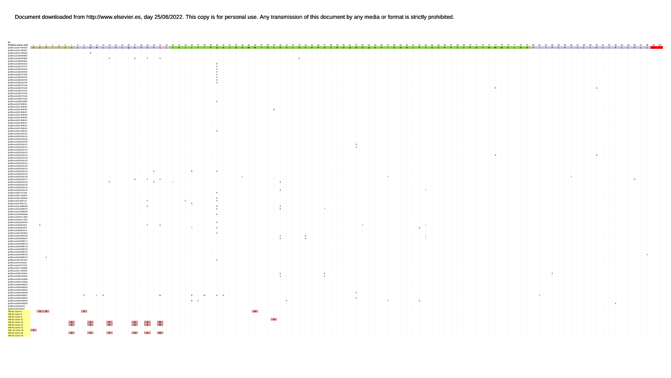|                                                                                                                                                          |  |               |              | $\mathbb{R}$ | $\begin{array}{c c c c c} \hline \mathbf{c} & \mathbf{s} & \mathbf{s} & \mathbf{w} \\ \hline \mathbf{c} & \mathbf{s} & \mathbf{s} & \mathbf{w} \end{array}$ |  |  | H |  |  |  |  |  |  |  |
|----------------------------------------------------------------------------------------------------------------------------------------------------------|--|---------------|--------------|--------------|-------------------------------------------------------------------------------------------------------------------------------------------------------------|--|--|---|--|--|--|--|--|--|--|
|                                                                                                                                                          |  | $\frac{1}{2}$ | $\mathbf{x}$ |              |                                                                                                                                                             |  |  |   |  |  |  |  |  |  |  |
| 08142 Clane 5<br>08142 Clane 5<br>08142 Clane 9<br>08142 Clane 12<br>08142 Clane 15<br>08142 Clane 22<br>0814 Clane 23<br>0814 Clane 23<br>0814 Clane 23 |  |               |              |              |                                                                                                                                                             |  |  |   |  |  |  |  |  |  |  |
| 08162 Clone 30                                                                                                                                           |  | E             | K            | P            | $G$ $S$ $W$                                                                                                                                                 |  |  |   |  |  |  |  |  |  |  |
|                                                                                                                                                          |  |               |              |              |                                                                                                                                                             |  |  |   |  |  |  |  |  |  |  |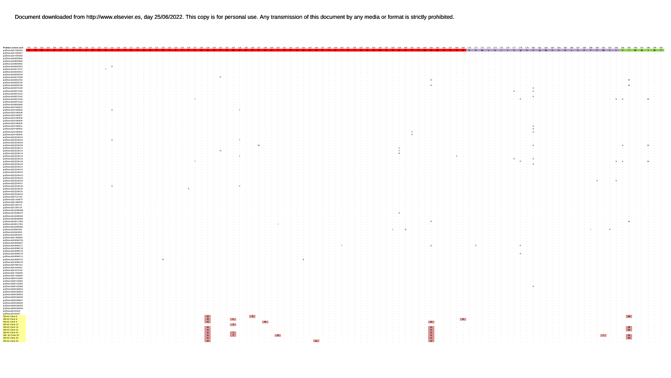| SH2 Clone 30 |  |  |  |  |  |  |  |  |  |  | $\mathbf{s}$ |  |  |  |  |  |  |  |  |  |  |  |
|--------------|--|--|--|--|--|--|--|--|--|--|--------------|--|--|--|--|--|--|--|--|--|--|--|
|              |  |  |  |  |  |  |  |  |  |  |              |  |  |  |  |  |  |  |  |  |  |  |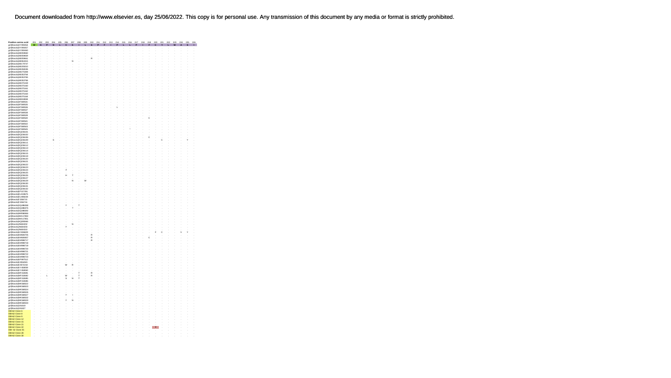| mino acid                                       |          | 202 | 203     | 204            | ze         | 207          | 208          |   | 210          | 211 | 212          | 213 | 214 | 215 | 216 | 217 | 218 | 219          | 220        | 221 | $\overline{z}$ | 223 | 224 | 225     | 226 |
|-------------------------------------------------|----------|-----|---------|----------------|------------|--------------|--------------|---|--------------|-----|--------------|-----|-----|-----|-----|-----|-----|--------------|------------|-----|----------------|-----|-----|---------|-----|
| grijhbvcds(AY090454                             | <b>W</b> |     | $G$ $P$ | $\overline{N}$ | $\epsilon$ | $\mathbf{s}$ | $\mathbf{u}$ |   | $\mathbf{s}$ | P.  | $\mathbf{r}$ | n.  |     | t.  | ъ.  | P.  |     | $\mathbf{r}$ | $\epsilon$ | Y.  | E.             | w.  |     | $A$ $S$ | n.  |
| grijhtveds(AY090457<br>grijhtveds(AY090460      |          |     |         |                |            |              |              |   |              |     |              |     |     |     |     |     |     |              |            |     |                |     |     |         |     |
|                                                 |          |     |         |                |            |              |              |   |              |     |              |     |     |     |     |     |     |              |            |     |                |     |     |         |     |
| gri Hoveds AB059660                             |          |     |         |                |            |              |              |   |              |     |              |     |     |     |     |     |     |              |            |     |                |     |     |         |     |
| gri Hoveds AB059659                             |          |     |         |                |            |              |              |   |              |     |              |     |     |     |     |     |     |              |            |     |                |     |     |         |     |
| grijkbieds(AB059661                             |          |     |         |                |            |              |              |   |              |     |              |     |     |     |     |     |     |              |            |     |                |     |     |         |     |
| gri htvcds/AB064315                             |          |     |         |                |            | Ň            |              |   |              |     |              |     |     |     |     |     |     |              |            |     |                |     |     |         |     |
| grijhtvedsjAB179747                             |          |     |         |                |            |              |              |   |              |     |              |     |     |     |     |     |     |              |            |     |                |     |     |         |     |
| grijtevodajAB205010                             |          |     |         |                |            |              |              |   |              |     |              |     |     |     |     |     |     |              |            |     |                |     |     |         |     |
| grijhtveds/AB266536<br>grijhtveds/AB275308      |          |     |         |                |            |              |              |   |              |     |              |     |     |     |     |     |     |              |            |     |                |     |     |         |     |
|                                                 |          |     |         |                |            |              |              |   |              |     |              |     |     |     |     |     |     |              |            |     |                |     |     |         |     |
| grijhbvcds(AB353764                             |          |     |         |                |            |              |              |   |              |     |              |     |     |     |     |     |     |              |            |     |                |     |     |         |     |
| grijhtveds(AB353765                             |          |     |         |                |            |              |              |   |              |     |              |     |     |     |     |     |     |              |            |     |                |     |     |         |     |
| grijhtveds/AB353766<br>grijhtveds/AB375159      |          |     |         |                |            |              |              |   |              |     |              |     |     |     |     |     |     |              |            |     |                |     |     |         |     |
| grijtevodajAB375160                             |          |     |         |                |            |              |              |   |              |     |              |     |     |     |     |     |     |              |            |     |                |     |     |         |     |
|                                                 |          |     |         |                |            |              |              |   |              |     |              |     |     |     |     |     |     |              |            |     |                |     |     |         |     |
| grijhbvcds(AB375161                             |          |     |         |                |            |              |              |   |              |     |              |     |     |     |     |     |     |              |            |     |                |     |     |         |     |
| gni htvcds (AB375162                            |          |     |         |                |            |              |              |   |              |     |              |     |     |     |     |     |     |              |            |     |                |     |     |         |     |
| grijhtvedsjAB375163                             |          |     |         |                |            |              |              |   |              |     |              |     |     |     |     |     |     |              |            |     |                |     |     |         |     |
| grijhbvcdsjAB375164                             |          |     |         |                |            |              |              |   |              |     |              |     |     |     |     |     |     |              |            |     |                |     |     |         |     |
| grijhtvedsjAB818694<br>grijhbvodsjAF369531      |          |     |         |                |            |              |              |   |              |     |              |     |     |     |     |     |     |              |            |     |                |     |     |         |     |
| grijhtveds/AF360535                             |          |     |         |                |            |              |              |   |              |     |              |     |     |     |     |     |     |              |            |     |                |     |     |         |     |
| gri Hzvcds/AF360536                             |          |     |         |                |            |              |              |   |              |     |              |     |     |     |     |     |     |              |            |     |                |     |     |         |     |
| grijhtvedsjAF360537                             |          |     |         |                |            |              |              |   |              |     |              |     |     |     |     |     |     |              |            |     |                |     |     |         |     |
| grijhtveds/AF360538                             |          |     |         |                |            |              |              |   |              |     |              |     |     |     |     |     |     |              |            |     |                |     |     |         |     |
| grijhtvedsjAF360539                             |          |     |         |                |            |              |              |   |              |     |              |     |     |     |     |     |     |              |            |     |                |     |     |         |     |
| gril) bracds (AF360540                          |          |     |         |                |            |              |              |   |              |     |              |     |     |     |     |     |     | ¢            |            |     |                |     |     |         |     |
| grijhbvcds(AF369541                             |          |     |         |                |            |              |              |   |              |     |              |     |     |     |     |     |     |              |            |     |                |     |     |         |     |
| gri Houcos (AF360542)                           |          |     |         |                |            |              |              |   |              |     |              |     |     |     |     |     |     |              |            |     |                |     |     |         |     |
| grijhtvedsjAF360543                             |          |     |         |                |            |              |              |   |              |     |              |     |     |     |     |     |     |              |            |     |                |     |     |         |     |
| grilhbvcds/AF360545                             |          |     |         |                |            |              |              |   |              |     |              |     |     |     |     |     |     |              |            |     |                |     |     |         |     |
| grijhtveds(DQ236101                             |          |     |         |                |            |              |              |   |              |     |              |     |     |     |     |     |     |              |            |     |                |     |     |         |     |
| grilhtveds(DQ236102                             |          |     |         |                |            |              |              |   |              |     |              |     |     |     |     |     |     |              |            |     |                |     |     |         |     |
| grijhbvcds(DQ236106                             |          |     |         |                |            |              |              |   |              |     |              |     |     |     |     |     |     | c            |            |     |                |     |     |         |     |
| grijhtveds(DQ236109                             |          |     |         | ŝ              |            |              |              |   |              |     |              |     |     |     |     |     |     |              |            | ċ   |                |     |     |         |     |
| grilhtveds/DG236111                             |          |     |         |                |            |              |              |   |              |     |              |     |     |     |     |     |     |              |            |     |                |     |     |         |     |
| grijhtveds(DQ236112                             |          |     |         |                |            |              |              |   |              |     |              |     |     |     |     |     |     |              |            |     |                |     |     |         |     |
| grijhtveds(DQ236113                             |          |     |         |                |            |              |              |   |              |     |              |     |     |     |     |     |     |              |            |     |                |     |     |         |     |
| grijhtveds(DQ236114<br>grijhtveds(DQ236115      |          |     |         |                |            |              |              |   |              |     |              |     |     |     |     |     |     |              |            |     |                |     |     |         |     |
|                                                 |          |     |         |                |            |              |              |   |              |     |              |     |     |     |     |     |     |              |            |     |                |     |     |         |     |
| grijhtveds(DQ236118                             |          |     |         |                |            |              |              |   |              |     |              |     |     |     |     |     |     |              |            |     |                |     |     |         |     |
| grijhtveds(DQ236120                             |          |     |         |                |            |              |              |   |              |     |              |     |     |     |     |     |     |              |            |     |                |     |     |         |     |
| gri (Hzvcds/DQ236121                            |          |     |         |                |            |              |              |   |              |     |              |     |     |     |     |     |     |              |            |     |                |     |     |         |     |
| gri Hoveda DQ236122                             |          |     |         |                |            |              |              |   |              |     |              |     |     |     |     |     |     |              |            |     |                |     |     |         |     |
| grijhtveds(DQ236123                             |          |     |         |                | Ë          |              |              |   |              |     |              |     |     |     |     |     |     |              |            |     |                |     |     |         |     |
| grijhtveds(DQ236124                             |          |     |         |                |            |              |              |   |              |     |              |     |     |     |     |     |     |              |            |     |                |     |     |         |     |
| grijhtveds(DQ236125<br>grijhtveds(DQ236126      |          |     |         |                | Ĥ          | Ŷ            |              |   |              |     |              |     |     |     |     |     |     |              |            |     |                |     |     |         |     |
| grijhtveds(DQ236127                             |          |     |         |                |            |              |              |   |              |     |              |     |     |     |     |     |     |              |            |     |                |     |     |         |     |
| grijhtveds(DQ236129                             |          |     |         |                |            | N            |              | w |              |     |              |     |     |     |     |     |     |              |            |     |                |     |     |         |     |
|                                                 |          |     |         |                |            |              |              |   |              |     |              |     |     |     |     |     |     |              |            |     |                |     |     |         |     |
| grijhtveds(DQ236130<br>grijhtveds(DQ236131      |          |     |         |                |            |              |              |   |              |     |              |     |     |     |     |     |     |              |            |     |                |     |     |         |     |
| grijhtveds(DQ236132                             |          |     |         |                |            |              |              |   |              |     |              |     |     |     |     |     |     |              |            |     |                |     |     |         |     |
| grijhbvcds(EF157291                             |          |     |         |                |            |              |              |   |              |     |              |     |     |     |     |     |     |              |            |     |                |     |     |         |     |
| grijhtveds(EU159675                             |          |     |         |                |            |              |              |   |              |     |              |     |     |     |     |     |     |              |            |     |                |     |     |         |     |
| gril Horcds (EU498228                           |          |     |         |                |            |              |              |   |              |     |              |     |     |     |     |     |     |              |            |     |                |     |     |         |     |
| gril) bracds (FJ356715                          |          |     |         |                |            |              |              |   |              |     |              |     |     |     |     |     |     |              |            |     |                |     |     |         |     |
| grijhtveds(FJ356716                             |          |     |         |                |            |              |              |   |              |     |              |     |     |     |     |     |     |              |            |     |                |     |     |         |     |
| gri HyudajGQ486268                              |          |     |         |                |            |              |              |   |              |     |              |     |     |     |     |     |     |              |            |     |                |     |     |         |     |
| gri) bricds(GQ486375                            |          |     |         |                |            | ź            |              |   |              |     |              |     |     |     |     |     |     |              |            |     |                |     |     |         |     |
| gri Hzvcds(GQ486592                             |          |     |         |                |            |              |              |   |              |     |              |     |     |     |     |     |     |              |            |     |                |     |     |         |     |
| gri Haveda HM066946                             |          |     |         |                |            |              |              |   |              |     |              |     |     |     |     |     |     |              |            |     |                |     |     |         |     |
| grijhtvedsjHM117850                             |          |     |         |                |            |              |              |   |              |     |              |     |     |     |     |     |     |              |            |     |                |     |     |         |     |
| grijhbvcds(HM117851                             |          |     |         |                |            |              |              |   |              |     |              |     |     |     |     |     |     |              |            |     |                |     |     |         |     |
| grijhbvcds/HQ285046                             |          |     |         |                |            |              |              |   |              |     |              |     |     |     |     |     |     |              |            |     |                |     |     |         |     |
| onl htrycdail INSO4202                          |          |     |         |                |            | N            |              |   |              |     |              |     |     |     |     |     |     |              |            |     |                |     |     |         |     |
| grijhbvcds(JN604203                             |          |     |         |                |            |              |              |   |              |     |              |     |     |     |     |     |     |              |            |     |                |     |     |         |     |
| gri/blvcds(JN604310                             |          |     |         |                |            |              |              |   |              |     |              |     |     |     |     |     |     |              |            |     |                |     |     |         |     |
| grijhbvcds(KC836829                             |          |     |         |                |            |              |              |   |              |     |              |     |     |     |     |     |     |              | ŕ          | ċ   |                |     | ý   |         |     |
| gri Houcola KM606705                            |          |     |         |                |            |              |              |   |              |     |              |     |     |     |     |     |     |              |            |     |                |     |     |         |     |
| gri Haveda KM808937<br>grijkwedsjKM998717       |          |     |         |                |            |              |              |   | Ň            |     |              |     |     |     |     |     |     | c            |            |     |                |     |     |         |     |
|                                                 |          |     |         |                |            |              |              |   |              |     |              |     |     |     |     |     |     |              |            |     |                |     |     |         |     |
| grijhbvcds(KM998718<br>grilhbycds(KM998719      |          |     |         |                |            |              |              |   |              |     |              |     |     |     |     |     |     |              |            |     |                |     |     |         |     |
| grijhbvcds(KM998720                             |          |     |         |                |            |              |              |   |              |     |              |     |     |     |     |     |     |              |            |     |                |     |     |         |     |
| gri (Horoda)KM998721                            |          |     |         |                |            |              |              |   |              |     |              |     |     |     |     |     |     |              |            |     |                |     |     |         |     |
|                                                 |          |     |         |                |            |              |              |   |              |     |              |     |     |     |     |     |     |              |            |     |                |     |     |         |     |
| grijhtveds/KM998722<br>grijhtveds/KM998723      |          |     |         |                |            |              |              |   |              |     |              |     |     |     |     |     |     |              |            |     |                |     |     |         |     |
| grijhbveds(KP997512                             |          |     |         |                |            |              |              |   |              |     |              |     |     |     |     |     |     |              |            |     |                |     |     |         |     |
| grijhbveds(KX264501                             |          |     |         |                |            |              |              |   |              |     |              |     |     |     |     |     |     |              |            |     |                |     |     |         |     |
|                                                 |          |     |         |                | w          | Ř            |              |   |              |     |              |     |     |     |     |     |     |              |            |     |                |     |     |         |     |
| gnijhbvcds(KXS72218<br>gnijhbvcds(KY458059      |          |     |         |                |            |              |              |   |              |     |              |     |     |     |     |     |     |              |            |     |                |     |     |         |     |
| grijhbvedsjKY458060                             |          |     |         |                |            |              |              |   |              |     |              |     |     |     |     |     |     |              |            |     |                |     |     |         |     |
| grijhbvcds(MF150691                             |          |     |         |                |            |              | y            |   | s.           |     |              |     |     |     |     |     |     |              |            |     |                |     |     |         |     |
| grijhtveds(MF150622<br>grijhtveds(MF150625      |          |     | t.      |                | w          |              |              |   | R            |     |              |     |     |     |     |     |     |              |            |     |                |     |     |         |     |
|                                                 |          |     |         |                | ŝ          | N            | ĭ            |   |              |     |              |     |     |     |     |     |     |              |            |     |                |     |     |         |     |
| grijhtvedsjMF150698                             |          |     |         |                |            |              |              |   |              |     |              |     |     |     |     |     |     |              |            |     |                |     |     |         |     |
| grijhbvcds/MK568522                             |          |     |         |                |            |              |              |   |              |     |              |     |     |     |     |     |     |              |            |     |                |     |     |         |     |
| .<br>gri (Hords)MK568523<br>gri (Hords)MK568524 |          |     |         |                |            |              |              |   |              |     |              |     |     |     |     |     |     |              |            |     |                |     |     |         |     |
|                                                 |          |     |         |                |            |              |              |   |              |     |              |     |     |     |     |     |     |              |            |     |                |     |     |         |     |
| gri Hoveds MK568526                             |          |     |         |                |            |              |              |   |              |     |              |     |     |     |     |     |     |              |            |     |                |     |     |         |     |
| grijhbvcds(MK568527                             |          |     |         |                |            | ı            |              |   |              |     |              |     |     |     |     |     |     |              |            |     |                |     |     |         |     |
| gri htvcds MK568532                             |          |     |         |                |            |              |              |   |              |     |              |     |     |     |     |     |     |              |            |     |                |     |     |         |     |
| gri Hoveda MK568533                             |          |     |         |                |            | N            |              |   |              |     |              |     |     |     |     |     |     |              |            |     |                |     |     |         |     |
| gri Horoda MK568534                             |          |     |         |                |            |              |              |   |              |     |              |     |     |     |     |     |     |              |            |     |                |     |     |         |     |
| grijhtveds(U91819                               |          |     |         |                |            |              |              |   |              |     |              |     |     |     |     |     |     |              |            |     |                |     |     |         |     |
| grijhbvcds(U91827                               |          |     |         |                |            |              |              |   |              |     |              |     |     |     |     |     |     |              |            |     |                |     |     |         |     |
| OBI-62 Clone 6<br>OBI-62 Clone 8                |          |     |         |                |            |              |              |   |              |     |              |     |     |     |     |     |     |              |            |     |                |     |     |         |     |
| OBI-62 Clone 9                                  |          |     |         |                |            |              |              |   |              |     |              |     |     |     |     |     |     |              |            |     |                |     |     |         |     |
| OBI-62 Clone 12                                 |          |     |         |                |            |              |              |   |              |     |              |     |     |     |     |     |     |              |            |     |                |     |     |         |     |
|                                                 |          |     |         |                |            |              |              |   |              |     |              |     |     |     |     |     |     |              |            |     |                |     |     |         |     |
| OBI-62 Clone 15<br>OBI-62 Clone 21              |          |     |         |                |            |              |              |   |              |     |              |     |     |     |     |     |     |              |            |     |                |     |     |         |     |
| OBI-62 Clone 22                                 |          |     |         |                |            |              |              |   |              |     |              |     |     |     |     |     |     |              | Y          |     |                |     |     |         |     |
| OBI-62 Clone 25                                 |          |     |         |                |            |              |              |   |              |     |              |     |     |     |     |     |     |              |            |     |                |     |     |         |     |
| <b>OBI-62 Clone 28</b>                          |          |     |         |                |            |              |              |   |              |     |              |     |     |     |     |     |     |              |            |     |                |     |     |         |     |
| OBI-62 Clone 30                                 |          |     |         |                |            |              |              |   |              |     |              |     |     |     |     |     |     |              |            |     |                |     |     |         |     |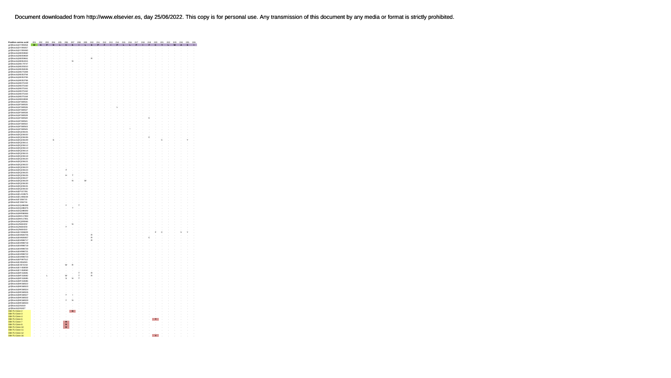| Position amino acid                          | 201 | 202     | 203 | 204 | 205 | 206    | 207              | 208 | 209 | 210                     | 211 | 212          | 213 | 214 | 215 | 216 | 217 | 218          | 219            | 220         | 221 | 222 | 223 | 224 | 225       | 226          |
|----------------------------------------------|-----|---------|-----|-----|-----|--------|------------------|-----|-----|-------------------------|-----|--------------|-----|-----|-----|-----|-----|--------------|----------------|-------------|-----|-----|-----|-----|-----------|--------------|
| grijhbucdsjAY090454                          | w   | $\circ$ | P   | N   |     | c.     | s.               | п.  |     | $\overline{\mathbf{x}}$ | P.  | $\mathbf{r}$ |     | P.  | n.  | L.  |     | $\mathbf{L}$ | $\mathbf{r}$ . | $\mathbf c$ | v.  | n.  |     | W A | $\bullet$ | $\mathbf{r}$ |
| grijhbvcdsjAY090457                          |     |         |     |     |     |        |                  |     |     |                         |     |              |     |     |     |     |     |              |                |             |     |     |     |     |           |              |
| gri Hoveds AY090460                          |     |         |     |     |     |        |                  |     |     |                         |     |              |     |     |     |     |     |              |                |             |     |     |     |     |           |              |
| gni Hoveds (AB059660                         |     |         |     |     |     |        |                  |     |     |                         |     |              |     |     |     |     |     |              |                |             |     |     |     |     |           |              |
| gri HovedajAB059659                          |     |         |     |     |     |        |                  |     |     |                         |     |              |     |     |     |     |     |              |                |             |     |     |     |     |           |              |
| gnl Hoveds (AB059661                         |     |         |     |     |     |        |                  |     |     | Ň                       |     |              |     |     |     |     |     |              |                |             |     |     |     |     |           |              |
| gri Hzvcds AB064315                          |     |         |     |     |     |        | N                |     |     |                         |     |              |     |     |     |     |     |              |                |             |     |     |     |     |           |              |
| grijhtveds(AB179747                          |     |         |     |     |     |        |                  |     |     |                         |     |              |     |     |     |     |     |              |                |             |     |     |     |     |           |              |
| gri Hoveds AB205010                          |     |         |     |     |     |        |                  |     |     |                         |     |              |     |     |     |     |     |              |                |             |     |     |     |     |           |              |
| gri HovedajAB200536                          |     |         |     |     |     |        |                  |     |     |                         |     |              |     |     |     |     |     |              |                |             |     |     |     |     |           |              |
| gri Hzvcds/AB275308                          |     |         |     |     |     |        |                  |     |     |                         |     |              |     |     |     |     |     |              |                |             |     |     |     |     |           |              |
| gri HovodajAB353764                          |     |         |     |     |     |        |                  |     |     |                         |     |              |     |     |     |     |     |              |                |             |     |     |     |     |           |              |
| gril) bradajAB353765                         |     |         |     |     |     |        |                  |     |     |                         |     |              |     |     |     |     |     |              |                |             |     |     |     |     |           |              |
| gri Hoveda AB353766                          |     |         |     |     |     |        |                  |     |     |                         |     |              |     |     |     |     |     |              |                |             |     |     |     |     |           |              |
| grijhbvcds/AB375159                          |     |         |     |     |     |        |                  |     |     |                         |     |              |     |     |     |     |     |              |                |             |     |     |     |     |           |              |
| grijhbvcdsjAB375160                          |     |         |     |     |     |        |                  |     |     |                         |     |              |     |     |     |     |     |              |                |             |     |     |     |     |           |              |
| grijhbvedsjAB375161                          |     |         |     |     |     |        |                  |     |     |                         |     |              |     |     |     |     |     |              |                |             |     |     |     |     |           |              |
| grijtevodajAB375162                          |     |         |     |     |     |        |                  |     |     |                         |     |              |     |     |     |     |     |              |                |             |     |     |     |     |           |              |
| grijhbvedsjAB375163<br>grilhbycds(AB375164   |     |         |     |     |     |        |                  |     |     |                         |     |              |     |     |     |     |     |              |                |             |     |     |     |     |           |              |
| grijhtvedsjAB818694                          |     |         |     |     |     |        |                  |     |     |                         |     |              |     |     |     |     |     |              |                |             |     |     |     |     |           |              |
| grijkhedsjAF360531                           |     |         |     |     |     |        |                  |     |     |                         |     |              |     |     |     |     |     |              |                |             |     |     |     |     |           |              |
|                                              |     |         |     |     |     |        |                  |     |     |                         |     |              |     |     |     |     |     |              |                |             |     |     |     |     |           |              |
| gni htv.cdx/AF360535<br>gni htv.cdx/AF360536 |     |         |     |     |     |        |                  |     |     |                         |     |              |     |     |     |     |     |              |                |             |     |     |     |     |           |              |
| gri Hoveds AF 360537                         |     |         |     |     |     |        |                  |     |     |                         |     |              |     |     |     |     |     |              |                |             |     |     |     |     |           |              |
| gril) bracds (AF360538                       |     |         |     |     |     |        |                  |     |     |                         |     |              |     |     |     |     |     |              |                |             |     |     |     |     |           |              |
|                                              |     |         |     |     |     |        |                  |     |     |                         |     |              |     |     |     |     |     |              |                |             |     |     |     |     |           |              |
| grijhtveds/AF360539<br>grijhtveds/AF360540   |     |         |     |     |     |        |                  |     |     |                         |     |              |     |     |     |     |     |              | ċ              |             |     |     |     |     |           |              |
| gni Hoveds (A F360541                        |     |         |     |     |     |        |                  |     |     |                         |     |              |     |     |     |     |     |              |                |             |     |     |     |     |           |              |
| gril) bracds (AF360542                       |     |         |     |     |     |        |                  |     |     |                         |     |              |     |     |     |     |     |              |                |             |     |     |     |     |           |              |
| gri HovodajAF360543                          |     |         |     |     |     |        |                  |     |     |                         |     |              |     |     |     |     |     |              |                |             |     |     |     |     |           |              |
| gril) bucchi AF360545                        |     |         |     |     |     |        |                  |     |     |                         |     |              |     |     |     |     |     |              |                |             |     |     |     |     |           |              |
| grijhbvcds(DQ236101                          |     |         |     |     |     |        |                  |     |     |                         |     |              |     |     |     |     |     |              |                |             |     |     |     |     |           |              |
| gnl Hoveds (DQ236102                         |     |         |     |     |     |        |                  |     |     |                         |     |              |     |     |     |     |     |              |                |             |     |     |     |     |           |              |
| ani htrycalsiDQ236106                        |     |         |     |     |     |        |                  |     |     |                         |     |              |     |     |     |     |     |              | ċ              |             |     |     |     |     |           |              |
| grijhbvcds(DQ236109                          |     |         |     | ŝ   |     |        |                  |     |     |                         |     |              |     |     |     |     |     |              |                |             | ċ   |     |     |     |           |              |
| gril) bucchi DQ236111<br>grijhbvcds(DQ236112 |     |         |     |     |     |        |                  |     |     |                         |     |              |     |     |     |     |     |              |                |             |     |     |     |     |           |              |
| gri Hords(DQ236113                           |     |         |     |     |     |        |                  |     |     |                         |     |              |     |     |     |     |     |              |                |             |     |     |     |     |           |              |
| gril) bracds(DQ236114                        |     |         |     |     |     |        |                  |     |     |                         |     |              |     |     |     |     |     |              |                |             |     |     |     |     |           |              |
| gni (htrucchi (DC236115                      |     |         |     |     |     |        |                  |     |     |                         |     |              |     |     |     |     |     |              |                |             |     |     |     |     |           |              |
| onlinkwookiDQ236118                          |     |         |     |     |     |        |                  |     |     |                         |     |              |     |     |     |     |     |              |                |             |     |     |     |     |           |              |
| grijhbveds(DQ236120                          |     |         |     |     |     |        |                  |     |     |                         |     |              |     |     |     |     |     |              |                |             |     |     |     |     |           |              |
| gril) breds (DQ236121                        |     |         |     |     |     |        |                  |     |     |                         |     |              |     |     |     |     |     |              |                |             |     |     |     |     |           |              |
| grilhbvcds(DQ236122                          |     |         |     |     |     |        |                  |     |     |                         |     |              |     |     |     |     |     |              |                |             |     |     |     |     |           |              |
| gri Hoveds DQ236123                          |     |         |     |     |     |        |                  |     |     |                         |     |              |     |     |     |     |     |              |                |             |     |     |     |     |           |              |
| gri Hoveda DQ236124                          |     |         |     |     |     | f      |                  |     |     |                         |     |              |     |     |     |     |     |              |                |             |     |     |     |     |           |              |
| gri Hoveds DQ236125                          |     |         |     |     |     |        |                  |     |     |                         |     |              |     |     |     |     |     |              |                |             |     |     |     |     |           |              |
| gri Hoveds DQ236126                          |     |         |     |     |     | н      | Ŷ                |     |     |                         |     |              |     |     |     |     |     |              |                |             |     |     |     |     |           |              |
| gri Hoveds DC236127                          |     |         |     |     |     |        |                  |     |     |                         |     |              |     |     |     |     |     |              |                |             |     |     |     |     |           |              |
| gri Hovcds (DQ236129                         |     |         |     |     |     |        | N                |     | w   |                         |     |              |     |     |     |     |     |              |                |             |     |     |     |     |           |              |
| gri Hoveds DC236130<br>gri Hoveds DQ236131   |     |         |     |     |     |        |                  |     |     |                         |     |              |     |     |     |     |     |              |                |             |     |     |     |     |           |              |
| gril) bracds(DQ236132                        |     |         |     |     |     |        |                  |     |     |                         |     |              |     |     |     |     |     |              |                |             |     |     |     |     |           |              |
| gril) bracds (E F 157291                     |     |         |     |     |     |        |                  |     |     |                         |     |              |     |     |     |     |     |              |                |             |     |     |     |     |           |              |
| gril) dovedajE U159675                       |     |         |     |     |     |        |                  |     |     |                         |     |              |     |     |     |     |     |              |                |             |     |     |     |     |           |              |
|                                              |     |         |     |     |     |        |                  |     |     |                         |     |              |     |     |     |     |     |              |                |             |     |     |     |     |           |              |
| grijhtvedajE U498228<br>grijhtvedajFJ356715  |     |         |     |     |     |        |                  |     |     |                         |     |              |     |     |     |     |     |              |                |             |     |     |     |     |           |              |
| gril) brada (FJ356716                        |     |         |     |     |     |        |                  |     |     |                         |     |              |     |     |     |     |     |              |                |             |     |     |     |     |           |              |
| gri Hzvcds/GQ486268                          |     |         |     |     |     | Y      |                  | Ŧ   |     |                         |     |              |     |     |     |     |     |              |                |             |     |     |     |     |           |              |
| gri Hovoda GQ486375                          |     |         |     |     |     |        | ź                |     |     |                         |     |              |     |     |     |     |     |              |                |             |     |     |     |     |           |              |
| gril) bycols GQ488592                        |     |         |     |     |     |        |                  |     |     |                         |     |              |     |     |     |     |     |              |                |             |     |     |     |     |           |              |
| gri Hzvcds HM000346                          |     |         |     |     |     |        |                  |     |     |                         |     |              |     |     |     |     |     |              |                |             |     |     |     |     |           |              |
| gnl/hbvcds/HM117850                          |     |         |     |     |     |        |                  |     |     |                         |     |              |     |     |     |     |     |              |                |             |     |     |     |     |           |              |
| grijkbvcds(HM117851                          |     |         |     |     |     |        |                  |     |     |                         |     |              |     |     |     |     |     |              |                |             |     |     |     |     |           |              |
| gri Hovcds HQ285046                          |     |         |     |     |     |        |                  |     |     |                         |     |              |     |     |     |     |     |              |                |             |     |     |     |     |           |              |
| gri Hzvcds JNE04202                          |     |         |     |     |     |        | N                |     |     |                         |     |              |     |     |     |     |     |              |                |             |     |     |     |     |           |              |
| gri Hzvcds JNE04203                          |     |         |     |     |     |        |                  |     |     |                         |     |              |     |     |     |     |     |              |                |             |     |     |     |     |           |              |
| of Pouchi Monda Ing                          |     |         |     |     |     |        |                  |     |     |                         |     |              |     |     |     |     |     |              |                | F           | è   |     |     | v   |           |              |
| gri Hoveda KC836829                          |     |         |     |     |     |        |                  |     |     | R                       |     |              |     |     |     |     |     |              |                |             |     |     |     |     |           |              |
| gni (hbveds) KM806705<br>gri Haveda KM606937 |     |         |     |     |     |        |                  |     |     | R                       |     |              |     |     |     |     |     |              | ċ              |             |     |     |     |     |           |              |
| grijhbvcds(KM998717                          |     |         |     |     |     |        |                  |     |     | Ŕ                       |     |              |     |     |     |     |     |              |                |             |     |     |     |     |           |              |
| grijhbvcdujKM998718                          |     |         |     |     |     |        |                  |     |     |                         |     |              |     |     |     |     |     |              |                |             |     |     |     |     |           |              |
| gri Haveds KM998719                          |     |         |     |     |     |        |                  |     |     |                         |     |              |     |     |     |     |     |              |                |             |     |     |     |     |           |              |
| gri Hoveds KM998720                          |     |         |     |     |     |        |                  |     |     |                         |     |              |     |     |     |     |     |              |                |             |     |     |     |     |           |              |
| gri (Hzvcda)KM998721                         |     |         |     |     |     |        |                  |     |     |                         |     |              |     |     |     |     |     |              |                |             |     |     |     |     |           |              |
| grijhbvcds(KM998722                          |     |         |     |     |     |        |                  |     |     |                         |     |              |     |     |     |     |     |              |                |             |     |     |     |     |           |              |
| gri Haveda KM998723                          |     |         |     |     |     |        |                  |     |     |                         |     |              |     |     |     |     |     |              |                |             |     |     |     |     |           |              |
| gri Hoveda KP997512                          |     |         |     |     |     |        |                  |     |     |                         |     |              |     |     |     |     |     |              |                |             |     |     |     |     |           |              |
| gril) brada (KX264501                        |     |         |     |     |     |        |                  |     |     |                         |     |              |     |     |     |     |     |              |                |             |     |     |     |     |           |              |
| grijhtvedajKXS72218<br>grijhtvedajKY458059   |     |         |     |     |     | w      | R                |     |     |                         |     |              |     |     |     |     |     |              |                |             |     |     |     |     |           |              |
| grijhbvedsjKY458060                          |     |         |     |     |     |        |                  |     |     |                         |     |              |     |     |     |     |     |              |                |             |     |     |     |     |           |              |
| gril) brucos (MF150691                       |     |         |     |     |     |        |                  |     |     | R                       |     |              |     |     |     |     |     |              |                |             |     |     |     |     |           |              |
|                                              |     |         | t.  |     |     |        | ł.               | ۲   |     | R                       |     |              |     |     |     |     |     |              |                |             |     |     |     |     |           |              |
| grijhtveds MF150622<br>grijhtveds MF150625   |     |         |     |     |     | w<br>s | Ň                | Ŷ   |     |                         |     |              |     |     |     |     |     |              |                |             |     |     |     |     |           |              |
| grijhtveds/MF150036                          |     |         |     |     |     |        |                  |     |     |                         |     |              |     |     |     |     |     |              |                |             |     |     |     |     |           |              |
| grijhtveds/MK568522                          |     |         |     |     |     |        |                  |     |     |                         |     |              |     |     |     |     |     |              |                |             |     |     |     |     |           |              |
| gri Hoveds/MK568523                          |     |         |     |     |     |        |                  |     |     |                         |     |              |     |     |     |     |     |              |                |             |     |     |     |     |           |              |
| gri htveds MK568524                          |     |         |     |     |     |        |                  |     |     |                         |     |              |     |     |     |     |     |              |                |             |     |     |     |     |           |              |
| gri Hoveds MK568526                          |     |         |     |     |     |        |                  |     |     |                         |     |              |     |     |     |     |     |              |                |             |     |     |     |     |           |              |
| .<br>gri Hoveds MK568527                     |     |         |     |     |     | Ÿ      | ï                |     |     |                         |     |              |     |     |     |     |     |              |                |             |     |     |     |     |           |              |
| grijhbvcds/MK568532                          |     |         |     |     |     |        |                  |     |     |                         |     |              |     |     |     |     |     |              |                |             |     |     |     |     |           |              |
| gri Hoveds/MK568533                          |     |         |     |     |     | Ÿ      | $\boldsymbol{N}$ |     |     |                         |     |              |     |     |     |     |     |              |                |             |     |     |     |     |           |              |
| gri Hoveda MK568534                          |     |         |     |     |     |        |                  |     |     |                         |     |              |     |     |     |     |     |              |                |             |     |     |     |     |           |              |
| grijhbvcds(U91819                            |     |         |     |     |     |        |                  |     |     |                         |     |              |     |     |     |     |     |              |                |             |     |     |     |     |           |              |
| grijhbvcds(U91827                            |     |         |     |     |     |        | $\alpha$         |     |     |                         |     |              |     |     |     |     |     |              |                |             |     |     |     |     |           |              |
| OBI-75 Clone 2<br>OBI-75 Clone 3             |     |         |     |     |     |        |                  |     |     |                         |     |              |     |     |     |     |     |              |                |             |     |     |     |     |           |              |
| ORL75 Close A                                |     |         |     |     |     |        |                  |     |     |                         |     |              |     |     |     |     |     |              |                |             |     |     |     |     |           |              |
| OBI-75 Clone 6                               |     |         |     |     |     |        |                  |     |     |                         |     |              |     |     |     |     |     |              |                | Y           |     |     |     |     |           |              |
| OBI-75 Clone 7                               |     |         |     |     |     |        |                  |     |     |                         |     |              |     |     |     |     |     |              |                |             |     |     |     |     |           |              |
| OBI-75 Clone &                               |     |         |     |     |     | 我我我    |                  |     |     |                         |     |              |     |     |     |     |     |              |                |             |     |     |     |     |           |              |
| OBI-75 Clone 10                              |     |         |     |     |     |        |                  |     |     |                         |     |              |     |     |     |     |     |              |                |             |     |     |     |     |           |              |
| OBI-75 Clone 11                              |     |         |     |     |     |        |                  |     |     |                         |     |              |     |     |     |     |     |              |                |             |     |     |     |     |           |              |
| OBI-75 Clone 12                              |     |         |     |     |     |        |                  |     |     |                         |     |              |     |     |     |     |     |              |                |             |     |     |     |     |           |              |
| OBI-75 Clone 16                              |     |         |     |     |     |        |                  |     |     |                         |     |              |     |     |     |     |     |              |                | Y           |     |     |     |     |           |              |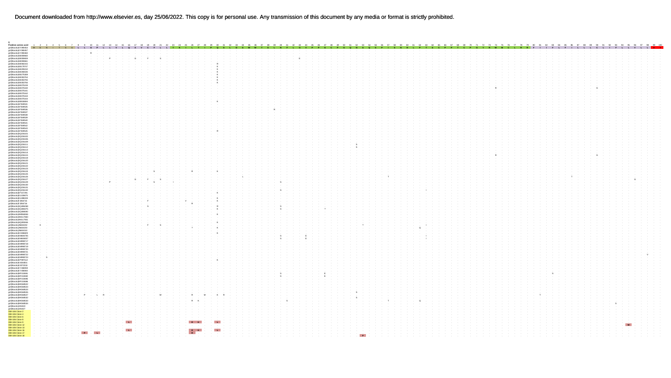| gnijhbucds (A19000000)<br>gnijhbucds (A190000000)<br>gnijhbucds (A190000000) |              |              |              |                                                                                                                                                 |             |   |                                                                        |                                                                                                                                                |  |                    |               |   |              |              |          |  |              |  |    |              |          |          |          |  |
|------------------------------------------------------------------------------|--------------|--------------|--------------|-------------------------------------------------------------------------------------------------------------------------------------------------|-------------|---|------------------------------------------------------------------------|------------------------------------------------------------------------------------------------------------------------------------------------|--|--------------------|---------------|---|--------------|--------------|----------|--|--------------|--|----|--------------|----------|----------|----------|--|
|                                                                              |              |              |              |                                                                                                                                                 |             |   |                                                                        |                                                                                                                                                |  |                    | $\epsilon$    |   |              |              |          |  |              |  |    |              |          |          |          |  |
| gri) bucds (AB059061                                                         |              |              |              |                                                                                                                                                 |             |   |                                                                        |                                                                                                                                                |  |                    |               |   |              |              |          |  |              |  |    |              |          |          |          |  |
| grijhbvcds AB064315<br>grijhbvcds AB179747                                   |              |              |              |                                                                                                                                                 |             |   |                                                                        |                                                                                                                                                |  |                    |               |   |              |              |          |  |              |  |    |              |          |          |          |  |
| gnijhbvcdsjAB205010                                                          |              |              |              |                                                                                                                                                 |             |   |                                                                        |                                                                                                                                                |  |                    |               |   |              |              |          |  |              |  |    |              |          |          |          |  |
| grijhtvcds/AB288536<br>grijhtvcds/AB275308                                   |              |              |              |                                                                                                                                                 |             |   |                                                                        |                                                                                                                                                |  |                    |               |   |              |              |          |  |              |  |    |              |          |          |          |  |
| grijhbvcdsjAB353764                                                          |              |              |              |                                                                                                                                                 |             |   |                                                                        |                                                                                                                                                |  |                    |               |   |              |              |          |  |              |  |    |              |          |          |          |  |
| grijhbvcds AB353765<br>grijhbvcds AB353766                                   |              |              |              |                                                                                                                                                 |             |   |                                                                        |                                                                                                                                                |  |                    |               |   |              |              |          |  |              |  |    |              |          |          |          |  |
| gni/hbvcds/AB375159                                                          |              |              |              |                                                                                                                                                 |             |   |                                                                        |                                                                                                                                                |  |                    |               |   |              |              |          |  | $\mathbf{R}$ |  |    |              | $\alpha$ |          |          |  |
| grijhbvcds AB375160<br>grijhbvcds AB375161                                   |              |              |              |                                                                                                                                                 |             |   |                                                                        |                                                                                                                                                |  |                    |               |   |              |              |          |  |              |  |    |              |          |          |          |  |
| grilhtvcds(AB375162<br>grijhbvcdsjAB375163                                   |              |              |              |                                                                                                                                                 |             |   |                                                                        |                                                                                                                                                |  |                    |               |   |              |              |          |  |              |  |    |              |          |          |          |  |
| grijhbvcds AB375164<br>grijhbvcds AB818694                                   |              |              |              |                                                                                                                                                 |             |   |                                                                        |                                                                                                                                                |  |                    |               |   |              |              |          |  |              |  |    |              |          |          |          |  |
| grijhbvcds(AF369531                                                          |              |              |              |                                                                                                                                                 |             |   |                                                                        |                                                                                                                                                |  |                    |               |   |              |              |          |  |              |  |    |              |          |          |          |  |
| grijhtvcds/AF302535<br>grijhtvcds/AF302536                                   |              |              |              |                                                                                                                                                 |             |   |                                                                        |                                                                                                                                                |  | Ŕ.                 |               |   |              |              |          |  |              |  |    |              |          |          |          |  |
| grilhtvcds(AF369537                                                          |              |              |              |                                                                                                                                                 |             |   |                                                                        |                                                                                                                                                |  |                    |               |   |              |              |          |  |              |  |    |              |          |          |          |  |
| grijhbycds/AF302538<br>grijhbycds/AF302539                                   |              |              |              |                                                                                                                                                 |             |   |                                                                        |                                                                                                                                                |  |                    |               |   |              |              |          |  |              |  |    |              |          |          |          |  |
| gni/hbvcds/AF369540                                                          |              |              |              |                                                                                                                                                 |             |   |                                                                        |                                                                                                                                                |  |                    |               |   |              |              |          |  |              |  |    |              |          |          |          |  |
| grijhbvcds AF303541<br>grijhbvcds AF303542                                   |              |              |              |                                                                                                                                                 |             |   |                                                                        |                                                                                                                                                |  |                    |               |   |              |              |          |  |              |  |    |              |          |          |          |  |
| grilhtvcds(AF302543)                                                         |              |              |              |                                                                                                                                                 |             |   |                                                                        |                                                                                                                                                |  |                    |               |   |              |              |          |  |              |  |    |              |          |          |          |  |
| gri) bucds (AF302545<br>grijhbvcds (DQ236101<br>grijhbvcds (DQ236102         |              |              |              |                                                                                                                                                 |             |   |                                                                        |                                                                                                                                                |  |                    |               |   |              |              |          |  |              |  |    |              |          |          |          |  |
| grilhbvcds(DQ236106                                                          |              |              |              |                                                                                                                                                 |             |   |                                                                        |                                                                                                                                                |  |                    |               |   |              |              |          |  |              |  |    |              |          |          |          |  |
| grijhbvcds DQ236109<br>grijhbvcds DQ236111                                   |              |              |              |                                                                                                                                                 |             |   |                                                                        |                                                                                                                                                |  |                    |               |   |              |              |          |  |              |  |    |              |          |          |          |  |
| grijhbvcds(DQ236112                                                          |              |              |              |                                                                                                                                                 |             |   |                                                                        |                                                                                                                                                |  |                    |               |   | $\mathbf{s}$ |              |          |  |              |  |    |              |          |          |          |  |
| grijhtvcds (DQ236113)<br>grijhtvcds (DQ236114)                               |              |              |              |                                                                                                                                                 |             |   |                                                                        |                                                                                                                                                |  |                    |               |   |              |              |          |  |              |  |    |              |          |          |          |  |
| grilhbvcds(DQ236115                                                          |              |              |              |                                                                                                                                                 |             |   |                                                                        |                                                                                                                                                |  |                    |               |   |              |              |          |  |              |  |    |              | $\alpha$ |          |          |  |
| grijhbvcds DQ236118<br>grijhbvcds DQ236120                                   |              |              |              |                                                                                                                                                 |             |   |                                                                        |                                                                                                                                                |  |                    |               |   |              |              |          |  |              |  |    |              |          |          |          |  |
| grilhtvcds(DQ236121                                                          |              |              |              |                                                                                                                                                 |             |   |                                                                        |                                                                                                                                                |  |                    |               |   |              |              |          |  |              |  |    |              |          |          |          |  |
| grijhbvcds(DQ236122                                                          |              |              |              |                                                                                                                                                 |             |   |                                                                        |                                                                                                                                                |  |                    |               |   |              |              |          |  |              |  |    |              |          |          |          |  |
| grijhbvcds (DQ236123<br>grijhbvcds (DQ236124                                 |              |              |              |                                                                                                                                                 | 1. S. 1.    |   | $\cdots$ $R$                                                           | $\ldots$ $K$                                                                                                                                   |  |                    |               |   |              |              |          |  |              |  |    |              |          |          |          |  |
| gri) bucds (DQ236125                                                         |              |              |              |                                                                                                                                                 |             |   |                                                                        |                                                                                                                                                |  |                    |               |   |              | $\mathbf{r}$ |          |  |              |  |    | $\mathbf{r}$ |          |          |          |  |
| grijhbech DQ236126<br>grijhbech DQ236127<br>grijhbech DQ236129               |              |              |              | $\begin{array}{cccccccccccccc} \hat{\mathbf{a}} & \hat{\bot} & \hat{\mathbf{r}} & \hat{\mathbf{r}} & \hat{\bot} & \hat{\mathbf{a}} \end{array}$ |             |   |                                                                        |                                                                                                                                                |  |                    |               |   |              |              |          |  |              |  |    |              |          |          | - à      |  |
|                                                                              |              |              |              |                                                                                                                                                 |             |   |                                                                        |                                                                                                                                                |  | s.                 |               |   |              |              |          |  |              |  |    |              |          |          |          |  |
| grijhbech (DQ236131)<br>grijhbech (DQ236131)<br>grijhbech (DQ236132)         |              |              |              |                                                                                                                                                 |             |   |                                                                        |                                                                                                                                                |  |                    |               |   |              |              |          |  |              |  |    |              |          |          |          |  |
|                                                                              |              |              |              |                                                                                                                                                 |             |   |                                                                        | $\kappa$                                                                                                                                       |  |                    |               |   |              |              |          |  |              |  |    |              |          |          |          |  |
| grijhbvcds(EF157291<br>grijhbvcds(EU159675<br>grijhbvcds(EU498228            |              |              |              |                                                                                                                                                 |             |   |                                                                        |                                                                                                                                                |  |                    |               |   |              |              |          |  |              |  |    |              |          |          |          |  |
|                                                                              |              |              |              | $\mathbf{r}$                                                                                                                                    |             | V |                                                                        |                                                                                                                                                |  |                    |               |   |              |              |          |  |              |  |    |              |          |          |          |  |
| gri) breds (f. 200715<br>gri) breds (f. 200716<br>gri) breds (GO-480268      |              |              |              |                                                                                                                                                 |             |   | R                                                                      |                                                                                                                                                |  |                    |               |   |              |              |          |  |              |  |    |              |          |          |          |  |
| gri) bucds (GO486375                                                         |              |              |              |                                                                                                                                                 |             |   |                                                                        |                                                                                                                                                |  | s.                 |               |   |              |              |          |  |              |  |    |              |          |          |          |  |
| grijhtvcds(GQ488592<br>grijhtvcds(HM088946                                   |              |              |              |                                                                                                                                                 |             |   |                                                                        |                                                                                                                                                |  |                    |               |   |              |              |          |  |              |  |    |              |          |          |          |  |
| grijhbvcds (HM117850                                                         |              |              |              |                                                                                                                                                 |             |   |                                                                        |                                                                                                                                                |  |                    |               |   |              |              |          |  |              |  |    |              |          |          |          |  |
| grijhbvcds (HM117851<br>grijhbvcds (HQ285946                                 |              |              |              |                                                                                                                                                 |             |   |                                                                        |                                                                                                                                                |  |                    |               |   |              |              |          |  |              |  |    |              |          |          |          |  |
| grijhbvcds JN604202                                                          | $\mathbf{K}$ |              |              |                                                                                                                                                 | $F = 1 - 8$ |   |                                                                        |                                                                                                                                                |  |                    |               |   |              |              | $\sim$   |  |              |  |    |              |          |          |          |  |
| grijhbvcds(JNS04203<br>grijhbvcds(JNS04310                                   |              |              |              |                                                                                                                                                 |             |   |                                                                        |                                                                                                                                                |  |                    |               |   |              |              |          |  |              |  |    |              |          |          |          |  |
| grijhbvcds(KC836829<br>grijhbvcds (KM606705                                  |              |              |              |                                                                                                                                                 |             |   |                                                                        |                                                                                                                                                |  |                    |               |   |              |              |          |  |              |  |    |              |          |          |          |  |
| grijhbvcds (KM606237<br>grijhbvcds (KM226717                                 |              |              |              |                                                                                                                                                 |             |   |                                                                        |                                                                                                                                                |  | $_{\rm s}^{\rm s}$ | $\frac{e}{e}$ |   |              |              |          |  |              |  |    |              |          |          |          |  |
| grijhbvcds (KM998718                                                         |              |              |              |                                                                                                                                                 |             |   |                                                                        |                                                                                                                                                |  |                    |               |   |              |              |          |  |              |  |    |              |          |          |          |  |
| grijhbucds (KM208719<br>grijhbucds (KM208720                                 |              |              |              |                                                                                                                                                 |             |   |                                                                        |                                                                                                                                                |  |                    |               |   |              |              |          |  |              |  |    |              |          |          |          |  |
| grijhbvcds (KM998721                                                         |              |              |              |                                                                                                                                                 |             |   |                                                                        |                                                                                                                                                |  |                    |               |   |              |              |          |  |              |  |    |              |          |          |          |  |
| grijhbvcds KM998722<br>grijhbvcds KM998723                                   | $\sim$       |              |              |                                                                                                                                                 |             |   |                                                                        |                                                                                                                                                |  |                    |               |   |              |              |          |  |              |  |    |              |          |          |          |  |
| grijhbvcds (KP307512                                                         |              |              |              |                                                                                                                                                 |             |   |                                                                        |                                                                                                                                                |  |                    |               |   |              |              |          |  |              |  |    |              |          |          |          |  |
| grijhtvcds KX264501<br>grijhtvcds KX372218                                   |              |              |              |                                                                                                                                                 |             |   |                                                                        |                                                                                                                                                |  |                    |               |   |              |              |          |  |              |  |    |              |          |          |          |  |
| grijhbvcds (KY458059                                                         |              |              |              |                                                                                                                                                 |             |   |                                                                        |                                                                                                                                                |  |                    |               |   |              |              |          |  |              |  |    |              |          |          |          |  |
| grijhbvcds (KY458080<br>grijhbvcds/MF150891<br>grijhbvcds/MF150892           |              |              |              |                                                                                                                                                 |             |   |                                                                        |                                                                                                                                                |  | $\frac{8}{3}$      |               | ÷ |              |              |          |  |              |  | s. |              |          |          |          |  |
|                                                                              |              |              |              |                                                                                                                                                 |             |   |                                                                        |                                                                                                                                                |  |                    |               |   |              |              |          |  |              |  |    |              |          |          |          |  |
| gnijhbwcds MF150895<br>gnijhbwcds MF150896<br>gnijhbwcds MK568522            |              |              |              |                                                                                                                                                 |             |   |                                                                        |                                                                                                                                                |  |                    |               |   |              |              |          |  |              |  |    |              |          |          |          |  |
| gri) bucds MK568523                                                          |              |              |              |                                                                                                                                                 |             |   |                                                                        |                                                                                                                                                |  |                    |               |   |              |              |          |  |              |  |    |              |          |          |          |  |
| grijhbvcds/MK568524<br>grijhbvcds/MK568526                                   |              |              |              |                                                                                                                                                 |             |   |                                                                        |                                                                                                                                                |  |                    |               |   |              |              |          |  |              |  |    |              |          |          |          |  |
| grijhbvcds/MK558527                                                          |              | $-1 - 1 - 8$ |              |                                                                                                                                                 | w           |   |                                                                        | $\begin{array}{cccccccccccccc} \mathbf{R} & \cdots & \mathbf{R} & \cdots & \mathbf{R} & \cdots & \mathbf{R} & \cdots & \mathbf{R} \end{array}$ |  |                    |               |   | $^{\circ}$   |              |          |  |              |  |    |              |          |          |          |  |
| grijhtveds/MK568532<br>grijhtveds/MK568533                                   |              |              |              |                                                                                                                                                 |             |   | $R$ $K$                                                                |                                                                                                                                                |  |                    |               |   | $\mathbf{s}$ | $\hat{\tau}$ |          |  |              |  |    |              |          |          |          |  |
| grijhbvcds/MK558534                                                          |              |              |              |                                                                                                                                                 |             |   |                                                                        |                                                                                                                                                |  | $\mathbf{s}$       |               |   |              |              | $\alpha$ |  |              |  |    |              |          | <b>s</b> |          |  |
| grijhbvcds(U91819                                                            |              |              |              |                                                                                                                                                 |             |   |                                                                        |                                                                                                                                                |  |                    |               |   |              |              |          |  |              |  |    |              |          |          |          |  |
| grijhbycds (U91827)<br>OBI-106 Clone 2                                       |              |              |              |                                                                                                                                                 |             |   |                                                                        |                                                                                                                                                |  |                    |               |   |              |              |          |  |              |  |    |              |          |          |          |  |
| OBI-106 Clone 4<br>OBI-106 Clone 6                                           |              |              |              |                                                                                                                                                 |             |   |                                                                        |                                                                                                                                                |  |                    |               |   |              |              |          |  |              |  |    |              |          |          |          |  |
| OBI-106 Clone &                                                              |              |              |              |                                                                                                                                                 |             |   |                                                                        |                                                                                                                                                |  |                    |               |   |              |              |          |  |              |  |    |              |          |          |          |  |
| OBI-106 Clone 9<br>OBI-106 Clone 12                                          |              |              | $\mathbf{L}$ |                                                                                                                                                 |             |   | R K                                                                    | $\mathbf{L}$                                                                                                                                   |  |                    |               |   |              |              |          |  |              |  |    |              |          |          | <b>W</b> |  |
| OBI-106 Clone 13                                                             |              |              |              |                                                                                                                                                 |             |   |                                                                        |                                                                                                                                                |  |                    |               |   |              |              |          |  |              |  |    |              |          |          |          |  |
| OBI-105 Clone 16<br>OBI-105 Clone 17<br>OBI-105 Clone 18                     |              | $P$ $L$      | L            |                                                                                                                                                 |             |   | $\begin{array}{ c c } \hline R & K & \cdots \\ \hline R & \end{array}$ | $\mathbf{L}$                                                                                                                                   |  |                    |               |   |              |              |          |  |              |  |    |              |          |          |          |  |
|                                                                              |              |              |              |                                                                                                                                                 |             |   |                                                                        |                                                                                                                                                |  |                    |               |   | P            |              |          |  |              |  |    |              |          |          |          |  |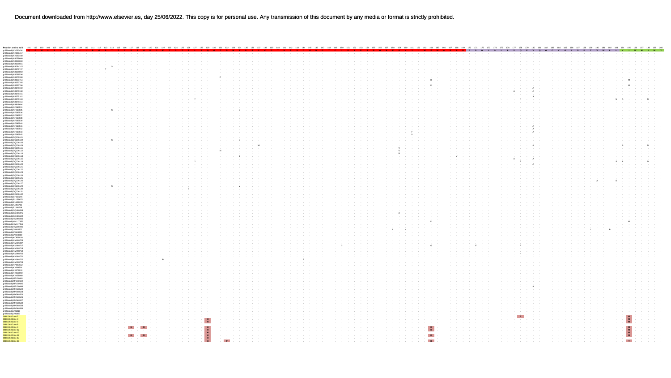|                                                                                                                                                                                                                                                                                                                                                                                                         |  |  | $\frac{1}{2}$ , $\frac{1}{2}$ |              |         |          |              |               |          |                   |                      |  |   |          |  |                |                        |                |          |         |    |                                                                                 |  |              |            |           |  |
|---------------------------------------------------------------------------------------------------------------------------------------------------------------------------------------------------------------------------------------------------------------------------------------------------------------------------------------------------------------------------------------------------------|--|--|-------------------------------|--------------|---------|----------|--------------|---------------|----------|-------------------|----------------------|--|---|----------|--|----------------|------------------------|----------------|----------|---------|----|---------------------------------------------------------------------------------|--|--------------|------------|-----------|--|
|                                                                                                                                                                                                                                                                                                                                                                                                         |  |  |                               |              |         |          |              |               |          |                   |                      |  |   |          |  |                |                        |                |          |         |    |                                                                                 |  |              |            |           |  |
|                                                                                                                                                                                                                                                                                                                                                                                                         |  |  |                               |              |         |          |              |               |          |                   |                      |  |   |          |  |                |                        |                |          |         |    |                                                                                 |  |              |            |           |  |
|                                                                                                                                                                                                                                                                                                                                                                                                         |  |  |                               |              |         |          |              |               |          |                   |                      |  |   |          |  |                |                        | D              |          |         |    |                                                                                 |  |              | M          |           |  |
|                                                                                                                                                                                                                                                                                                                                                                                                         |  |  |                               |              |         |          |              |               |          |                   |                      |  |   |          |  |                |                        |                |          |         |    |                                                                                 |  |              |            |           |  |
|                                                                                                                                                                                                                                                                                                                                                                                                         |  |  |                               |              |         |          |              |               |          |                   |                      |  |   |          |  |                |                        |                |          |         |    |                                                                                 |  |              |            |           |  |
|                                                                                                                                                                                                                                                                                                                                                                                                         |  |  |                               |              |         |          |              |               |          |                   |                      |  |   |          |  |                |                        |                |          |         |    | $\lambda$ -1 -1 $\lambda$                                                       |  |              |            |           |  |
|                                                                                                                                                                                                                                                                                                                                                                                                         |  |  |                               |              |         |          |              |               |          |                   |                      |  |   |          |  |                |                        |                |          |         |    |                                                                                 |  |              |            |           |  |
|                                                                                                                                                                                                                                                                                                                                                                                                         |  |  |                               |              |         |          |              |               |          |                   |                      |  |   |          |  |                |                        |                |          |         |    | . A<br>P                                                                        |  |              | $S$ A      | ${\bf M}$ |  |
|                                                                                                                                                                                                                                                                                                                                                                                                         |  |  |                               |              |         |          |              |               |          |                   |                      |  |   |          |  |                |                        |                |          |         |    |                                                                                 |  |              |            |           |  |
|                                                                                                                                                                                                                                                                                                                                                                                                         |  |  |                               |              |         |          |              |               |          |                   |                      |  |   |          |  |                |                        |                |          |         |    |                                                                                 |  |              |            |           |  |
|                                                                                                                                                                                                                                                                                                                                                                                                         |  |  |                               | $\mathbf{s}$ |         |          |              |               |          | Y                 |                      |  |   |          |  |                |                        |                |          |         |    |                                                                                 |  |              |            |           |  |
|                                                                                                                                                                                                                                                                                                                                                                                                         |  |  |                               |              |         |          |              |               |          |                   |                      |  |   |          |  |                |                        |                |          |         |    |                                                                                 |  |              |            |           |  |
|                                                                                                                                                                                                                                                                                                                                                                                                         |  |  |                               |              |         |          |              |               |          |                   |                      |  |   |          |  |                |                        |                |          |         |    |                                                                                 |  |              |            |           |  |
|                                                                                                                                                                                                                                                                                                                                                                                                         |  |  |                               |              |         |          |              |               |          |                   |                      |  |   |          |  |                |                        |                |          |         |    |                                                                                 |  |              |            |           |  |
|                                                                                                                                                                                                                                                                                                                                                                                                         |  |  |                               |              |         |          |              |               |          |                   |                      |  |   |          |  |                |                        |                |          |         |    | Â                                                                               |  |              |            |           |  |
|                                                                                                                                                                                                                                                                                                                                                                                                         |  |  |                               |              |         |          |              |               |          |                   |                      |  |   |          |  |                |                        |                |          |         |    |                                                                                 |  |              |            |           |  |
|                                                                                                                                                                                                                                                                                                                                                                                                         |  |  |                               |              |         |          |              |               |          |                   |                      |  |   |          |  |                | $\mathbf{r}$<br>$\sim$ |                |          |         |    | A                                                                               |  |              |            |           |  |
|                                                                                                                                                                                                                                                                                                                                                                                                         |  |  |                               |              |         |          |              |               |          |                   |                      |  |   |          |  |                |                        |                |          |         |    |                                                                                 |  |              |            |           |  |
|                                                                                                                                                                                                                                                                                                                                                                                                         |  |  |                               | S            |         |          |              |               |          |                   | i versioni di contro |  |   |          |  |                |                        |                |          |         |    |                                                                                 |  |              |            |           |  |
|                                                                                                                                                                                                                                                                                                                                                                                                         |  |  |                               |              |         |          |              |               |          |                   | $- w$                |  |   |          |  |                |                        |                |          |         |    | A                                                                               |  |              | $\cdot$ A  | ${\bf M}$ |  |
| $\theta$ books are considered and the second state of the second state of the second parameter of the second parameter of the second state of the second state of the second state of the second state of the second state of the                                                                                                                                                                       |  |  |                               |              |         |          |              |               |          |                   |                      |  |   |          |  | $\vee$         |                        |                |          |         |    |                                                                                 |  |              |            |           |  |
|                                                                                                                                                                                                                                                                                                                                                                                                         |  |  |                               |              |         |          |              |               | $\sim$ N |                   |                      |  |   |          |  | $\vee$<br>R    |                        |                |          |         |    |                                                                                 |  |              |            |           |  |
|                                                                                                                                                                                                                                                                                                                                                                                                         |  |  |                               |              |         |          |              |               |          | $\mathbf{L} = -1$ |                      |  |   |          |  |                |                        |                | $V = -1$ |         |    |                                                                                 |  |              |            |           |  |
|                                                                                                                                                                                                                                                                                                                                                                                                         |  |  |                               |              |         |          |              |               |          |                   |                      |  |   |          |  |                |                        |                |          |         | -A | $\mathbb{E}_{\mathbb{P}^{n}}\left[\mathbb{P}^{n}\right] \subset \mathbb{R}^{n}$ |  |              | 8A         | M         |  |
|                                                                                                                                                                                                                                                                                                                                                                                                         |  |  |                               |              |         |          |              |               |          |                   |                      |  |   |          |  |                |                        |                |          |         |    | A                                                                               |  |              |            |           |  |
|                                                                                                                                                                                                                                                                                                                                                                                                         |  |  |                               |              |         |          |              |               |          |                   |                      |  |   |          |  |                |                        |                |          |         |    |                                                                                 |  |              |            |           |  |
|                                                                                                                                                                                                                                                                                                                                                                                                         |  |  |                               |              |         |          |              |               |          |                   |                      |  |   |          |  |                |                        |                |          |         |    |                                                                                 |  |              |            |           |  |
|                                                                                                                                                                                                                                                                                                                                                                                                         |  |  |                               |              |         |          |              |               |          |                   |                      |  |   |          |  |                |                        |                |          |         |    |                                                                                 |  |              |            |           |  |
|                                                                                                                                                                                                                                                                                                                                                                                                         |  |  |                               |              |         |          |              |               |          |                   |                      |  |   |          |  |                |                        |                |          |         |    |                                                                                 |  | $\mathbb{A}$ | $^{\circ}$ |           |  |
|                                                                                                                                                                                                                                                                                                                                                                                                         |  |  |                               |              |         |          |              |               |          |                   |                      |  |   |          |  |                |                        |                |          |         |    |                                                                                 |  |              |            |           |  |
|                                                                                                                                                                                                                                                                                                                                                                                                         |  |  |                               | $\sim$       |         |          |              |               |          | $\mathsf{v}$      |                      |  |   |          |  |                |                        |                |          |         |    |                                                                                 |  |              |            |           |  |
|                                                                                                                                                                                                                                                                                                                                                                                                         |  |  |                               |              |         |          | $\mathbf{s}$ |               |          |                   |                      |  |   |          |  |                |                        |                |          |         |    |                                                                                 |  |              |            |           |  |
|                                                                                                                                                                                                                                                                                                                                                                                                         |  |  |                               |              |         |          |              |               |          |                   |                      |  |   |          |  |                |                        |                |          |         |    |                                                                                 |  |              |            |           |  |
|                                                                                                                                                                                                                                                                                                                                                                                                         |  |  |                               |              |         |          |              |               |          |                   |                      |  |   |          |  |                |                        |                |          |         |    |                                                                                 |  |              |            |           |  |
|                                                                                                                                                                                                                                                                                                                                                                                                         |  |  |                               |              |         |          |              |               |          |                   |                      |  |   |          |  |                |                        |                |          |         |    |                                                                                 |  |              |            |           |  |
|                                                                                                                                                                                                                                                                                                                                                                                                         |  |  |                               |              |         |          |              |               |          |                   |                      |  |   |          |  |                |                        |                |          |         |    |                                                                                 |  |              |            |           |  |
|                                                                                                                                                                                                                                                                                                                                                                                                         |  |  |                               |              |         |          |              |               |          |                   |                      |  |   |          |  |                |                        |                |          |         |    |                                                                                 |  |              |            |           |  |
|                                                                                                                                                                                                                                                                                                                                                                                                         |  |  |                               |              |         |          |              |               |          |                   |                      |  |   |          |  | $\overline{A}$ |                        |                |          |         |    |                                                                                 |  |              |            |           |  |
|                                                                                                                                                                                                                                                                                                                                                                                                         |  |  |                               |              |         |          |              |               |          |                   |                      |  |   |          |  |                |                        |                |          |         |    |                                                                                 |  |              |            |           |  |
|                                                                                                                                                                                                                                                                                                                                                                                                         |  |  |                               |              |         |          |              |               |          |                   |                      |  |   |          |  |                |                        | $\sim$         |          |         |    |                                                                                 |  |              | M          |           |  |
|                                                                                                                                                                                                                                                                                                                                                                                                         |  |  |                               |              |         |          |              |               |          |                   |                      |  |   |          |  |                |                        |                |          |         |    |                                                                                 |  |              |            |           |  |
|                                                                                                                                                                                                                                                                                                                                                                                                         |  |  |                               |              |         |          |              |               |          |                   |                      |  |   |          |  | $k = 1 - N$    |                        |                |          |         |    |                                                                                 |  | ÷            |            |           |  |
|                                                                                                                                                                                                                                                                                                                                                                                                         |  |  |                               |              |         |          |              |               |          |                   |                      |  |   |          |  |                |                        |                |          |         |    |                                                                                 |  |              |            |           |  |
|                                                                                                                                                                                                                                                                                                                                                                                                         |  |  |                               |              |         |          |              |               |          |                   |                      |  |   |          |  |                |                        |                |          |         |    |                                                                                 |  |              |            |           |  |
|                                                                                                                                                                                                                                                                                                                                                                                                         |  |  |                               |              |         |          |              |               |          |                   |                      |  |   |          |  |                |                        |                |          |         |    |                                                                                 |  |              |            |           |  |
|                                                                                                                                                                                                                                                                                                                                                                                                         |  |  |                               |              |         |          |              |               |          |                   |                      |  |   | $\gamma$ |  |                |                        | G              |          | $F = 1$ |    | P                                                                               |  |              |            |           |  |
|                                                                                                                                                                                                                                                                                                                                                                                                         |  |  |                               |              |         |          |              |               |          |                   |                      |  |   |          |  |                |                        |                |          |         |    |                                                                                 |  |              |            |           |  |
| $\theta$ books (0.022811)<br>$\theta$ books (0.022812)<br>$\theta$ books (0.0228131)<br>$\theta$ books (0.0228131)<br>$\theta$ books (0.0228131)<br>$\theta$ books (0.0228131)<br>$\theta$ books (0.0228131)<br>$\theta$ books (0.0228131)<br>$\theta$ books (0.0228131)<br>$\theta$ bo                                                                                                                 |  |  |                               |              |         |          |              |               |          |                   |                      |  |   |          |  |                |                        |                |          |         |    | H                                                                               |  |              |            |           |  |
|                                                                                                                                                                                                                                                                                                                                                                                                         |  |  |                               |              |         |          |              |               |          |                   |                      |  |   |          |  |                |                        |                |          |         |    |                                                                                 |  |              |            |           |  |
|                                                                                                                                                                                                                                                                                                                                                                                                         |  |  |                               |              |         | <b>R</b> |              |               |          |                   |                      |  | E |          |  |                |                        |                |          |         |    |                                                                                 |  |              |            |           |  |
|                                                                                                                                                                                                                                                                                                                                                                                                         |  |  |                               |              |         |          |              |               |          |                   |                      |  |   |          |  |                |                        |                |          |         |    |                                                                                 |  |              |            |           |  |
| $\begin{array}{l} \eta(\text{broading}) = 0.048721\\ \eta(\text{broading}) = 0.048722\\ \eta(\text{broading}) = 0.0487222\\ \eta(\text{broading}) = 0.047221\\ \eta(\text{broading}) = 0.047221\\ \eta(\text{broading}) = 0.047221\\ \eta(\text{broading}) = 0.047221\\ \eta(\text{broading}) = 0.0472221\\ \eta(\text{broading}) = 0.04722221\\ \eta(\text{broading}) = 0.04722221\\ \eta(\text{broad$ |  |  |                               |              |         |          |              |               |          |                   |                      |  |   |          |  |                |                        |                |          |         |    |                                                                                 |  |              |            |           |  |
|                                                                                                                                                                                                                                                                                                                                                                                                         |  |  |                               |              |         |          |              |               |          |                   |                      |  |   |          |  |                |                        |                |          |         |    |                                                                                 |  |              |            |           |  |
|                                                                                                                                                                                                                                                                                                                                                                                                         |  |  |                               |              |         |          |              |               |          |                   |                      |  |   |          |  |                |                        |                |          |         |    |                                                                                 |  |              |            |           |  |
|                                                                                                                                                                                                                                                                                                                                                                                                         |  |  |                               |              |         |          |              |               |          |                   |                      |  |   |          |  |                |                        |                |          |         |    |                                                                                 |  |              |            |           |  |
|                                                                                                                                                                                                                                                                                                                                                                                                         |  |  |                               |              |         |          |              |               |          |                   |                      |  |   |          |  |                |                        |                |          |         |    |                                                                                 |  |              |            |           |  |
|                                                                                                                                                                                                                                                                                                                                                                                                         |  |  |                               |              |         |          |              |               |          |                   |                      |  |   |          |  |                |                        |                |          |         |    | A                                                                               |  |              |            |           |  |
|                                                                                                                                                                                                                                                                                                                                                                                                         |  |  |                               |              |         |          |              |               |          |                   |                      |  |   |          |  |                |                        |                |          |         |    |                                                                                 |  |              |            |           |  |
|                                                                                                                                                                                                                                                                                                                                                                                                         |  |  |                               |              |         |          |              |               |          |                   |                      |  |   |          |  |                |                        |                |          |         |    |                                                                                 |  |              |            |           |  |
|                                                                                                                                                                                                                                                                                                                                                                                                         |  |  |                               |              |         |          |              |               |          |                   |                      |  |   |          |  |                |                        |                |          |         |    |                                                                                 |  |              |            |           |  |
|                                                                                                                                                                                                                                                                                                                                                                                                         |  |  |                               |              |         |          |              |               |          |                   |                      |  |   |          |  |                |                        |                |          |         |    |                                                                                 |  |              |            |           |  |
|                                                                                                                                                                                                                                                                                                                                                                                                         |  |  |                               |              |         |          |              |               |          |                   |                      |  |   |          |  |                |                        |                |          |         |    |                                                                                 |  |              |            |           |  |
|                                                                                                                                                                                                                                                                                                                                                                                                         |  |  |                               |              |         |          |              |               |          |                   |                      |  |   |          |  |                |                        |                |          |         |    |                                                                                 |  |              |            |           |  |
|                                                                                                                                                                                                                                                                                                                                                                                                         |  |  |                               |              |         |          |              |               |          |                   |                      |  |   |          |  |                |                        |                |          |         |    |                                                                                 |  |              |            |           |  |
|                                                                                                                                                                                                                                                                                                                                                                                                         |  |  |                               |              |         |          |              |               |          |                   |                      |  |   |          |  |                |                        |                |          |         |    | P                                                                               |  |              |            |           |  |
| 51-106 Clone 2<br>51-106 Clone 6<br>51-106 Clone 6<br>51-106 Clone 3<br>51-106 Clone 12<br>51-106 Clone 13<br>51-106 Clone 15                                                                                                                                                                                                                                                                           |  |  |                               |              |         |          |              | $\frac{H}{H}$ |          |                   |                      |  |   |          |  |                |                        |                |          |         |    |                                                                                 |  |              |            |           |  |
|                                                                                                                                                                                                                                                                                                                                                                                                         |  |  |                               |              | $G$ $R$ |          |              |               |          |                   |                      |  |   |          |  |                |                        |                |          |         |    |                                                                                 |  |              |            |           |  |
|                                                                                                                                                                                                                                                                                                                                                                                                         |  |  |                               |              |         |          |              | $x = x$       |          |                   |                      |  |   |          |  |                |                        | $\frac{D}{D}$  |          |         |    |                                                                                 |  |              |            |           |  |
|                                                                                                                                                                                                                                                                                                                                                                                                         |  |  |                               |              |         |          |              |               |          |                   |                      |  |   |          |  |                |                        |                |          |         |    |                                                                                 |  |              |            |           |  |
| <b>BI-106 Clone 17</b>                                                                                                                                                                                                                                                                                                                                                                                  |  |  |                               |              | $G$ $R$ |          |              |               |          |                   |                      |  |   |          |  |                |                        | <b>D</b>       |          |         |    |                                                                                 |  |              |            |           |  |
| <b>BI-106 Clone 18</b>                                                                                                                                                                                                                                                                                                                                                                                  |  |  |                               |              |         |          |              | $\frac{H}{H}$ |          | $\mathbf{r}$      |                      |  |   |          |  |                |                        | $\overline{D}$ |          |         |    |                                                                                 |  |              | T          |           |  |
|                                                                                                                                                                                                                                                                                                                                                                                                         |  |  |                               |              |         |          |              |               |          |                   |                      |  |   |          |  |                |                        |                |          |         |    |                                                                                 |  |              |            |           |  |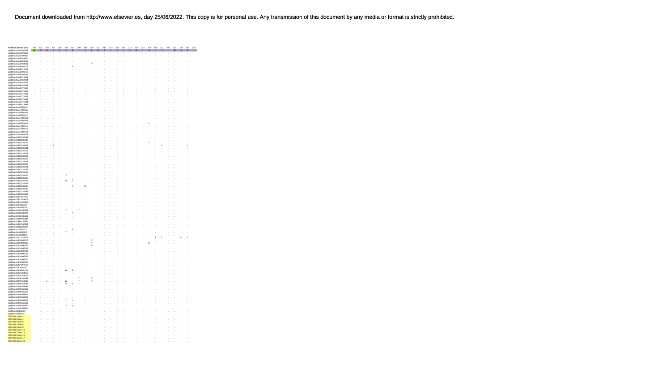| <b>Position emino arid</b>                   |                            |    |   | 205 | <b>SOR</b> |                         | 208 | 200 | 210          |    |                           |          |         |  |  |                                                                                                                                                                               |   |   |                 |                                                                                                              |  |
|----------------------------------------------|----------------------------|----|---|-----|------------|-------------------------|-----|-----|--------------|----|---------------------------|----------|---------|--|--|-------------------------------------------------------------------------------------------------------------------------------------------------------------------------------|---|---|-----------------|--------------------------------------------------------------------------------------------------------------|--|
| grijhbvcds(AY090454                          | 201 202 203 204<br>W G P N |    |   |     |            | 207<br>$\mathbf{R}$     |     |     | $\mathbf{R}$ | P. | 211 212<br>$\overline{r}$ | 213<br>٠ | $214 -$ |  |  | $\begin{array}{cccccccccccc} 215 & 216 & 217 & 218 & 219 & 220 & 221 \\ \textbf{L} & \textbf{L} & \textbf{P} & \textbf{I} & \textbf{F} & \textbf{C} & \textbf{Y} \end{array}$ |   |   | $\frac{222}{2}$ | $\begin{array}{cccc} 223 & 224 & 225 & 226 \\ \mathbf{W} & \mathbf{A} & \mathbf{S} & \mathbf{I} \end{array}$ |  |
| grijhbvcdsjAY090457                          |                            |    |   |     |            |                         |     |     |              |    |                           |          |         |  |  |                                                                                                                                                                               |   |   |                 |                                                                                                              |  |
| gril) brads (AY090460                        |                            |    |   |     |            |                         |     |     |              |    |                           |          |         |  |  |                                                                                                                                                                               |   |   |                 |                                                                                                              |  |
| gri HavedajAB059660                          |                            |    |   |     |            |                         |     |     |              |    |                           |          |         |  |  |                                                                                                                                                                               |   |   |                 |                                                                                                              |  |
| gri HovedajAB059659                          |                            |    |   |     |            |                         |     |     |              |    |                           |          |         |  |  |                                                                                                                                                                               |   |   |                 |                                                                                                              |  |
| gril) breds (AB059661<br>grijtevodajAB064315 |                            |    |   |     |            | N                       |     |     |              |    |                           |          |         |  |  |                                                                                                                                                                               |   |   |                 |                                                                                                              |  |
| onlithycols(AB179747                         |                            |    |   |     |            |                         |     |     |              |    |                           |          |         |  |  |                                                                                                                                                                               |   |   |                 |                                                                                                              |  |
| gril) breds AB205010                         |                            |    |   |     |            |                         |     |     |              |    |                           |          |         |  |  |                                                                                                                                                                               |   |   |                 |                                                                                                              |  |
| gri Hoveda AB200536                          |                            |    |   |     |            |                         |     |     |              |    |                           |          |         |  |  |                                                                                                                                                                               |   |   |                 |                                                                                                              |  |
| grijhbvcds(AB275308<br>gri Hovcds AB353764   |                            |    |   |     |            |                         |     |     |              |    |                           |          |         |  |  |                                                                                                                                                                               |   |   |                 |                                                                                                              |  |
| gril) bradajAB353765                         |                            |    |   |     |            |                         |     |     |              |    |                           |          |         |  |  |                                                                                                                                                                               |   |   |                 |                                                                                                              |  |
| gri Hoveds AB353766                          |                            |    |   |     |            |                         |     |     |              |    |                           |          |         |  |  |                                                                                                                                                                               |   |   |                 |                                                                                                              |  |
| gnijhbvedsjAB375159<br>gnijhbvedsjAB375160   |                            |    |   |     |            |                         |     |     |              |    |                           |          |         |  |  |                                                                                                                                                                               |   |   |                 |                                                                                                              |  |
|                                              |                            |    |   |     |            |                         |     |     |              |    |                           |          |         |  |  |                                                                                                                                                                               |   |   |                 |                                                                                                              |  |
| grijkbiedsjAB375161                          |                            |    |   |     |            |                         |     |     |              |    |                           |          |         |  |  |                                                                                                                                                                               |   |   |                 |                                                                                                              |  |
| grijhbvcds(ABS75162<br>gni Hoveds (AB375163  |                            |    |   |     |            |                         |     |     |              |    |                           |          |         |  |  |                                                                                                                                                                               |   |   |                 |                                                                                                              |  |
| gri Hoveds ABS75164                          |                            |    |   |     |            |                         |     |     |              |    |                           |          |         |  |  |                                                                                                                                                                               |   |   |                 |                                                                                                              |  |
| gri Hovcds/AB818694                          |                            |    |   |     |            |                         |     |     |              |    |                           |          |         |  |  |                                                                                                                                                                               |   |   |                 |                                                                                                              |  |
| gni Hoveds (AF368531                         |                            |    |   |     |            |                         |     |     |              |    |                           |          |         |  |  |                                                                                                                                                                               |   |   |                 |                                                                                                              |  |
| gri Hoveds AF360535<br>gril) bradajAF360536  |                            |    |   |     |            |                         |     |     |              |    |                           |          |         |  |  |                                                                                                                                                                               |   |   |                 |                                                                                                              |  |
| gri Hoveds AF360537                          |                            |    |   |     |            |                         |     |     |              |    |                           |          |         |  |  |                                                                                                                                                                               |   |   |                 |                                                                                                              |  |
| gri HovodajAF360538                          |                            |    |   |     |            |                         |     |     |              |    |                           |          |         |  |  |                                                                                                                                                                               |   |   |                 |                                                                                                              |  |
| gril) bracds (AF360539                       |                            |    |   |     |            |                         |     |     |              |    |                           |          |         |  |  |                                                                                                                                                                               |   |   |                 |                                                                                                              |  |
| grijhtveds(AF360540<br>grijhtveds(AF360541   |                            |    |   |     |            |                         |     |     |              |    |                           |          |         |  |  | c                                                                                                                                                                             |   |   |                 |                                                                                                              |  |
| grijhbvcds(AF360542                          |                            |    |   |     |            |                         |     |     |              |    |                           |          |         |  |  |                                                                                                                                                                               |   |   |                 |                                                                                                              |  |
| gri Hoveds (AF360643                         |                            |    |   |     |            |                         |     |     |              |    |                           |          |         |  |  |                                                                                                                                                                               |   |   |                 |                                                                                                              |  |
| grijhbvcds(AF360545                          |                            |    |   |     |            |                         |     |     |              |    |                           |          |         |  |  |                                                                                                                                                                               |   |   |                 |                                                                                                              |  |
| grilhbucds(DQ236101                          |                            |    |   |     |            |                         |     |     |              |    |                           |          |         |  |  |                                                                                                                                                                               |   |   |                 |                                                                                                              |  |
| gril) breds (DQ236102                        |                            |    |   |     |            |                         |     |     |              |    |                           |          |         |  |  |                                                                                                                                                                               |   |   |                 |                                                                                                              |  |
| gri Hoveds DC236106                          |                            |    | ś |     |            |                         |     |     |              |    |                           |          |         |  |  | c                                                                                                                                                                             |   |   |                 |                                                                                                              |  |
| gnijhbvodajDQ236109<br>gnijhbvodajDQ236111   |                            |    |   |     |            |                         |     |     |              |    |                           |          |         |  |  |                                                                                                                                                                               |   | ċ |                 |                                                                                                              |  |
| grijhtveds(DQ236112                          |                            |    |   |     |            |                         |     |     |              |    |                           |          |         |  |  |                                                                                                                                                                               |   |   |                 |                                                                                                              |  |
| grijhbvcds(DQ236113                          |                            |    |   |     |            |                         |     |     |              |    |                           |          |         |  |  |                                                                                                                                                                               |   |   |                 |                                                                                                              |  |
| gri (Hzvcds)DQ236114                         |                            |    |   |     |            |                         |     |     |              |    |                           |          |         |  |  |                                                                                                                                                                               |   |   |                 |                                                                                                              |  |
| grijhbvcds(DQ236115<br>gril) bycols DQ236118 |                            |    |   |     |            |                         |     |     |              |    |                           |          |         |  |  |                                                                                                                                                                               |   |   |                 |                                                                                                              |  |
| gri (Hzvcds)DQ236120                         |                            |    |   |     |            |                         |     |     |              |    |                           |          |         |  |  |                                                                                                                                                                               |   |   |                 |                                                                                                              |  |
| gri Hoveds DC236121                          |                            |    |   |     |            |                         |     |     |              |    |                           |          |         |  |  |                                                                                                                                                                               |   |   |                 |                                                                                                              |  |
| gril) brads (DQ236122                        |                            |    |   |     |            |                         |     |     |              |    |                           |          |         |  |  |                                                                                                                                                                               |   |   |                 |                                                                                                              |  |
| gni (Hoveds) DQ236123                        |                            |    |   |     |            |                         |     |     |              |    |                           |          |         |  |  |                                                                                                                                                                               |   |   |                 |                                                                                                              |  |
| onlithycoluD0236124<br>grijhbvcds(DQ236125   |                            |    |   |     | p.         |                         |     |     |              |    |                           |          |         |  |  |                                                                                                                                                                               |   |   |                 |                                                                                                              |  |
| gri Hoveda (DQ236126                         |                            |    |   |     | H          | Ť                       |     |     |              |    |                           |          |         |  |  |                                                                                                                                                                               |   |   |                 |                                                                                                              |  |
| grilhbvcds(DQ236127                          |                            |    |   |     |            |                         |     |     |              |    |                           |          |         |  |  |                                                                                                                                                                               |   |   |                 |                                                                                                              |  |
| gri Hoveds DQ236129                          |                            |    |   |     |            | $\overline{\mathbf{N}}$ |     | w   |              |    |                           |          |         |  |  |                                                                                                                                                                               |   |   |                 |                                                                                                              |  |
| gril) bracds(DQ236130                        |                            |    |   |     |            |                         |     |     |              |    |                           |          |         |  |  |                                                                                                                                                                               |   |   |                 |                                                                                                              |  |
| grijhbvcds(DQ236131<br>gri Hoveds DC236132   |                            |    |   |     |            |                         |     |     |              |    |                           |          |         |  |  |                                                                                                                                                                               |   |   |                 |                                                                                                              |  |
| gril) brucos (E F 157291                     |                            |    |   |     |            |                         |     |     |              |    |                           |          |         |  |  |                                                                                                                                                                               |   |   |                 |                                                                                                              |  |
| gril) dovedajE U159675                       |                            |    |   |     |            |                         |     |     |              |    |                           |          |         |  |  |                                                                                                                                                                               |   |   |                 |                                                                                                              |  |
| gri Hovcds E LM98228                         |                            |    |   |     |            |                         |     |     |              |    |                           |          |         |  |  |                                                                                                                                                                               |   |   |                 |                                                                                                              |  |
| gnl) bracds (FJ356715                        |                            |    |   |     |            |                         |     |     |              |    |                           |          |         |  |  |                                                                                                                                                                               |   |   |                 |                                                                                                              |  |
| gril) brada (FJ356716                        |                            |    |   |     |            |                         | ĭ   |     |              |    |                           |          |         |  |  |                                                                                                                                                                               |   |   |                 |                                                                                                              |  |
| gri Hzvcds(GQ486268<br>gri Horcds(GQ486375   |                            |    |   |     |            | ź                       |     |     |              |    |                           |          |         |  |  |                                                                                                                                                                               |   |   |                 |                                                                                                              |  |
| gri Hoveda GO488592                          |                            |    |   |     |            |                         |     |     |              |    |                           |          |         |  |  |                                                                                                                                                                               |   |   |                 |                                                                                                              |  |
| gri Hoveds HM066946                          |                            |    |   |     |            |                         |     |     |              |    |                           |          |         |  |  |                                                                                                                                                                               |   |   |                 |                                                                                                              |  |
| gnl/hbvcds/HM117850                          |                            |    |   |     |            |                         |     |     |              |    |                           |          |         |  |  |                                                                                                                                                                               |   |   |                 |                                                                                                              |  |
| grijkbvcds(HM117851                          |                            |    |   |     |            |                         |     |     |              |    |                           |          |         |  |  |                                                                                                                                                                               |   |   |                 |                                                                                                              |  |
| gri Hoveds HQ285046<br>gri Hoveds (JN604202  |                            |    |   |     |            | N                       |     |     |              |    |                           |          |         |  |  |                                                                                                                                                                               |   |   |                 |                                                                                                              |  |
| gri Horcds JN604203                          |                            |    |   |     |            |                         |     |     |              |    |                           |          |         |  |  |                                                                                                                                                                               |   |   |                 |                                                                                                              |  |
| orthosylubout(imp                            |                            |    |   |     |            |                         |     |     |              |    |                           |          |         |  |  |                                                                                                                                                                               |   |   |                 |                                                                                                              |  |
| gri HovedajK C836829                         |                            |    |   |     |            |                         |     |     |              |    |                           |          |         |  |  |                                                                                                                                                                               | ŕ | ċ |                 | v                                                                                                            |  |
| gri Hzvcda KM606705<br>gri Hoveda KM606937   |                            |    |   |     |            |                         |     |     | R<br>R       |    |                           |          |         |  |  | c                                                                                                                                                                             |   |   |                 |                                                                                                              |  |
| grijtbycds(KM998717                          |                            |    |   |     |            |                         |     |     | Ň            |    |                           |          |         |  |  |                                                                                                                                                                               |   |   |                 |                                                                                                              |  |
| grijtbycds KM998718                          |                            |    |   |     |            |                         |     |     |              |    |                           |          |         |  |  |                                                                                                                                                                               |   |   |                 |                                                                                                              |  |
| anl hoveds/KM998719                          |                            |    |   |     |            |                         |     |     |              |    |                           |          |         |  |  |                                                                                                                                                                               |   |   |                 |                                                                                                              |  |
| gri Hoveds KM998720                          |                            |    |   |     |            |                         |     |     |              |    |                           |          |         |  |  |                                                                                                                                                                               |   |   |                 |                                                                                                              |  |
| gri (Hzvcds/KM998721<br>grijhbvcds(KM998722  |                            |    |   |     |            |                         |     |     |              |    |                           |          |         |  |  |                                                                                                                                                                               |   |   |                 |                                                                                                              |  |
|                                              |                            |    |   |     |            |                         |     |     |              |    |                           |          |         |  |  |                                                                                                                                                                               |   |   |                 |                                                                                                              |  |
| grijhbveds(KM998723<br>grijhbveds(KP997512   |                            |    |   |     |            |                         |     |     |              |    |                           |          |         |  |  |                                                                                                                                                                               |   |   |                 |                                                                                                              |  |
| grijhbveds(KX264501                          |                            |    |   |     |            |                         |     |     |              |    |                           |          |         |  |  |                                                                                                                                                                               |   |   |                 |                                                                                                              |  |
| gni (hbvcds (KX372218                        |                            |    |   |     | w          | R                       |     |     |              |    |                           |          |         |  |  |                                                                                                                                                                               |   |   |                 |                                                                                                              |  |
| grijhbvedsjKY458059<br>gril) bucdajKY458060  |                            |    |   |     |            |                         |     |     |              |    |                           |          |         |  |  |                                                                                                                                                                               |   |   |                 |                                                                                                              |  |
| gril) bracds (MF150691                       |                            |    |   |     |            |                         | Ŧ   |     | s.           |    |                           |          |         |  |  |                                                                                                                                                                               |   |   |                 |                                                                                                              |  |
| gnijhbvcds/MF150622                          |                            | t. |   |     | w          |                         | ۲   |     | R            |    |                           |          |         |  |  |                                                                                                                                                                               |   |   |                 |                                                                                                              |  |
| gril) brucos MF150025                        |                            |    |   |     | ś          | $\overline{\mathbf{N}}$ | ï   |     |              |    |                           |          |         |  |  |                                                                                                                                                                               |   |   |                 |                                                                                                              |  |
| gril) bracds MF150696<br>grijhbvcds(MK568522 |                            |    |   |     |            |                         |     |     |              |    |                           |          |         |  |  |                                                                                                                                                                               |   |   |                 |                                                                                                              |  |
| gri Hoveds MK568523                          |                            |    |   |     |            |                         |     |     |              |    |                           |          |         |  |  |                                                                                                                                                                               |   |   |                 |                                                                                                              |  |
| gri Hoveda MK588524                          |                            |    |   |     |            |                         |     |     |              |    |                           |          |         |  |  |                                                                                                                                                                               |   |   |                 |                                                                                                              |  |
| gri hoveds MK568526                          |                            |    |   |     |            |                         |     |     |              |    |                           |          |         |  |  |                                                                                                                                                                               |   |   |                 |                                                                                                              |  |
| gri Hoveda MK568527                          |                            |    |   |     |            | ï                       |     |     |              |    |                           |          |         |  |  |                                                                                                                                                                               |   |   |                 |                                                                                                              |  |
| gri Hoveda MK568532                          |                            |    |   |     |            |                         |     |     |              |    |                           |          |         |  |  |                                                                                                                                                                               |   |   |                 |                                                                                                              |  |
| gri Hzvcds/MK568533                          |                            |    |   |     |            | N                       |     |     |              |    |                           |          |         |  |  |                                                                                                                                                                               |   |   |                 |                                                                                                              |  |
| gri Horcds MK568534<br>grijhbvcda U91819     |                            |    |   |     |            |                         |     |     |              |    |                           |          |         |  |  |                                                                                                                                                                               |   |   |                 |                                                                                                              |  |
| gri Hoveds (U91827                           |                            |    |   |     |            |                         |     |     |              |    |                           |          |         |  |  |                                                                                                                                                                               |   |   |                 |                                                                                                              |  |
| OBI-106 Clone 2                              |                            |    |   |     |            |                         |     |     |              |    |                           |          |         |  |  |                                                                                                                                                                               |   |   |                 |                                                                                                              |  |
| OBI-106 Clone 4                              |                            |    |   |     |            |                         |     |     |              |    |                           |          |         |  |  |                                                                                                                                                                               |   |   |                 |                                                                                                              |  |
| OBI-106 Clorie 6<br>OBI-106 Clone &          |                            |    |   |     |            |                         |     |     |              |    |                           |          |         |  |  |                                                                                                                                                                               |   |   |                 |                                                                                                              |  |
| OBI-106 Clone 9                              |                            |    |   |     |            |                         |     |     |              |    |                           |          |         |  |  |                                                                                                                                                                               |   |   |                 |                                                                                                              |  |
| OBI-106 Clone 12                             |                            |    |   |     |            |                         |     |     |              |    |                           |          |         |  |  |                                                                                                                                                                               |   |   |                 |                                                                                                              |  |
| OBI-106 Clone 13                             |                            |    |   |     |            |                         |     |     |              |    |                           |          |         |  |  |                                                                                                                                                                               |   |   |                 |                                                                                                              |  |
| OBI-106 Clone 16                             |                            |    |   |     |            |                         |     |     |              |    |                           |          |         |  |  |                                                                                                                                                                               |   |   |                 |                                                                                                              |  |
| <b>OBI-106 Clone 17</b>                      |                            |    |   |     |            |                         |     |     |              |    |                           |          |         |  |  |                                                                                                                                                                               |   |   |                 |                                                                                                              |  |
| OBI-106 Clone 18                             |                            |    |   |     |            |                         |     |     |              |    |                           |          |         |  |  |                                                                                                                                                                               |   |   |                 |                                                                                                              |  |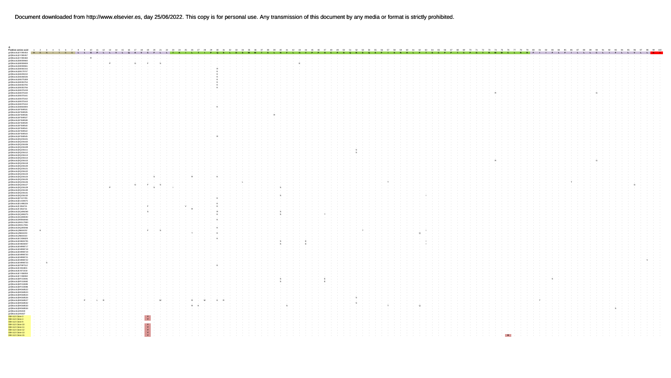|                                                                      | . Nama provident de la contra de la contra de la contrada de la contrada de la contrada de la contrada de la contrada de la contrada de la contrada de la contrada de la contrada de la contrada de la contrada de la contrada |                                                                                                                  |                    |        |         |              |            |
|----------------------------------------------------------------------|--------------------------------------------------------------------------------------------------------------------------------------------------------------------------------------------------------------------------------|------------------------------------------------------------------------------------------------------------------|--------------------|--------|---------|--------------|------------|
| gnihbucds(AY090460                                                   |                                                                                                                                                                                                                                |                                                                                                                  |                    |        |         |              |            |
|                                                                      |                                                                                                                                                                                                                                |                                                                                                                  |                    |        |         |              |            |
| grijhbeds/AB059650<br>grijhbeds/AB059650<br>grijhbeds/AB059661       |                                                                                                                                                                                                                                |                                                                                                                  | $\epsilon$         |        |         |              |            |
| grijhbvcds AB054315<br>grijhbvcds AB179747                           |                                                                                                                                                                                                                                |                                                                                                                  |                    |        |         |              |            |
| gnihbycdsjAB205010                                                   |                                                                                                                                                                                                                                |                                                                                                                  |                    |        |         |              |            |
| grijhbvcds/AB288536<br>grijhbvcds/AB275308                           |                                                                                                                                                                                                                                |                                                                                                                  |                    |        |         |              |            |
| grijhbvcds (AB353764                                                 |                                                                                                                                                                                                                                |                                                                                                                  |                    |        |         |              |            |
| grijhbvcds (AB353765<br>grijhbvcds (AB353766                         |                                                                                                                                                                                                                                |                                                                                                                  |                    |        |         |              |            |
| gnijhbvcds(AB375159                                                  |                                                                                                                                                                                                                                |                                                                                                                  |                    |        |         |              |            |
| gnijhbvcds/AB375160<br>gnijhbvcds/AB375161                           |                                                                                                                                                                                                                                |                                                                                                                  |                    |        |         | $\mathbf{r}$ |            |
| grijhbvcds(AB375162                                                  |                                                                                                                                                                                                                                |                                                                                                                  |                    |        |         |              |            |
| gni/hbvcds/AB375163                                                  |                                                                                                                                                                                                                                |                                                                                                                  |                    |        |         |              |            |
| grijhbvcds AB375164<br>grijhbvcds AB818694                           |                                                                                                                                                                                                                                |                                                                                                                  |                    |        |         |              |            |
| grilhbvcds/AF302531                                                  |                                                                                                                                                                                                                                |                                                                                                                  |                    |        |         |              |            |
| grijhtvcds/AF303535<br>grijhtvcds/AF303536                           |                                                                                                                                                                                                                                |                                                                                                                  | <b>R</b>           |        |         |              |            |
| gnitus da jAF369537                                                  |                                                                                                                                                                                                                                |                                                                                                                  |                    |        |         |              |            |
| grijhbeds AF302538<br>grijhbeds AF302530                             |                                                                                                                                                                                                                                |                                                                                                                  |                    |        |         |              |            |
| gri) brock (AF362540                                                 |                                                                                                                                                                                                                                |                                                                                                                  |                    |        |         |              |            |
| grijhbecds(AF303541<br>grijhbecds(AF303542                           |                                                                                                                                                                                                                                |                                                                                                                  |                    |        |         |              |            |
| gri) bucds (AF302543                                                 |                                                                                                                                                                                                                                |                                                                                                                  |                    |        |         |              |            |
| grijhbvcds(AF302545<br>grijhbvcds(DQ236101                           |                                                                                                                                                                                                                                | $\theta$                                                                                                         |                    |        |         |              |            |
| grilhtvcds(DQ236102                                                  |                                                                                                                                                                                                                                |                                                                                                                  |                    |        |         |              |            |
| gnihbvcds(DQ236106                                                   |                                                                                                                                                                                                                                |                                                                                                                  |                    |        |         |              |            |
| grijhtvcds (DQ236109<br>grijhtvcds (DQ236111                         |                                                                                                                                                                                                                                |                                                                                                                  |                    |        |         |              |            |
| grilhovcds DQ236112                                                  |                                                                                                                                                                                                                                |                                                                                                                  |                    |        |         |              |            |
| grijhbech DQ236113<br>grijhbech DQ236114<br>grijhbech DQ236115       |                                                                                                                                                                                                                                |                                                                                                                  |                    |        |         |              |            |
|                                                                      |                                                                                                                                                                                                                                |                                                                                                                  |                    |        |         | R            |            |
| grijhbvcds (DQ236118<br>grijhbvcds (DQ236120                         |                                                                                                                                                                                                                                |                                                                                                                  |                    |        |         |              |            |
|                                                                      |                                                                                                                                                                                                                                |                                                                                                                  |                    |        |         |              |            |
| grijhtvcds (DQ236121<br>grijhtvcds (DQ236122<br>grijhtvcds (DQ236123 |                                                                                                                                                                                                                                |                                                                                                                  |                    |        |         |              |            |
| grijhbvcds(DQ236124                                                  |                                                                                                                                                                                                                                | $\mathcal{L} = \mathbf{R} \times \mathcal{L} \times \mathcal{L} \times \mathcal{L} \times \mathbf{K}$<br>$S = 1$ |                    |        |         |              |            |
| grijhbvcds (DQ236125<br>grijhbvcds (DQ236126                         |                                                                                                                                                                                                                                |                                                                                                                  |                    |        |         | $\dot{\tau}$ |            |
| grilhtvcds(DQ236127                                                  |                                                                                                                                                                                                                                |                                                                                                                  |                    |        |         |              | $_{\rm G}$ |
| grijhbvcds(DQ236129                                                  | ÷                                                                                                                                                                                                                              |                                                                                                                  |                    |        |         |              |            |
| grijhbvcds DQ236130<br>grijhbvcds DQ236131                           |                                                                                                                                                                                                                                |                                                                                                                  |                    |        |         |              |            |
| grilhtvcds(DQ236132                                                  |                                                                                                                                                                                                                                |                                                                                                                  |                    |        |         |              |            |
| prihbeds (EF157291<br>prihbeds (EU159675<br>prihbeds (EU498228       |                                                                                                                                                                                                                                |                                                                                                                  |                    |        |         |              |            |
|                                                                      |                                                                                                                                                                                                                                |                                                                                                                  |                    |        |         |              |            |
| grijhbvcds FJ356715<br>grijhbvcds FJ356716                           |                                                                                                                                                                                                                                | $\frac{V}{I}$ $\frac{1}{R}$                                                                                      |                    |        |         |              |            |
|                                                                      |                                                                                                                                                                                                                                |                                                                                                                  |                    |        |         |              |            |
| principlaces<br>principlaces<br>principlaces                         |                                                                                                                                                                                                                                |                                                                                                                  |                    |        |         |              |            |
| gri) bucds (HM055045                                                 |                                                                                                                                                                                                                                |                                                                                                                  |                    |        |         |              |            |
| grijhbvcds (HM117850<br>grijhbvcds (HM117851                         |                                                                                                                                                                                                                                |                                                                                                                  |                    |        |         |              |            |
| grijhbvcds (HQ285946                                                 |                                                                                                                                                                                                                                |                                                                                                                  |                    |        |         |              |            |
| gri) bucds (JN804202                                                 |                                                                                                                                                                                                                                | $F$ , $\ldots$ , $S$ .<br>$\kappa$                                                                               |                    |        | $\circ$ |              |            |
| grijhbvcds(JN804203<br>grijhbvcds(JN804310                           |                                                                                                                                                                                                                                |                                                                                                                  |                    |        |         |              |            |
| grilhtvcds(KC836829                                                  |                                                                                                                                                                                                                                |                                                                                                                  |                    |        |         |              |            |
| grijhbvcds/KM606705<br>grijhbvcds/KM606937                           |                                                                                                                                                                                                                                |                                                                                                                  | $_{\rm s}^{\rm s}$ |        |         |              |            |
| grijhbvcds (KM998717                                                 |                                                                                                                                                                                                                                |                                                                                                                  |                    |        |         |              |            |
| grijkbuds (KM208718<br>grijkbuds (KM208719                           |                                                                                                                                                                                                                                |                                                                                                                  |                    |        |         |              |            |
| grijhbvcds (KM998720                                                 |                                                                                                                                                                                                                                |                                                                                                                  |                    |        |         |              |            |
| grijkbeds (KM998721<br>grijkbeds (KM998721                           |                                                                                                                                                                                                                                |                                                                                                                  |                    |        |         |              |            |
| grijhbech (KM998723                                                  | $\sim$                                                                                                                                                                                                                         | $\kappa$                                                                                                         |                    |        |         |              |            |
| grijhbvcds(KP397512<br>grijhbvcds(KX264501                           |                                                                                                                                                                                                                                |                                                                                                                  |                    |        |         |              |            |
| gri) bucds (CG72218                                                  |                                                                                                                                                                                                                                |                                                                                                                  |                    |        |         |              |            |
| grilhtvcds KY458059                                                  |                                                                                                                                                                                                                                |                                                                                                                  |                    |        |         |              |            |
| grijhbvcds(KY458080)<br>grijhbvcds(MF150891)                         |                                                                                                                                                                                                                                |                                                                                                                  |                    |        |         |              |            |
| grilhtvcds(MF150692                                                  |                                                                                                                                                                                                                                |                                                                                                                  |                    |        |         |              |            |
| grijhbvcds(MF150695<br>grijhbvcds(MF150696                           |                                                                                                                                                                                                                                |                                                                                                                  |                    |        |         |              |            |
| grilhbycds MK568522                                                  |                                                                                                                                                                                                                                |                                                                                                                  |                    |        |         |              |            |
| grijhbvcds/MK568523<br>grijhbvcds/MK568524                           |                                                                                                                                                                                                                                |                                                                                                                  |                    |        |         |              |            |
| grilhbucds/MK568526                                                  | $P = 1$ $R = R$                                                                                                                                                                                                                | $\mathbf{R} = \mathbf{I} - \mathbf{M} - \mathbf{I} - \mathbf{K} - \mathbf{R}$<br>$\,$ $\,$ $\,$                  |                    | $\sim$ |         |              |            |
| grijhbvcds/MK568527<br>grijhbvcds/MK568532                           |                                                                                                                                                                                                                                |                                                                                                                  |                    |        |         |              |            |
| grijhbvcds/MK568533                                                  |                                                                                                                                                                                                                                | $\hat{\mathbf{R}} = \hat{\mathbf{K}}$                                                                            |                    |        |         |              | $^{\circ}$ |
| grijhbvcds/MK568534<br>grijhbvcds/LI91819                            |                                                                                                                                                                                                                                |                                                                                                                  |                    |        |         |              |            |
| grijhbvcds (U91827<br>OBI-112 Clane 3<br>OBI-112 Clane 4             |                                                                                                                                                                                                                                |                                                                                                                  |                    |        |         |              |            |
|                                                                      | $\frac{Y}{Y}$                                                                                                                                                                                                                  |                                                                                                                  |                    |        |         |              |            |
| OBI-112 Clone 9                                                      |                                                                                                                                                                                                                                |                                                                                                                  |                    |        |         |              |            |
| OBI-112 Clane 10                                                     |                                                                                                                                                                                                                                |                                                                                                                  |                    |        |         |              |            |
| OBI-112 Clone 11<br>OBI-112 Clone 12                                 |                                                                                                                                                                                                                                |                                                                                                                  |                    |        |         |              |            |
| OBI-112 Clane 13<br>OBI-112 Clane 15                                 |                                                                                                                                                                                                                                |                                                                                                                  |                    |        |         | R            |            |
|                                                                      |                                                                                                                                                                                                                                |                                                                                                                  |                    |        |         |              |            |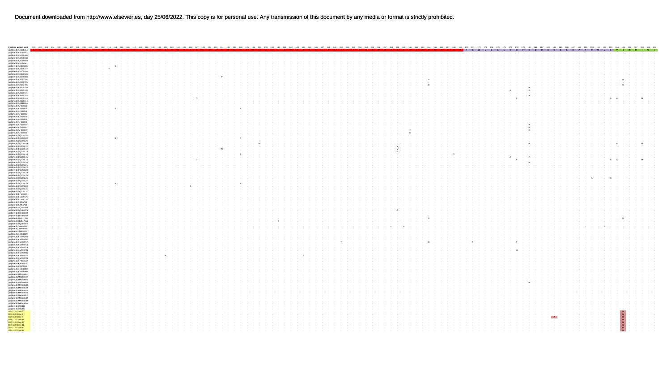| prijhbvods AY090454<br>grš hbvods AY090454<br>grš hbvods AY090460                                                                                                                                                                                                                                                                                                                                                                                             |  |  |               |  |    |  |                                                     |         |           |   |  |  |                                 |                |          | WASAR 7 SWL SLL V Q P V Q W C V G L S P T V W L L V I W M I W Y |                        |                |   |   |              |              |                 |
|---------------------------------------------------------------------------------------------------------------------------------------------------------------------------------------------------------------------------------------------------------------------------------------------------------------------------------------------------------------------------------------------------------------------------------------------------------------|--|--|---------------|--|----|--|-----------------------------------------------------|---------|-----------|---|--|--|---------------------------------|----------------|----------|-----------------------------------------------------------------|------------------------|----------------|---|---|--------------|--------------|-----------------|
|                                                                                                                                                                                                                                                                                                                                                                                                                                                               |  |  |               |  |    |  |                                                     |         |           |   |  |  |                                 |                |          |                                                                 |                        |                |   |   |              |              |                 |
|                                                                                                                                                                                                                                                                                                                                                                                                                                                               |  |  |               |  |    |  |                                                     |         |           |   |  |  |                                 |                |          |                                                                 |                        |                |   |   |              |              |                 |
|                                                                                                                                                                                                                                                                                                                                                                                                                                                               |  |  |               |  |    |  |                                                     |         |           |   |  |  |                                 |                |          |                                                                 |                        |                |   |   |              |              |                 |
|                                                                                                                                                                                                                                                                                                                                                                                                                                                               |  |  | $\mathbf{s}$  |  |    |  |                                                     |         |           |   |  |  |                                 |                |          |                                                                 |                        |                |   |   |              |              |                 |
|                                                                                                                                                                                                                                                                                                                                                                                                                                                               |  |  | $\frac{1}{2}$ |  |    |  |                                                     |         |           |   |  |  |                                 |                |          |                                                                 |                        |                |   |   |              |              |                 |
|                                                                                                                                                                                                                                                                                                                                                                                                                                                               |  |  |               |  |    |  |                                                     |         |           |   |  |  |                                 |                |          |                                                                 |                        |                |   |   |              |              |                 |
|                                                                                                                                                                                                                                                                                                                                                                                                                                                               |  |  |               |  |    |  | $\bullet$                                           |         |           |   |  |  |                                 |                |          |                                                                 |                        |                |   |   |              |              |                 |
|                                                                                                                                                                                                                                                                                                                                                                                                                                                               |  |  |               |  |    |  |                                                     |         |           |   |  |  |                                 |                |          |                                                                 |                        |                |   |   |              | M            |                 |
|                                                                                                                                                                                                                                                                                                                                                                                                                                                               |  |  |               |  |    |  |                                                     |         |           |   |  |  |                                 |                |          |                                                                 |                        |                |   |   |              | $\mathbf{M}$ |                 |
|                                                                                                                                                                                                                                                                                                                                                                                                                                                               |  |  |               |  |    |  |                                                     |         |           |   |  |  |                                 |                |          |                                                                 |                        |                |   |   |              |              |                 |
|                                                                                                                                                                                                                                                                                                                                                                                                                                                               |  |  |               |  |    |  |                                                     |         |           |   |  |  |                                 |                |          |                                                                 | A.                     | A              |   |   |              |              |                 |
|                                                                                                                                                                                                                                                                                                                                                                                                                                                               |  |  |               |  |    |  |                                                     |         |           |   |  |  |                                 |                |          |                                                                 |                        | $\overline{A}$ |   |   |              |              |                 |
|                                                                                                                                                                                                                                                                                                                                                                                                                                                               |  |  |               |  |    |  |                                                     |         |           |   |  |  |                                 |                |          |                                                                 |                        |                |   |   | $S$ A        |              | $\sim$ 100 $\,$ |
|                                                                                                                                                                                                                                                                                                                                                                                                                                                               |  |  |               |  |    |  |                                                     |         |           |   |  |  |                                 |                |          |                                                                 |                        |                |   |   |              |              |                 |
|                                                                                                                                                                                                                                                                                                                                                                                                                                                               |  |  |               |  |    |  |                                                     |         |           |   |  |  |                                 |                |          |                                                                 |                        |                |   |   |              |              |                 |
|                                                                                                                                                                                                                                                                                                                                                                                                                                                               |  |  | ś             |  |    |  |                                                     | Ϋ́.     |           |   |  |  |                                 |                |          |                                                                 |                        |                |   |   |              |              |                 |
|                                                                                                                                                                                                                                                                                                                                                                                                                                                               |  |  |               |  |    |  |                                                     |         |           |   |  |  |                                 |                |          |                                                                 |                        |                |   |   |              |              |                 |
|                                                                                                                                                                                                                                                                                                                                                                                                                                                               |  |  |               |  |    |  |                                                     |         |           |   |  |  |                                 |                |          |                                                                 |                        |                |   |   |              |              |                 |
|                                                                                                                                                                                                                                                                                                                                                                                                                                                               |  |  |               |  |    |  |                                                     |         |           |   |  |  |                                 |                |          |                                                                 |                        |                |   |   |              |              |                 |
|                                                                                                                                                                                                                                                                                                                                                                                                                                                               |  |  |               |  |    |  |                                                     |         |           |   |  |  |                                 |                |          |                                                                 |                        |                |   |   |              |              |                 |
|                                                                                                                                                                                                                                                                                                                                                                                                                                                               |  |  |               |  |    |  |                                                     |         |           |   |  |  |                                 |                |          |                                                                 |                        |                |   |   |              |              |                 |
|                                                                                                                                                                                                                                                                                                                                                                                                                                                               |  |  |               |  |    |  |                                                     |         |           |   |  |  | к.                              |                |          |                                                                 |                        | $\overline{A}$ |   |   |              |              |                 |
|                                                                                                                                                                                                                                                                                                                                                                                                                                                               |  |  |               |  |    |  |                                                     |         |           |   |  |  | $^{\circ}$                      |                |          |                                                                 |                        |                |   |   |              |              |                 |
| $\begin{array}{l} \frac{1}{2}\eta^2\,b\,b\,c\,c\,a\,b\,b\,D\,122620\\ \eta^2\,b\,b\,c\,a\,b\,b\,D\,122620\\ \eta^2\,b\,b\,c\,a\,b\,b\,D\,122620\\ \eta^2\,b\,b\,c\,a\,b\,b\,D\,122620\\ \eta^2\,b\,b\,c\,a\,b\,b\,D\,12274\\ \eta^2\,b\,b\,c\,a\,b\,b\,D\,12274\\ \eta$                                                                                                                                                                                       |  |  | - 6           |  |    |  | distribution distribution.                          |         |           |   |  |  |                                 |                |          |                                                                 |                        |                |   |   |              |              |                 |
|                                                                                                                                                                                                                                                                                                                                                                                                                                                               |  |  |               |  |    |  | the contract of the contract of the contract of the |         |           |   |  |  |                                 |                |          |                                                                 |                        |                |   |   |              |              |                 |
|                                                                                                                                                                                                                                                                                                                                                                                                                                                               |  |  |               |  |    |  |                                                     |         | $\,$ $\,$ |   |  |  |                                 |                |          |                                                                 |                        | $\overline{A}$ |   |   | A.           |              | M               |
| grijhtvoti (00236102<br>grijhtvoti (00236106<br>grijhtvoti (00236109<br>grijhtvoti (00236112<br>grijhtvoti (00236113<br>grijhtvoti (00236113                                                                                                                                                                                                                                                                                                                  |  |  |               |  |    |  |                                                     |         |           |   |  |  | Ŷ.                              |                |          |                                                                 |                        |                |   |   |              |              |                 |
|                                                                                                                                                                                                                                                                                                                                                                                                                                                               |  |  |               |  |    |  | $\sim$ $-$ N $-$                                    |         |           |   |  |  | R                               |                |          |                                                                 |                        |                |   |   |              |              |                 |
|                                                                                                                                                                                                                                                                                                                                                                                                                                                               |  |  |               |  |    |  |                                                     | L       |           |   |  |  |                                 |                | <b>V</b> |                                                                 |                        |                |   |   |              |              |                 |
| grijhbvods DQ236114<br>grijhbvods DQ236115<br>grijhbvods DQ236116                                                                                                                                                                                                                                                                                                                                                                                             |  |  |               |  |    |  |                                                     |         |           |   |  |  |                                 |                |          |                                                                 | A.<br>$A = 1$<br>G. P. |                |   |   | . š A        |              | $\sim$ $M$      |
|                                                                                                                                                                                                                                                                                                                                                                                                                                                               |  |  |               |  |    |  |                                                     |         |           |   |  |  |                                 |                |          |                                                                 |                        | A              |   |   |              |              |                 |
|                                                                                                                                                                                                                                                                                                                                                                                                                                                               |  |  |               |  |    |  |                                                     |         |           |   |  |  |                                 |                |          |                                                                 |                        |                |   |   |              |              |                 |
|                                                                                                                                                                                                                                                                                                                                                                                                                                                               |  |  |               |  |    |  |                                                     |         |           |   |  |  |                                 |                |          |                                                                 |                        |                |   |   |              |              |                 |
|                                                                                                                                                                                                                                                                                                                                                                                                                                                               |  |  |               |  |    |  |                                                     |         |           |   |  |  |                                 |                |          |                                                                 |                        |                |   |   |              |              |                 |
|                                                                                                                                                                                                                                                                                                                                                                                                                                                               |  |  |               |  |    |  |                                                     |         |           |   |  |  |                                 |                |          |                                                                 |                        |                |   |   |              |              |                 |
|                                                                                                                                                                                                                                                                                                                                                                                                                                                               |  |  |               |  |    |  |                                                     |         |           |   |  |  |                                 |                |          |                                                                 |                        |                |   | A | $\mathbf{s}$ |              |                 |
|                                                                                                                                                                                                                                                                                                                                                                                                                                                               |  |  | $\sim$        |  |    |  |                                                     | $V = 1$ |           |   |  |  |                                 |                |          |                                                                 |                        |                |   |   |              |              |                 |
|                                                                                                                                                                                                                                                                                                                                                                                                                                                               |  |  |               |  |    |  |                                                     |         |           |   |  |  |                                 |                |          |                                                                 |                        |                |   |   |              |              |                 |
|                                                                                                                                                                                                                                                                                                                                                                                                                                                               |  |  |               |  |    |  |                                                     |         |           |   |  |  |                                 |                |          |                                                                 |                        |                |   |   |              |              |                 |
| grijhoods (DG230118<br>grijhoods (DG230120<br>grijhoods (DG230121213)<br>grijhoods (DG2301221313)<br>grijhoods (DG23012343)<br>grijhoods (DG2301237<br>grijhoods (DG230127)<br>grijhoods (DG230127)<br>grijhoods (DG23012313)<br>grijhoods (DG23012313)<br>g                                                                                                                                                                                                  |  |  |               |  |    |  |                                                     |         |           |   |  |  |                                 |                |          |                                                                 |                        |                |   |   |              |              |                 |
| gnijhbvods (302235132)<br>gnijhbvods (EU139275<br>gnijhbvods (EU139275<br>gnijhbvods (EU139275<br>gnijhbvods (20495275<br>gnijhbvods (20495275<br>gnijhbvods (20495275<br>gnijhbvods (20495275<br>gnijhbvods (20495275<br>gnijhbvods (20495292                                                                                                                                                                                                                |  |  |               |  |    |  |                                                     |         |           |   |  |  |                                 |                |          |                                                                 |                        |                |   |   |              |              |                 |
|                                                                                                                                                                                                                                                                                                                                                                                                                                                               |  |  |               |  |    |  |                                                     |         |           |   |  |  |                                 |                |          |                                                                 |                        |                |   |   |              |              |                 |
|                                                                                                                                                                                                                                                                                                                                                                                                                                                               |  |  |               |  |    |  |                                                     |         |           |   |  |  |                                 |                |          |                                                                 |                        |                |   |   |              |              |                 |
|                                                                                                                                                                                                                                                                                                                                                                                                                                                               |  |  |               |  |    |  |                                                     |         |           |   |  |  |                                 |                |          |                                                                 |                        |                |   |   |              |              |                 |
|                                                                                                                                                                                                                                                                                                                                                                                                                                                               |  |  |               |  |    |  |                                                     |         |           |   |  |  | - A                             |                |          |                                                                 |                        |                |   |   |              |              |                 |
|                                                                                                                                                                                                                                                                                                                                                                                                                                                               |  |  |               |  |    |  |                                                     |         |           |   |  |  |                                 |                |          |                                                                 |                        |                |   |   |              |              |                 |
|                                                                                                                                                                                                                                                                                                                                                                                                                                                               |  |  |               |  |    |  |                                                     |         |           |   |  |  |                                 | $\overline{D}$ |          |                                                                 |                        |                |   |   |              | <b>M</b>     |                 |
| griptocal (uL)400092<br>grijhtvods (*M117850)<br>grijhtvods (*M117851)<br>grijhtvods (.N2285045<br>grijhtvods (.N2285045<br>grijhtvods (.N2285045                                                                                                                                                                                                                                                                                                             |  |  |               |  |    |  |                                                     |         |           |   |  |  |                                 |                |          |                                                                 |                        |                |   |   |              |              |                 |
|                                                                                                                                                                                                                                                                                                                                                                                                                                                               |  |  |               |  |    |  |                                                     |         |           |   |  |  | $\mathbf{L} = \{1, \ldots, N\}$ |                |          |                                                                 |                        |                |   |   |              |              |                 |
|                                                                                                                                                                                                                                                                                                                                                                                                                                                               |  |  |               |  |    |  |                                                     |         |           |   |  |  |                                 |                |          |                                                                 |                        |                |   |   |              |              |                 |
|                                                                                                                                                                                                                                                                                                                                                                                                                                                               |  |  |               |  |    |  |                                                     |         |           |   |  |  |                                 |                |          |                                                                 |                        |                |   |   |              |              |                 |
|                                                                                                                                                                                                                                                                                                                                                                                                                                                               |  |  |               |  |    |  |                                                     |         |           |   |  |  |                                 |                |          |                                                                 |                        |                |   |   |              |              |                 |
|                                                                                                                                                                                                                                                                                                                                                                                                                                                               |  |  |               |  |    |  |                                                     |         |           |   |  |  |                                 |                |          |                                                                 |                        |                |   |   |              |              |                 |
|                                                                                                                                                                                                                                                                                                                                                                                                                                                               |  |  |               |  |    |  |                                                     |         |           |   |  |  |                                 | $\alpha$       |          | $\mathbf{r}$                                                    | $\mathbf{p}$           |                |   |   |              |              |                 |
|                                                                                                                                                                                                                                                                                                                                                                                                                                                               |  |  |               |  |    |  |                                                     |         |           |   |  |  |                                 |                |          |                                                                 |                        |                |   |   |              |              |                 |
|                                                                                                                                                                                                                                                                                                                                                                                                                                                               |  |  |               |  |    |  |                                                     |         |           |   |  |  |                                 |                |          |                                                                 |                        |                |   |   |              |              |                 |
|                                                                                                                                                                                                                                                                                                                                                                                                                                                               |  |  |               |  |    |  |                                                     |         |           |   |  |  |                                 |                |          |                                                                 |                        |                |   |   |              |              |                 |
|                                                                                                                                                                                                                                                                                                                                                                                                                                                               |  |  |               |  | -8 |  |                                                     |         |           | E |  |  |                                 |                |          |                                                                 |                        |                |   |   |              |              |                 |
| $\begin{array}{l} \mathcal{G}(b) = \alpha_0 \mathcal{G}(b) = \alpha_0 \mathcal{G}(b) = \alpha_0 \mathcal{G}(b) = \alpha_0 \mathcal{G}(b) = \alpha_0 \mathcal{G}(b) = \alpha_0 \mathcal{G}(b) = \alpha_0 \mathcal{G}(b) = \alpha_0 \mathcal{G}(b) = \alpha_0 \mathcal{G}(b) = \alpha_0 \mathcal{G}(b) = \alpha_0 \mathcal{G}(b) = \alpha_0 \mathcal{G}(b) = \alpha_0 \mathcal{G}(b) = \alpha_0 \mathcal{G}(b) = \alpha_0 \mathcal{G}(b) = \alpha_0 \mathcal{G$ |  |  |               |  |    |  |                                                     |         |           |   |  |  |                                 |                |          |                                                                 |                        |                |   |   |              |              |                 |
|                                                                                                                                                                                                                                                                                                                                                                                                                                                               |  |  |               |  |    |  |                                                     |         |           |   |  |  |                                 |                |          |                                                                 |                        |                |   |   |              |              |                 |
|                                                                                                                                                                                                                                                                                                                                                                                                                                                               |  |  |               |  |    |  |                                                     |         |           |   |  |  |                                 |                |          |                                                                 |                        |                |   |   |              |              |                 |
|                                                                                                                                                                                                                                                                                                                                                                                                                                                               |  |  |               |  |    |  |                                                     |         |           |   |  |  |                                 |                |          |                                                                 |                        |                |   |   |              |              |                 |
|                                                                                                                                                                                                                                                                                                                                                                                                                                                               |  |  |               |  |    |  |                                                     |         |           |   |  |  |                                 |                |          |                                                                 |                        |                |   |   |              |              |                 |
|                                                                                                                                                                                                                                                                                                                                                                                                                                                               |  |  |               |  |    |  |                                                     |         |           |   |  |  |                                 |                |          |                                                                 |                        |                |   |   |              |              |                 |
|                                                                                                                                                                                                                                                                                                                                                                                                                                                               |  |  |               |  |    |  |                                                     |         |           |   |  |  |                                 |                |          |                                                                 |                        | $\mathbb{A}$   |   |   |              |              |                 |
|                                                                                                                                                                                                                                                                                                                                                                                                                                                               |  |  |               |  |    |  |                                                     |         |           |   |  |  |                                 |                |          |                                                                 |                        |                |   |   |              |              |                 |
|                                                                                                                                                                                                                                                                                                                                                                                                                                                               |  |  |               |  |    |  |                                                     |         |           |   |  |  |                                 |                |          |                                                                 |                        |                |   |   |              |              |                 |
| grijkbroda (MK568524<br>grijkbroda (MK568526<br>grijkbroda (MK568527                                                                                                                                                                                                                                                                                                                                                                                          |  |  |               |  |    |  |                                                     |         |           |   |  |  |                                 |                |          |                                                                 |                        |                |   |   |              |              |                 |
|                                                                                                                                                                                                                                                                                                                                                                                                                                                               |  |  |               |  |    |  |                                                     |         |           |   |  |  |                                 |                |          |                                                                 |                        |                |   |   |              |              |                 |
| grijhbvods (MK568532                                                                                                                                                                                                                                                                                                                                                                                                                                          |  |  |               |  |    |  |                                                     |         |           |   |  |  |                                 |                |          |                                                                 |                        |                |   |   |              |              |                 |
|                                                                                                                                                                                                                                                                                                                                                                                                                                                               |  |  |               |  |    |  |                                                     |         |           |   |  |  |                                 |                |          |                                                                 |                        |                |   |   |              |              |                 |
|                                                                                                                                                                                                                                                                                                                                                                                                                                                               |  |  |               |  |    |  |                                                     |         |           |   |  |  |                                 |                |          |                                                                 |                        |                |   |   |              |              |                 |
|                                                                                                                                                                                                                                                                                                                                                                                                                                                               |  |  |               |  |    |  |                                                     |         |           |   |  |  |                                 |                |          |                                                                 |                        |                |   |   |              |              |                 |
|                                                                                                                                                                                                                                                                                                                                                                                                                                                               |  |  |               |  |    |  |                                                     |         |           |   |  |  |                                 |                |          |                                                                 |                        |                |   |   |              |              |                 |
|                                                                                                                                                                                                                                                                                                                                                                                                                                                               |  |  |               |  |    |  |                                                     |         |           |   |  |  |                                 |                |          |                                                                 |                        |                | A |   |              |              |                 |
|                                                                                                                                                                                                                                                                                                                                                                                                                                                               |  |  |               |  |    |  |                                                     |         |           |   |  |  |                                 |                |          |                                                                 |                        |                |   |   |              |              |                 |
|                                                                                                                                                                                                                                                                                                                                                                                                                                                               |  |  |               |  |    |  |                                                     |         |           |   |  |  |                                 |                |          |                                                                 |                        |                |   |   |              |              |                 |
|                                                                                                                                                                                                                                                                                                                                                                                                                                                               |  |  |               |  |    |  |                                                     |         |           |   |  |  |                                 |                |          |                                                                 |                        |                |   |   |              |              |                 |
|                                                                                                                                                                                                                                                                                                                                                                                                                                                               |  |  |               |  |    |  |                                                     |         |           |   |  |  |                                 |                |          |                                                                 |                        |                |   |   |              |              |                 |